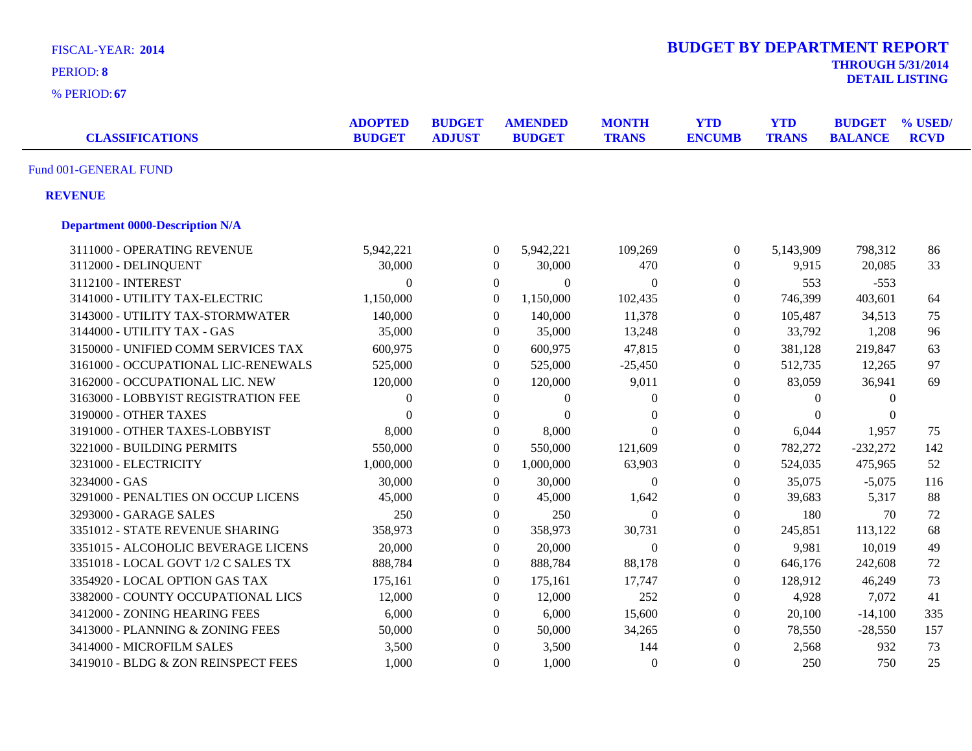| <b>FISCAL-YEAR: 2014</b><br>PERIOD: 8<br>% PERIOD: 67 |                                 |                                |                  |                                 |                              | <b>BUDGET BY DEPARTMENT REPORT</b> |                            | <b>THROUGH 5/31/2014</b>        | <b>DETAIL LISTING</b>  |
|-------------------------------------------------------|---------------------------------|--------------------------------|------------------|---------------------------------|------------------------------|------------------------------------|----------------------------|---------------------------------|------------------------|
| <b>CLASSIFICATIONS</b>                                | <b>ADOPTED</b><br><b>BUDGET</b> | <b>BUDGET</b><br><b>ADJUST</b> |                  | <b>AMENDED</b><br><b>BUDGET</b> | <b>MONTH</b><br><b>TRANS</b> | <b>YTD</b><br><b>ENCUMB</b>        | <b>YTD</b><br><b>TRANS</b> | <b>BUDGET</b><br><b>BALANCE</b> | % USED/<br><b>RCVD</b> |
| Fund 001-GENERAL FUND                                 |                                 |                                |                  |                                 |                              |                                    |                            |                                 |                        |
| <b>REVENUE</b>                                        |                                 |                                |                  |                                 |                              |                                    |                            |                                 |                        |
| <b>Department 0000-Description N/A</b>                |                                 |                                |                  |                                 |                              |                                    |                            |                                 |                        |
| 3111000 - OPERATING REVENUE                           | 5,942,221                       |                                | $\overline{0}$   | 5,942,221                       | 109,269                      | $\boldsymbol{0}$                   | 5,143,909                  | 798,312                         | 86                     |
| 3112000 - DELINQUENT                                  | 30,000                          |                                | $\boldsymbol{0}$ | 30,000                          | 470                          | $\overline{0}$                     | 9,915                      | 20,085                          | 33                     |
| 3112100 - INTEREST                                    | $\overline{0}$                  |                                | $\overline{0}$   | $\Omega$                        | $\mathbf{0}$                 | $\overline{0}$                     | 553                        | $-553$                          |                        |
| 3141000 - UTILITY TAX-ELECTRIC                        | 1,150,000                       |                                | $\boldsymbol{0}$ | 1,150,000                       | 102,435                      | $\boldsymbol{0}$                   | 746,399                    | 403,601                         | 64                     |
| 3143000 - UTILITY TAX-STORMWATER                      | 140,000                         |                                | $\boldsymbol{0}$ | 140,000                         | 11,378                       | $\boldsymbol{0}$                   | 105,487                    | 34,513                          | 75                     |
| 3144000 - UTILITY TAX - GAS                           | 35,000                          |                                | $\boldsymbol{0}$ | 35,000                          | 13,248                       | $\boldsymbol{0}$                   | 33,792                     | 1,208                           | 96                     |
| 3150000 - UNIFIED COMM SERVICES TAX                   | 600,975                         |                                | $\boldsymbol{0}$ | 600,975                         | 47,815                       | $\boldsymbol{0}$                   | 381,128                    | 219,847                         | 63                     |
| 3161000 - OCCUPATIONAL LIC-RENEWALS                   | 525,000                         |                                | $\boldsymbol{0}$ | 525,000                         | $-25,450$                    | $\overline{0}$                     | 512,735                    | 12,265                          | 97                     |
| 3162000 - OCCUPATIONAL LIC. NEW                       | 120,000                         |                                | $\boldsymbol{0}$ | 120,000                         | 9,011                        | $\boldsymbol{0}$                   | 83,059                     | 36,941                          | 69                     |
| 3163000 - LOBBYIST REGISTRATION FEE                   | $\overline{0}$                  |                                | $\overline{0}$   | $\overline{0}$                  | $\mathbf{0}$                 | $\mathbf{0}$                       | $\theta$                   | $\theta$                        |                        |
| 3190000 - OTHER TAXES                                 | $\theta$                        |                                | $\boldsymbol{0}$ | $\theta$                        | $\mathbf{0}$                 | $\overline{0}$                     | $\theta$                   | $\Omega$                        |                        |
| 3191000 - OTHER TAXES-LOBBYIST                        | 8,000                           |                                | $\boldsymbol{0}$ | 8,000                           | $\Omega$                     | $\Omega$                           | 6,044                      | 1,957                           | 75                     |
| 3221000 - BUILDING PERMITS                            | 550,000                         |                                | $\mathbf{0}$     | 550,000                         | 121,609                      | $\boldsymbol{0}$                   | 782,272                    | $-232,272$                      | 142                    |
| 3231000 - ELECTRICITY                                 | 1,000,000                       |                                | $\boldsymbol{0}$ | 1,000,000                       | 63,903                       | $\boldsymbol{0}$                   | 524,035                    | 475,965                         | 52                     |
| 3234000 - GAS                                         | 30,000                          |                                | $\overline{0}$   | 30,000                          | $\Omega$                     | $\Omega$                           | 35,075                     | $-5,075$                        | 116                    |
| 3291000 - PENALTIES ON OCCUP LICENS                   | 45,000                          |                                | $\overline{0}$   | 45,000                          | 1,642                        | $\boldsymbol{0}$                   | 39,683                     | 5,317                           | 88                     |
| 3293000 - GARAGE SALES                                | 250                             |                                | $\overline{0}$   | 250                             | $\boldsymbol{0}$             | $\boldsymbol{0}$                   | 180                        | 70                              | 72                     |
| 3351012 - STATE REVENUE SHARING                       | 358,973                         |                                | $\overline{0}$   | 358,973                         | 30,731                       | $\overline{0}$                     | 245,851                    | 113,122                         | 68                     |
| 3351015 - ALCOHOLIC BEVERAGE LICENS                   | 20,000                          |                                | $\mathbf{0}$     | 20,000                          | $\boldsymbol{0}$             | $\boldsymbol{0}$                   | 9,981                      | 10,019                          | 49                     |
| 3351018 - LOCAL GOVT 1/2 C SALES TX                   | 888,784                         |                                | $\overline{0}$   | 888,784                         | 88,178                       | $\Omega$                           | 646,176                    | 242,608                         | 72                     |
| 3354920 - LOCAL OPTION GAS TAX                        | 175,161                         |                                | $\overline{0}$   | 175,161                         | 17,747                       | $\Omega$                           | 128,912                    | 46,249                          | 73                     |
| 3382000 - COUNTY OCCUPATIONAL LICS                    | 12,000                          |                                | $\overline{0}$   | 12,000                          | 252                          | $\Omega$                           | 4,928                      | 7,072                           | 41                     |
| 3412000 - ZONING HEARING FEES                         | 6,000                           |                                | $\overline{0}$   | 6,000                           | 15,600                       | $\Omega$                           | 20,100                     | $-14,100$                       | 335                    |
| 3413000 - PLANNING & ZONING FEES                      | 50,000                          |                                | $\overline{0}$   | 50,000                          | 34,265                       | $\mathbf{0}$                       | 78,550                     | $-28,550$                       | 157                    |
| 3414000 - MICROFILM SALES                             | 3,500                           |                                | $\boldsymbol{0}$ | 3,500                           | 144                          | $\Omega$                           | 2,568                      | 932                             | 73                     |
| 3419010 - BLDG & ZON REINSPECT FEES                   | 1,000                           |                                | $\boldsymbol{0}$ | 1,000                           | $\Omega$                     | $\Omega$                           | 250                        | 750                             | 25                     |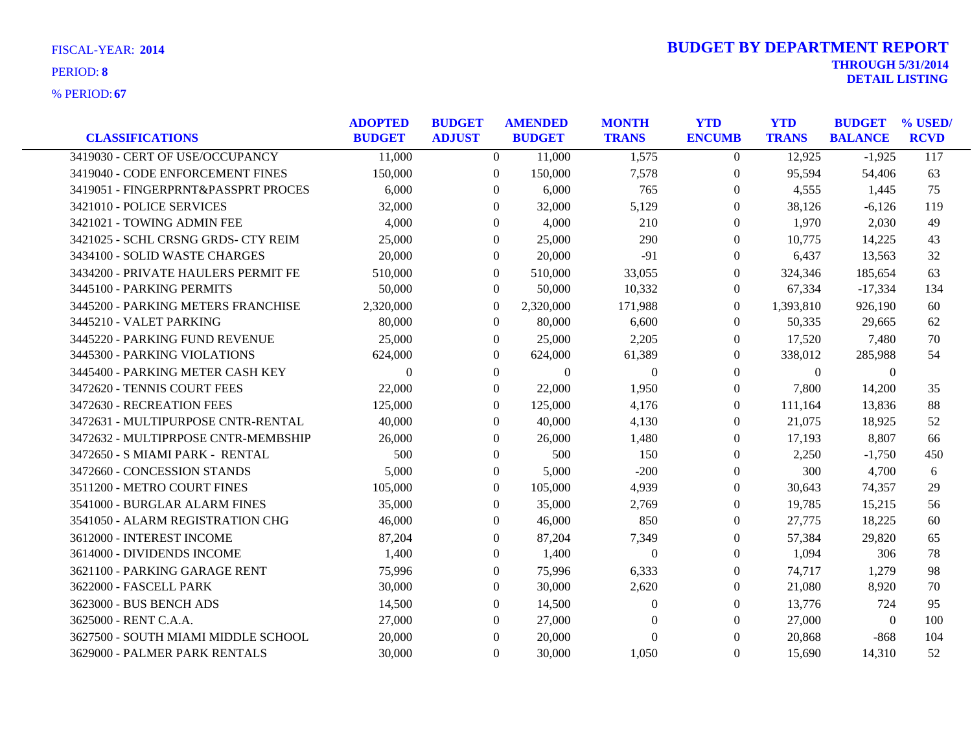**67** % PERIOD:

|                                     | <b>ADOPTED</b> | <b>BUDGET</b>    | <b>AMENDED</b> | <b>MONTH</b>     | <b>YTD</b>       | <b>YTD</b>   | <b>BUDGET</b>  | % USED/     |
|-------------------------------------|----------------|------------------|----------------|------------------|------------------|--------------|----------------|-------------|
| <b>CLASSIFICATIONS</b>              | <b>BUDGET</b>  | <b>ADJUST</b>    | <b>BUDGET</b>  | <b>TRANS</b>     | <b>ENCUMB</b>    | <b>TRANS</b> | <b>BALANCE</b> | <b>RCVD</b> |
| 3419030 - CERT OF USE/OCCUPANCY     | 11,000         | $\overline{0}$   | 11,000         | 1,575            | $\overline{0}$   | 12,925       | $-1,925$       | 117         |
| 3419040 - CODE ENFORCEMENT FINES    | 150,000        | $\boldsymbol{0}$ | 150,000        | 7,578            | $\boldsymbol{0}$ | 95,594       | 54,406         | 63          |
| 3419051 - FINGERPRNT&PASSPRT PROCES | 6,000          | $\Omega$         | 6,000          | 765              | $\overline{0}$   | 4,555        | 1,445          | 75          |
| 3421010 - POLICE SERVICES           | 32,000         | $\Omega$         | 32,000         | 5,129            | $\Omega$         | 38,126       | $-6,126$       | 119         |
| 3421021 - TOWING ADMIN FEE          | 4,000          | $\Omega$         | 4,000          | 210              | $\theta$         | 1,970        | 2,030          | 49          |
| 3421025 - SCHL CRSNG GRDS- CTY REIM | 25,000         | $\overline{0}$   | 25,000         | 290              | $\overline{0}$   | 10,775       | 14,225         | 43          |
| 3434100 - SOLID WASTE CHARGES       | 20,000         | 0                | 20,000         | $-91$            | $\overline{0}$   | 6,437        | 13,563         | 32          |
| 3434200 - PRIVATE HAULERS PERMIT FE | 510,000        | $\Omega$         | 510,000        | 33,055           | $\Omega$         | 324,346      | 185,654        | 63          |
| 3445100 - PARKING PERMITS           | 50,000         | $\overline{0}$   | 50,000         | 10,332           | $\overline{0}$   | 67,334       | $-17,334$      | 134         |
| 3445200 - PARKING METERS FRANCHISE  | 2,320,000      | $\mathbf{0}$     | 2,320,000      | 171,988          | $\overline{0}$   | 1,393,810    | 926,190        | 60          |
| 3445210 - VALET PARKING             | 80,000         | $\overline{0}$   | 80,000         | 6,600            | $\theta$         | 50,335       | 29,665         | 62          |
| 3445220 - PARKING FUND REVENUE      | 25,000         | $\overline{0}$   | 25,000         | 2,205            | $\theta$         | 17,520       | 7,480          | 70          |
| 3445300 - PARKING VIOLATIONS        | 624,000        | $\Omega$         | 624,000        | 61,389           | $\Omega$         | 338,012      | 285,988        | 54          |
| 3445400 - PARKING METER CASH KEY    | $\Omega$       | $\theta$         | $\Omega$       | $\theta$         | $\overline{0}$   | $\theta$     | $\theta$       |             |
| 3472620 - TENNIS COURT FEES         | 22,000         | $\overline{0}$   | 22,000         | 1,950            | $\theta$         | 7,800        | 14,200         | 35          |
| 3472630 - RECREATION FEES           | 125,000        | $\Omega$         | 125,000        | 4,176            | $\overline{0}$   | 111,164      | 13,836         | 88          |
| 3472631 - MULTIPURPOSE CNTR-RENTAL  | 40,000         | 0                | 40,000         | 4,130            | $\boldsymbol{0}$ | 21,075       | 18,925         | 52          |
| 3472632 - MULTIPRPOSE CNTR-MEMBSHIP | 26,000         | $\Omega$         | 26,000         | 1,480            | $\theta$         | 17,193       | 8,807          | 66          |
| 3472650 - S MIAMI PARK - RENTAL     | 500            | $\Omega$         | 500            | 150              | $\Omega$         | 2,250        | $-1,750$       | 450         |
| 3472660 - CONCESSION STANDS         | 5,000          | $\theta$         | 5,000          | $-200$           | $\theta$         | 300          | 4,700          | 6           |
| 3511200 - METRO COURT FINES         | 105,000        | $\overline{0}$   | 105,000        | 4,939            | $\theta$         | 30,643       | 74,357         | 29          |
| 3541000 - BURGLAR ALARM FINES       | 35,000         | $\Omega$         | 35,000         | 2,769            | $\theta$         | 19,785       | 15,215         | 56          |
| 3541050 - ALARM REGISTRATION CHG    | 46,000         | $\Omega$         | 46,000         | 850              | $\Omega$         | 27,775       | 18,225         | 60          |
| 3612000 - INTEREST INCOME           | 87,204         | $\overline{0}$   | 87,204         | 7,349            | $\theta$         | 57,384       | 29,820         | 65          |
| 3614000 - DIVIDENDS INCOME          | 1,400          | $\boldsymbol{0}$ | 1,400          | $\boldsymbol{0}$ | $\overline{0}$   | 1,094        | 306            | 78          |
| 3621100 - PARKING GARAGE RENT       | 75,996         | $\overline{0}$   | 75,996         | 6,333            | $\theta$         | 74,717       | 1,279          | 98          |
| 3622000 - FASCELL PARK              | 30,000         | $\theta$         | 30,000         | 2,620            | $\left($         | 21,080       | 8,920          | 70          |
| 3623000 - BUS BENCH ADS             | 14,500         | $\overline{0}$   | 14,500         | $\theta$         | $\theta$         | 13,776       | 724            | 95          |
| 3625000 - RENT C.A.A.               | 27,000         | $\overline{0}$   | 27,000         | $\theta$         | $\overline{0}$   | 27,000       | $\overline{0}$ | 100         |
| 3627500 - SOUTH MIAMI MIDDLE SCHOOL | 20,000         | $\Omega$         | 20,000         | $\theta$         | $\Omega$         | 20,868       | $-868$         | 104         |
| 3629000 - PALMER PARK RENTALS       | 30,000         | $\overline{0}$   | 30,000         | 1,050            | $\overline{0}$   | 15,690       | 14,310         | 52          |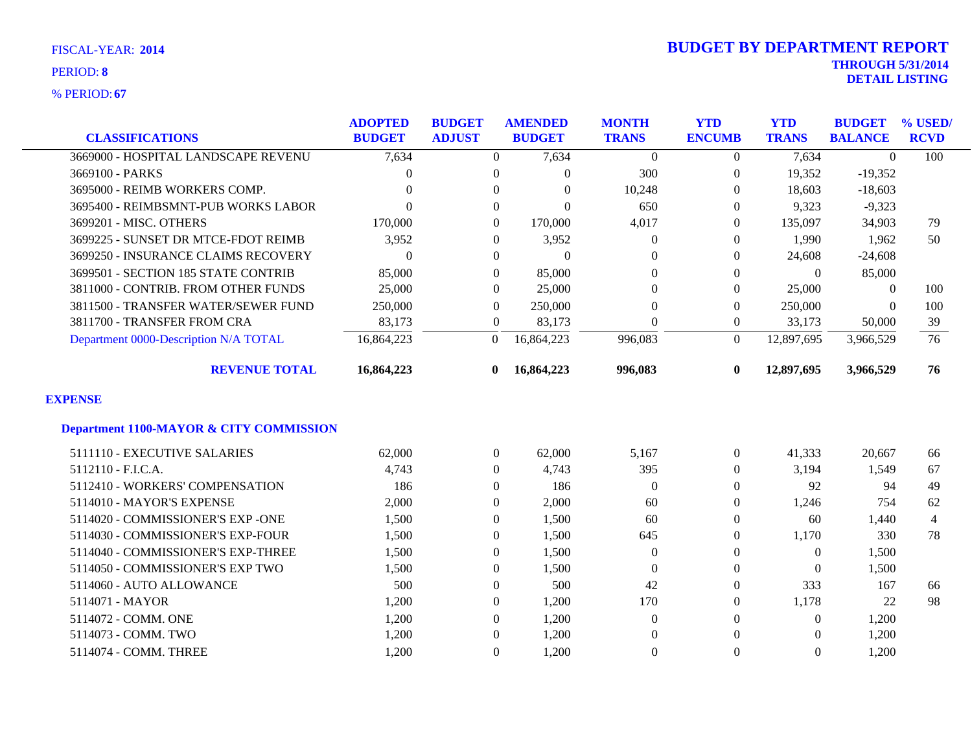| <b>CLASSIFICATIONS</b>                             | <b>ADOPTED</b><br><b>BUDGET</b> | <b>BUDGET</b><br><b>ADJUST</b> | <b>AMENDED</b><br><b>BUDGET</b> | <b>MONTH</b><br><b>TRANS</b> | <b>YTD</b><br><b>ENCUMB</b> | <b>YTD</b><br><b>TRANS</b> | <b>BUDGET</b><br><b>BALANCE</b> | % USED/<br><b>RCVD</b> |
|----------------------------------------------------|---------------------------------|--------------------------------|---------------------------------|------------------------------|-----------------------------|----------------------------|---------------------------------|------------------------|
| 3669000 - HOSPITAL LANDSCAPE REVENU                | 7,634                           | $\overline{0}$                 | 7,634                           | $\boldsymbol{0}$             | $\theta$                    | 7,634                      | $\theta$                        | 100                    |
| 3669100 - PARKS                                    | $\Omega$                        | $\overline{0}$                 | 0                               | 300                          | $\overline{0}$              | 19,352                     | $-19,352$                       |                        |
| 3695000 - REIMB WORKERS COMP.                      | 0                               | $\Omega$                       | $\Omega$                        | 10,248                       | $\Omega$                    | 18,603                     | $-18,603$                       |                        |
| 3695400 - REIMBSMNT-PUB WORKS LABOR                | $\Omega$                        | $\overline{0}$                 | 0                               | 650                          | $\Omega$                    | 9,323                      | $-9,323$                        |                        |
| 3699201 - MISC. OTHERS                             | 170,000                         | $\boldsymbol{0}$               | 170,000                         | 4,017                        | $\Omega$                    | 135,097                    | 34,903                          | 79                     |
| 3699225 - SUNSET DR MTCE-FDOT REIMB                | 3,952                           | $\theta$                       | 3,952                           | $\theta$                     | $\left($                    | 1,990                      | 1,962                           | 50                     |
| 3699250 - INSURANCE CLAIMS RECOVERY                | $\Omega$                        | $\overline{0}$                 | $\Omega$                        | $\Omega$                     | $\left($                    | 24,608                     | $-24,608$                       |                        |
| 3699501 - SECTION 185 STATE CONTRIB                | 85,000                          | $\mathbf{0}$                   | 85,000                          | $\theta$                     | $\Omega$                    | $\theta$                   | 85,000                          |                        |
| 3811000 - CONTRIB. FROM OTHER FUNDS                | 25,000                          | $\overline{0}$                 | 25,000                          | $\overline{0}$               | $\overline{0}$              | 25,000                     | $\overline{0}$                  | 100                    |
| 3811500 - TRANSFER WATER/SEWER FUND                | 250,000                         | $\overline{0}$                 | 250,000                         | $\theta$                     | $\left($                    | 250,000                    | $\overline{0}$                  | 100                    |
| 3811700 - TRANSFER FROM CRA                        | 83,173                          | $\boldsymbol{0}$               | 83,173                          | $\theta$                     | $\overline{0}$              | 33,173                     | 50,000                          | 39                     |
| Department 0000-Description N/A TOTAL              | 16,864,223                      | $\theta$                       | 16,864,223                      | 996,083                      | $\Omega$                    | 12,897,695                 | 3,966,529                       | 76                     |
| <b>REVENUE TOTAL</b>                               | 16,864,223                      | $\mathbf{0}$                   | 16,864,223                      | 996,083                      | 0                           | 12,897,695                 | 3,966,529                       | 76                     |
| <b>EXPENSE</b>                                     |                                 |                                |                                 |                              |                             |                            |                                 |                        |
| <b>Department 1100-MAYOR &amp; CITY COMMISSION</b> |                                 |                                |                                 |                              |                             |                            |                                 |                        |
| 5111110 - EXECUTIVE SALARIES                       | 62,000                          | $\boldsymbol{0}$               | 62,000                          | 5,167                        | $\overline{0}$              | 41,333                     | 20,667                          | 66                     |
| 5112110 - F.I.C.A.                                 | 4,743                           | $\overline{0}$                 | 4,743                           | 395                          | $\Omega$                    | 3,194                      | 1,549                           | 67                     |
| 5112410 - WORKERS' COMPENSATION                    | 186                             | $\overline{0}$                 | 186                             | $\theta$                     | $\overline{0}$              | 92                         | 94                              | 49                     |
| 5114010 - MAYOR'S EXPENSE                          | 2,000                           | $\theta$                       | 2,000                           | 60                           | $\Omega$                    | 1,246                      | 754                             | 62                     |
| 5114020 - COMMISSIONER'S EXP -ONE                  | 1,500                           | $\mathbf{0}$                   | 1,500                           | 60                           | $\Omega$                    | 60                         | 1,440                           | $\overline{4}$         |
| 5114030 - COMMISSIONER'S EXP-FOUR                  | 1,500                           | $\mathbf{0}$                   | 1,500                           | 645                          | $\Omega$                    | 1,170                      | 330                             | 78                     |
| 5114040 - COMMISSIONER'S EXP-THREE                 | 1,500                           | $\boldsymbol{0}$               | 1,500                           | $\theta$                     | $\theta$                    | $\boldsymbol{0}$           | 1,500                           |                        |
| 5114050 - COMMISSIONER'S EXP TWO                   | 1,500                           | $\Omega$                       | 1,500                           | $\theta$                     | $\Omega$                    | $\theta$                   | 1,500                           |                        |
| 5114060 - AUTO ALLOWANCE                           | 500                             | $\mathbf{0}$                   | 500                             | 42                           | $\Omega$                    | 333                        | 167                             | 66                     |
| 5114071 - MAYOR                                    | 1,200                           | $\boldsymbol{0}$               | 1,200                           | 170                          | $\theta$                    | 1,178                      | 22                              | 98                     |
| 5114072 - COMM. ONE                                | 1,200                           | $\Omega$                       | 1,200                           | $\theta$                     | $\Omega$                    | $\overline{0}$             | 1,200                           |                        |
| 5114073 - COMM. TWO                                | 1,200                           | $\overline{0}$                 | 1,200                           | $\Omega$                     | $\Omega$                    | $\Omega$                   | 1,200                           |                        |
| 5114074 - COMM. THREE                              | 1,200                           | $\theta$                       | 1,200                           | $\overline{0}$               | $\Omega$                    | $\Omega$                   | 1,200                           |                        |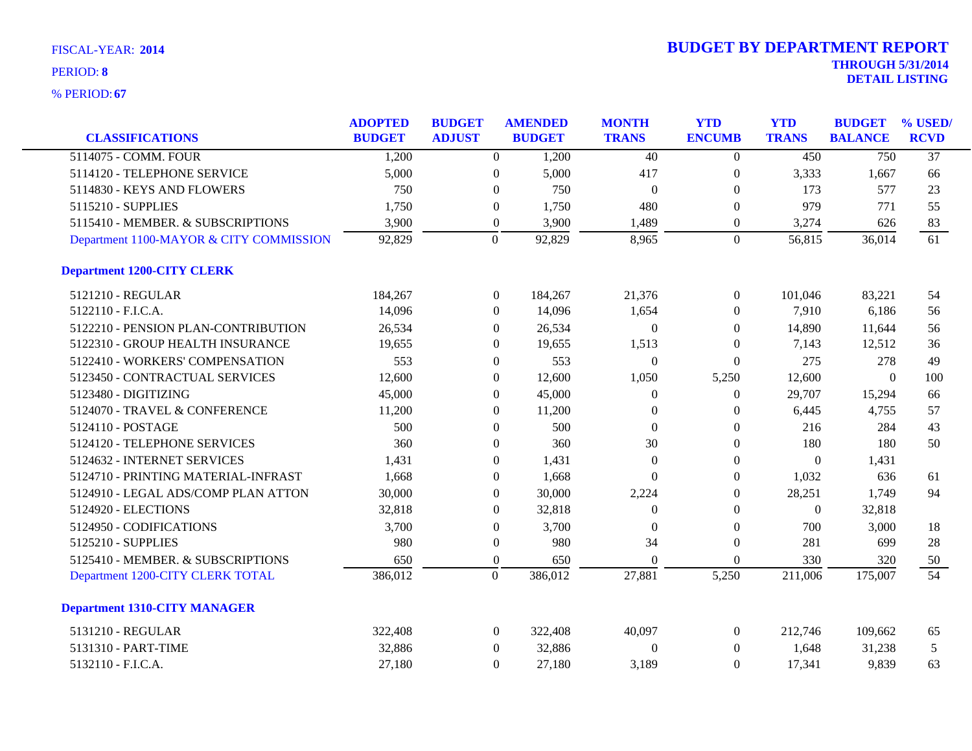| <b>CLASSIFICATIONS</b>                  | <b>ADOPTED</b><br><b>BUDGET</b> | <b>BUDGET</b><br><b>ADJUST</b> |                  | <b>AMENDED</b><br><b>BUDGET</b> | <b>MONTH</b><br><b>TRANS</b> | <b>YTD</b><br><b>ENCUMB</b> | <b>YTD</b><br><b>TRANS</b> | <b>BUDGET</b><br><b>BALANCE</b> | % USED/<br><b>RCVD</b> |
|-----------------------------------------|---------------------------------|--------------------------------|------------------|---------------------------------|------------------------------|-----------------------------|----------------------------|---------------------------------|------------------------|
| 5114075 - COMM. FOUR                    | 1,200                           |                                | $\overline{0}$   | 1,200                           | $\overline{40}$              | $\boldsymbol{0}$            | 450                        | 750                             | $\overline{37}$        |
| 5114120 - TELEPHONE SERVICE             | 5,000                           |                                | $\boldsymbol{0}$ | 5,000                           | 417                          | $\boldsymbol{0}$            | 3,333                      | 1,667                           | 66                     |
| 5114830 - KEYS AND FLOWERS              | 750                             |                                | $\mathbf{0}$     | 750                             | $\overline{0}$               | $\theta$                    | 173                        | 577                             | 23                     |
| 5115210 - SUPPLIES                      | 1,750                           |                                | $\boldsymbol{0}$ | 1,750                           | 480                          | $\theta$                    | 979                        | 771                             | 55                     |
| 5115410 - MEMBER. & SUBSCRIPTIONS       | 3,900                           |                                | $\boldsymbol{0}$ | 3,900                           | 1,489                        | $\boldsymbol{0}$            | 3,274                      | 626                             | 83                     |
| Department 1100-MAYOR & CITY COMMISSION | 92,829                          |                                | $\mathbf{0}$     | 92,829                          | 8,965                        | $\overline{0}$              | 56,815                     | 36,014                          | 61                     |
| <b>Department 1200-CITY CLERK</b>       |                                 |                                |                  |                                 |                              |                             |                            |                                 |                        |
| 5121210 - REGULAR                       | 184,267                         |                                | $\overline{0}$   | 184,267                         | 21,376                       | $\overline{0}$              | 101,046                    | 83,221                          | 54                     |
| 5122110 - F.I.C.A.                      | 14,096                          |                                | $\overline{0}$   | 14,096                          | 1,654                        | $\overline{0}$              | 7,910                      | 6,186                           | 56                     |
| 5122210 - PENSION PLAN-CONTRIBUTION     | 26,534                          |                                | $\boldsymbol{0}$ | 26,534                          | $\boldsymbol{0}$             | $\boldsymbol{0}$            | 14,890                     | 11,644                          | 56                     |
| 5122310 - GROUP HEALTH INSURANCE        | 19,655                          |                                | $\mathbf{0}$     | 19,655                          | 1,513                        | $\overline{0}$              | 7,143                      | 12,512                          | 36                     |
| 5122410 - WORKERS' COMPENSATION         | 553                             |                                | $\Omega$         | 553                             | $\theta$                     | $\Omega$                    | 275                        | 278                             | 49                     |
| 5123450 - CONTRACTUAL SERVICES          | 12,600                          |                                | $\theta$         | 12,600                          | 1,050                        | 5,250                       | 12,600                     | $\mathbf{0}$                    | 100                    |
| 5123480 - DIGITIZING                    | 45,000                          |                                | $\mathbf{0}$     | 45,000                          | $\overline{0}$               | $\theta$                    | 29,707                     | 15,294                          | 66                     |
| 5124070 - TRAVEL & CONFERENCE           | 11,200                          |                                | $\boldsymbol{0}$ | 11,200                          | $\mathbf{0}$                 | $\boldsymbol{0}$            | 6,445                      | 4,755                           | 57                     |
| 5124110 - POSTAGE                       | 500                             |                                | $\boldsymbol{0}$ | 500                             | $\theta$                     | $\theta$                    | 216                        | 284                             | 43                     |
| 5124120 - TELEPHONE SERVICES            | 360                             |                                | $\Omega$         | 360                             | 30                           | $\Omega$                    | 180                        | 180                             | 50                     |
| 5124632 - INTERNET SERVICES             | 1,431                           |                                | $\mathbf{0}$     | 1,431                           | $\boldsymbol{0}$             | $\boldsymbol{0}$            | $\overline{0}$             | 1,431                           |                        |
| 5124710 - PRINTING MATERIAL-INFRAST     | 1,668                           |                                | $\mathbf{0}$     | 1,668                           | $\theta$                     | $\theta$                    | 1,032                      | 636                             | 61                     |
| 5124910 - LEGAL ADS/COMP PLAN ATTON     | 30,000                          |                                | $\mathbf{0}$     | 30,000                          | 2,224                        | $\theta$                    | 28,251                     | 1,749                           | 94                     |
| 5124920 - ELECTIONS                     | 32,818                          |                                | $\theta$         | 32,818                          | $\Omega$                     | $\theta$                    | $\overline{0}$             | 32,818                          |                        |
| 5124950 - CODIFICATIONS                 | 3,700                           |                                | $\mathbf{0}$     | 3,700                           | $\Omega$                     | $\theta$                    | 700                        | 3,000                           | 18                     |
| 5125210 - SUPPLIES                      | 980                             |                                | $\boldsymbol{0}$ | 980                             | 34                           | $\boldsymbol{0}$            | 281                        | 699                             | 28                     |
| 5125410 - MEMBER. & SUBSCRIPTIONS       | 650                             |                                | $\boldsymbol{0}$ | 650                             | $\theta$                     | $\boldsymbol{0}$            | 330                        | 320                             | 50                     |
| Department 1200-CITY CLERK TOTAL        | 386,012                         |                                | $\overline{0}$   | 386,012                         | 27,881                       | 5,250                       | 211,006                    | 175,007                         | $\overline{54}$        |
| <b>Department 1310-CITY MANAGER</b>     |                                 |                                |                  |                                 |                              |                             |                            |                                 |                        |
| 5131210 - REGULAR                       | 322,408                         |                                | $\overline{0}$   | 322,408                         | 40,097                       | $\overline{0}$              | 212,746                    | 109,662                         | 65                     |
| 5131310 - PART-TIME                     | 32,886                          |                                | $\boldsymbol{0}$ | 32,886                          | $\boldsymbol{0}$             | $\theta$                    | 1,648                      | 31,238                          | 5                      |
| 5132110 - F.I.C.A.                      | 27,180                          |                                | $\Omega$         | 27,180                          | 3,189                        | $\Omega$                    | 17,341                     | 9,839                           | 63                     |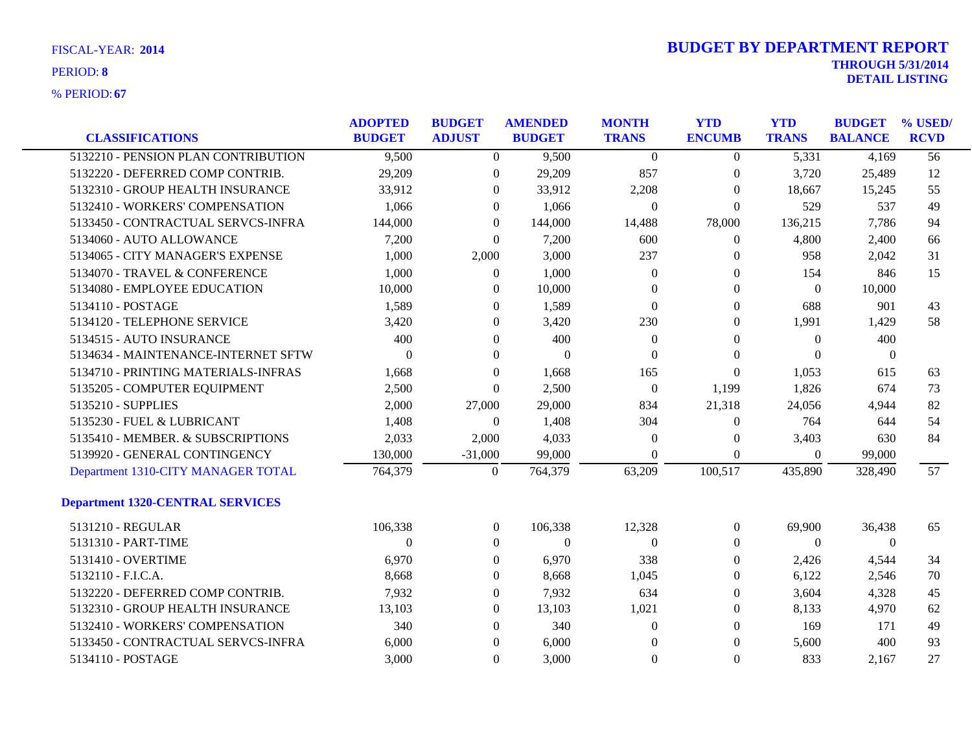| <b>CLASSIFICATIONS</b>                                        | <b>ADOPTED</b><br><b>BUDGET</b> | <b>BUDGET</b><br><b>ADJUST</b> | <b>AMENDED</b><br><b>BUDGET</b> | <b>MONTH</b><br><b>TRANS</b> | <b>YTD</b><br><b>ENCUMB</b>      | <b>YTD</b><br><b>TRANS</b> | <b>BUDGET</b><br><b>BALANCE</b> | % USED/<br><b>RCVD</b> |
|---------------------------------------------------------------|---------------------------------|--------------------------------|---------------------------------|------------------------------|----------------------------------|----------------------------|---------------------------------|------------------------|
| 5132210 - PENSION PLAN CONTRIBUTION                           | 9,500                           | $\overline{0}$                 | 9,500                           | $\theta$                     | $\overline{0}$                   | 5,331                      | 4,169                           | 56                     |
| 5132220 - DEFERRED COMP CONTRIB.                              | 29,209                          | $\boldsymbol{0}$               | 29,209                          | 857                          | $\boldsymbol{0}$                 | 3,720                      | 25,489                          | 12                     |
| 5132310 - GROUP HEALTH INSURANCE                              | 33,912                          | 0                              | 33,912                          | 2,208                        | $\overline{0}$                   | 18,667                     | 15,245                          | 55                     |
| 5132410 - WORKERS' COMPENSATION                               | 1,066                           | $\theta$                       | 1,066                           | $\overline{0}$               | $\overline{0}$                   | 529                        | 537                             | 49                     |
| 5133450 - CONTRACTUAL SERVCS-INFRA                            | 144,000                         | $\overline{0}$                 | 144,000                         | 14,488                       | 78,000                           | 136,215                    | 7,786                           | 94                     |
| 5134060 - AUTO ALLOWANCE                                      | 7,200                           | $\overline{0}$                 | 7,200                           | 600                          | $\overline{0}$                   | 4,800                      | 2,400                           | 66                     |
| 5134065 - CITY MANAGER'S EXPENSE                              | 1,000                           | 2,000                          | 3,000                           | 237                          | $\overline{0}$                   | 958                        | 2,042                           | 31                     |
|                                                               |                                 |                                |                                 |                              |                                  |                            |                                 |                        |
| 5134070 - TRAVEL & CONFERENCE<br>5134080 - EMPLOYEE EDUCATION | 1,000<br>10,000                 | $\Omega$<br>$\theta$           | 1,000<br>10,000                 | $\overline{0}$<br>$\Omega$   | $\overline{0}$<br>$\overline{0}$ | 154<br>$\theta$            | 846<br>10,000                   | 15                     |
|                                                               |                                 |                                |                                 |                              |                                  |                            |                                 |                        |
| 5134110 - POSTAGE                                             | 1,589                           | $\overline{0}$                 | 1,589                           | $\mathbf{0}$                 | $\overline{0}$                   | 688                        | 901                             | 43                     |
| 5134120 - TELEPHONE SERVICE                                   | 3,420                           | $\overline{0}$                 | 3,420                           | 230                          | $\overline{0}$                   | 1,991                      | 1,429                           | 58                     |
| 5134515 - AUTO INSURANCE                                      | 400                             | $\Omega$                       | 400                             | $\theta$                     | $\Omega$                         | $\Omega$                   | 400                             |                        |
| 5134634 - MAINTENANCE-INTERNET SFTW                           | 0                               | $\Omega$                       | $\Omega$                        | $\Omega$                     | $\Omega$                         | $\Omega$                   | $\Omega$                        |                        |
| 5134710 - PRINTING MATERIALS-INFRAS                           | 1,668                           | $\overline{0}$                 | 1,668                           | 165                          | $\overline{0}$                   | 1,053                      | 615                             | 63                     |
| 5135205 - COMPUTER EQUIPMENT                                  | 2,500                           | $\theta$                       | 2,500                           | $\overline{0}$               | 1,199                            | 1,826                      | 674                             | 73                     |
| 5135210 - SUPPLIES                                            | 2,000                           | 27,000                         | 29,000                          | 834                          | 21,318                           | 24,056                     | 4,944                           | 82                     |
| 5135230 - FUEL & LUBRICANT                                    | 1,408                           | $\theta$                       | 1,408                           | 304                          | $\overline{0}$                   | 764                        | 644                             | 54                     |
| 5135410 - MEMBER. & SUBSCRIPTIONS                             | 2,033                           | 2,000                          | 4,033                           | $\overline{0}$               | $\overline{0}$                   | 3,403                      | 630                             | 84                     |
| 5139920 - GENERAL CONTINGENCY                                 | 130,000                         | $-31,000$                      | 99,000                          | $\Omega$                     | $\overline{0}$                   | $\overline{0}$             | 99,000                          |                        |
| Department 1310-CITY MANAGER TOTAL                            | 764,379                         | $\boldsymbol{0}$               | 764,379                         | 63,209                       | 100,517                          | 435,890                    | 328,490                         | 57                     |
| <b>Department 1320-CENTRAL SERVICES</b>                       |                                 |                                |                                 |                              |                                  |                            |                                 |                        |
| 5131210 - REGULAR                                             | 106,338                         | $\overline{0}$                 | 106,338                         | 12,328                       | $\mathbf{0}$                     | 69,900                     | 36,438                          | 65                     |
| 5131310 - PART-TIME                                           | $\Omega$                        | $\overline{0}$                 | $\theta$                        | $\overline{0}$               | $\overline{0}$                   | $\Omega$                   | $\mathbf{0}$                    |                        |
| 5131410 - OVERTIME                                            | 6,970                           | $\Omega$                       | 6,970                           | 338                          | $\Omega$                         | 2,426                      | 4,544                           | 34                     |
| 5132110 - F.I.C.A.                                            | 8,668                           | $\theta$                       | 8,668                           | 1,045                        | $\Omega$                         | 6,122                      | 2,546                           | 70                     |
| 5132220 - DEFERRED COMP CONTRIB.                              | 7,932                           | $\boldsymbol{0}$               | 7,932                           | 634                          | $\overline{0}$                   | 3,604                      | 4,328                           | 45                     |
| 5132310 - GROUP HEALTH INSURANCE                              | 13,103                          | $\overline{0}$                 | 13,103                          | 1,021                        | $\overline{0}$                   | 8,133                      | 4,970                           | 62                     |
| 5132410 - WORKERS' COMPENSATION                               | 340                             | $\Omega$                       | 340                             | $\Omega$                     | $\Omega$                         | 169                        | 171                             | 49                     |
| 5133450 - CONTRACTUAL SERVCS-INFRA                            | 6,000                           | $\Omega$                       | 6,000                           | $\Omega$                     | $\Omega$                         | 5,600                      | 400                             | 93                     |
| 5134110 - POSTAGE                                             | 3.000                           | $\Omega$                       | 3.000                           | $\Omega$                     | $\Omega$                         | 833                        | 2.167                           | 27                     |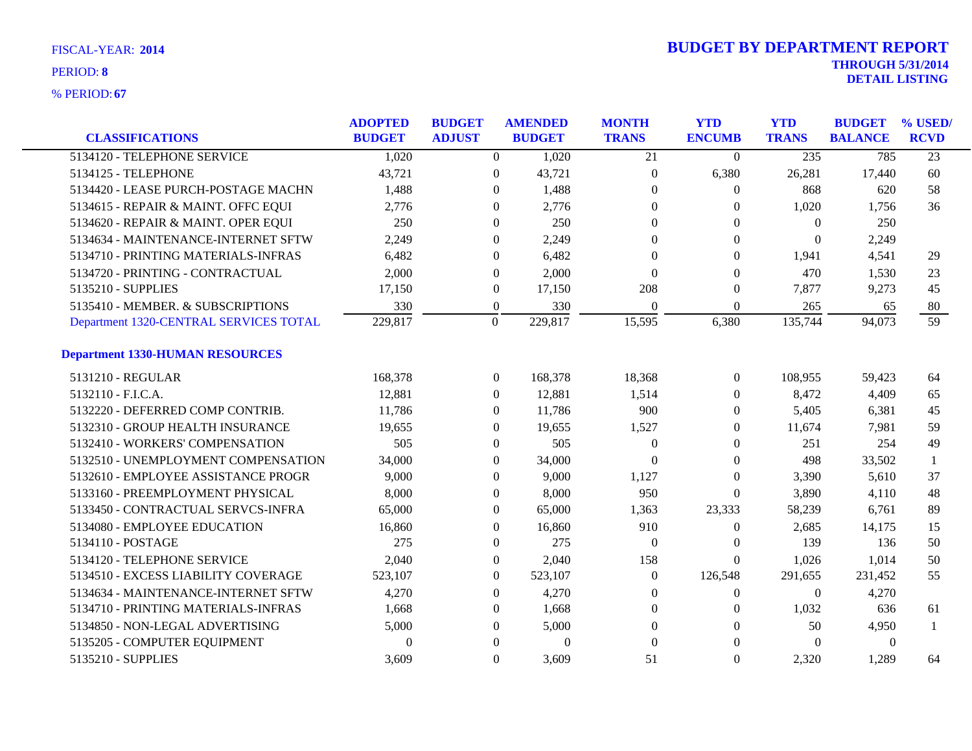| <b>CLASSIFICATIONS</b>                 | <b>ADOPTED</b><br><b>BUDGET</b> | <b>BUDGET</b><br><b>ADJUST</b> |                  | <b>AMENDED</b><br><b>BUDGET</b> | <b>MONTH</b><br><b>TRANS</b> | <b>YTD</b><br><b>ENCUMB</b> | <b>YTD</b><br><b>TRANS</b> | <b>BUDGET</b><br><b>BALANCE</b> | % USED/<br><b>RCVD</b> |
|----------------------------------------|---------------------------------|--------------------------------|------------------|---------------------------------|------------------------------|-----------------------------|----------------------------|---------------------------------|------------------------|
| 5134120 - TELEPHONE SERVICE            | 1,020                           |                                | $\overline{0}$   | 1,020                           | $\overline{21}$              | $\overline{0}$              | 235                        | 785                             | $\overline{23}$        |
| 5134125 - TELEPHONE                    | 43,721                          |                                | $\boldsymbol{0}$ | 43,721                          | $\boldsymbol{0}$             | 6,380                       | 26,281                     | 17,440                          | 60                     |
| 5134420 - LEASE PURCH-POSTAGE MACHN    | 1,488                           |                                | $\theta$         | 1,488                           | $\theta$                     | $\overline{0}$              | 868                        | 620                             | 58                     |
| 5134615 - REPAIR & MAINT. OFFC EQUI    | 2,776                           |                                | $\theta$         | 2,776                           | $\overline{0}$               | 0                           | 1,020                      | 1,756                           | 36                     |
| 5134620 - REPAIR & MAINT. OPER EQUI    | 250                             |                                | $\theta$         | 250                             | $\theta$                     | $\Omega$                    | $\overline{0}$             | 250                             |                        |
| 5134634 - MAINTENANCE-INTERNET SFTW    | 2,249                           |                                | $\overline{0}$   | 2,249                           | $\theta$                     | $\overline{0}$              | $\overline{0}$             | 2,249                           |                        |
| 5134710 - PRINTING MATERIALS-INFRAS    | 6,482                           |                                | $\theta$         | 6,482                           | $\theta$                     | 0                           | 1,941                      | 4,541                           | 29                     |
| 5134720 - PRINTING - CONTRACTUAL       | 2,000                           |                                | $\theta$         | 2,000                           | $\theta$                     | $\Omega$                    | 470                        | 1,530                           | 23                     |
| 5135210 - SUPPLIES                     | 17,150                          |                                | $\boldsymbol{0}$ | 17,150                          | 208                          | $\mathbf{0}$                | 7,877                      | 9,273                           | 45                     |
| 5135410 - MEMBER. & SUBSCRIPTIONS      | 330                             |                                | $\boldsymbol{0}$ | 330                             | $\overline{0}$               | $\boldsymbol{0}$            | 265                        | 65                              | 80                     |
| Department 1320-CENTRAL SERVICES TOTAL | 229,817                         |                                | $\mathbf{0}$     | 229,817                         | 15,595                       | 6,380                       | 135,744                    | 94,073                          | 59                     |
| <b>Department 1330-HUMAN RESOURCES</b> |                                 |                                |                  |                                 |                              |                             |                            |                                 |                        |
| 5131210 - REGULAR                      | 168,378                         |                                | $\overline{0}$   | 168,378                         | 18,368                       | $\overline{0}$              | 108,955                    | 59,423                          | 64                     |
| 5132110 - F.I.C.A.                     | 12,881                          |                                | $\boldsymbol{0}$ | 12,881                          | 1,514                        | $\overline{0}$              | 8,472                      | 4,409                           | 65                     |
| 5132220 - DEFERRED COMP CONTRIB.       | 11,786                          |                                | $\overline{0}$   | 11,786                          | 900                          | 0                           | 5,405                      | 6,381                           | 45                     |
| 5132310 - GROUP HEALTH INSURANCE       | 19,655                          |                                | $\overline{0}$   | 19,655                          | 1,527                        | 0                           | 11,674                     | 7,981                           | 59                     |
| 5132410 - WORKERS' COMPENSATION        | 505                             |                                | $\overline{0}$   | 505                             | $\overline{0}$               | $\theta$                    | 251                        | 254                             | 49                     |
| 5132510 - UNEMPLOYMENT COMPENSATION    | 34,000                          |                                | $\overline{0}$   | 34,000                          | $\theta$                     | $\overline{0}$              | 498                        | 33,502                          |                        |
| 5132610 - EMPLOYEE ASSISTANCE PROGR    | 9,000                           |                                | $\overline{0}$   | 9,000                           | 1,127                        | $\mathbf{0}$                | 3,390                      | 5,610                           | 37                     |
| 5133160 - PREEMPLOYMENT PHYSICAL       | 8,000                           |                                | $\overline{0}$   | 8,000                           | 950                          | $\theta$                    | 3,890                      | 4,110                           | 48                     |
| 5133450 - CONTRACTUAL SERVCS-INFRA     | 65,000                          |                                | $\overline{0}$   | 65,000                          | 1,363                        | 23,333                      | 58,239                     | 6,761                           | 89                     |
| 5134080 - EMPLOYEE EDUCATION           | 16,860                          |                                | $\boldsymbol{0}$ | 16,860                          | 910                          | $\boldsymbol{0}$            | 2,685                      | 14,175                          | 15                     |
| 5134110 - POSTAGE                      | 275                             |                                | $\overline{0}$   | 275                             | $\mathbf{0}$                 | $\theta$                    | 139                        | 136                             | 50                     |
| 5134120 - TELEPHONE SERVICE            | 2,040                           |                                | $\overline{0}$   | 2,040                           | 158                          | $\Omega$                    | 1,026                      | 1,014                           | 50                     |
| 5134510 - EXCESS LIABILITY COVERAGE    | 523,107                         |                                | $\overline{0}$   | 523,107                         | $\theta$                     | 126,548                     | 291,655                    | 231,452                         | 55                     |
| 5134634 - MAINTENANCE-INTERNET SFTW    | 4,270                           |                                | $\overline{0}$   | 4,270                           | $\boldsymbol{0}$             | $\mathbf{0}$                | $\overline{0}$             | 4,270                           |                        |
| 5134710 - PRINTING MATERIALS-INFRAS    | 1,668                           |                                | $\overline{0}$   | 1,668                           | $\boldsymbol{0}$             | $\theta$                    | 1,032                      | 636                             | 61                     |
| 5134850 - NON-LEGAL ADVERTISING        | 5,000                           |                                | $\theta$         | 5,000                           | $\theta$                     | $\Omega$                    | 50                         | 4,950                           |                        |
| 5135205 - COMPUTER EQUIPMENT           | $\theta$                        |                                | $\theta$         | $\boldsymbol{0}$                | $\theta$                     | $\Omega$                    | $\Omega$                   | $\theta$                        |                        |
| 5135210 - SUPPLIES                     | 3,609                           |                                | $\Omega$         | 3,609                           | 51                           | $\Omega$                    | 2.320                      | 1.289                           | 64                     |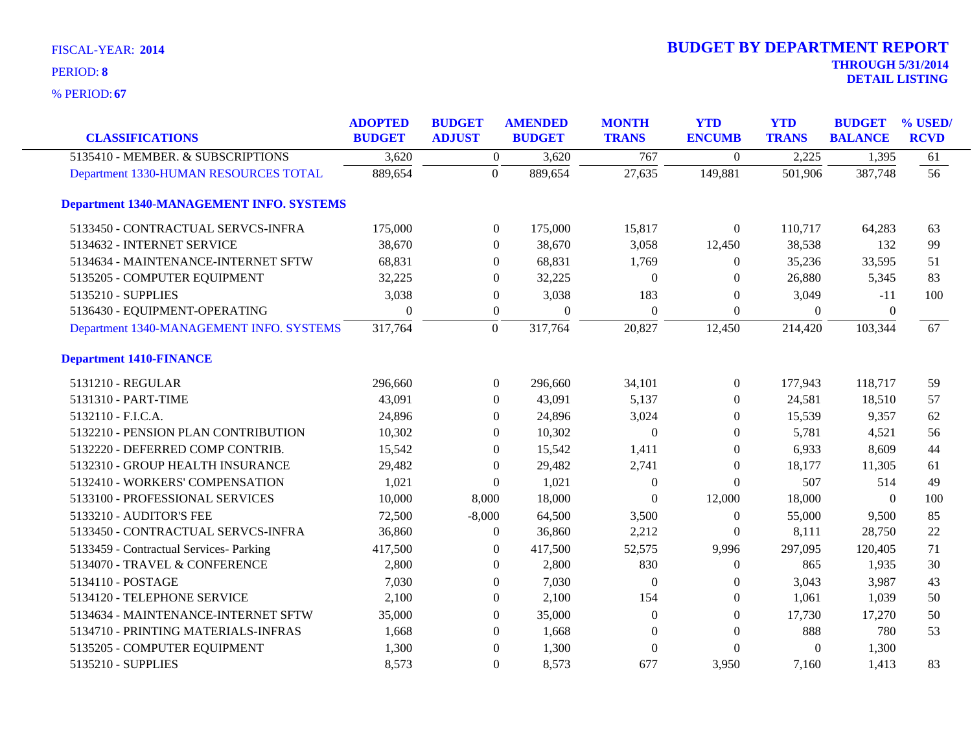**67** % PERIOD:

| <b>CLASSIFICATIONS</b>                          | <b>ADOPTED</b><br><b>BUDGET</b> | <b>BUDGET</b><br><b>ADJUST</b> | <b>AMENDED</b><br><b>BUDGET</b> | <b>MONTH</b><br><b>TRANS</b> | <b>YTD</b><br><b>ENCUMB</b> | <b>YTD</b><br><b>TRANS</b> | <b>BUDGET</b><br><b>BALANCE</b> | % USED/<br><b>RCVD</b> |
|-------------------------------------------------|---------------------------------|--------------------------------|---------------------------------|------------------------------|-----------------------------|----------------------------|---------------------------------|------------------------|
| 5135410 - MEMBER. & SUBSCRIPTIONS               | 3,620                           | $\boldsymbol{0}$               | 3,620                           | 767                          | $\Omega$                    | 2,225                      | 1,395                           | 61                     |
| Department 1330-HUMAN RESOURCES TOTAL           | 889,654                         | $\mathbf{0}$                   | 889,654                         | 27,635                       | 149,881                     | 501,906                    | 387,748                         | 56                     |
| <b>Department 1340-MANAGEMENT INFO. SYSTEMS</b> |                                 |                                |                                 |                              |                             |                            |                                 |                        |
| 5133450 - CONTRACTUAL SERVCS-INFRA              | 175,000                         | $\boldsymbol{0}$               | 175,000                         | 15,817                       | $\overline{0}$              | 110,717                    | 64,283                          | 63                     |
| 5134632 - INTERNET SERVICE                      | 38,670                          | $\overline{0}$                 | 38,670                          | 3,058                        | 12,450                      | 38,538                     | 132                             | 99                     |
| 5134634 - MAINTENANCE-INTERNET SFTW             | 68,831                          | $\boldsymbol{0}$               | 68,831                          | 1,769                        | $\theta$                    | 35,236                     | 33,595                          | 51                     |
| 5135205 - COMPUTER EQUIPMENT                    | 32,225                          | $\overline{0}$                 | 32,225                          | $\theta$                     | $\Omega$                    | 26,880                     | 5,345                           | 83                     |
| 5135210 - SUPPLIES                              | 3,038                           | $\boldsymbol{0}$               | 3,038                           | 183                          | $\theta$                    | 3,049                      | $-11$                           | 100                    |
| 5136430 - EQUIPMENT-OPERATING                   | $\theta$                        | $\boldsymbol{0}$               | $\theta$                        | $\Omega$                     | $\Omega$                    | $\mathbf{0}$               | $\theta$                        |                        |
| Department 1340-MANAGEMENT INFO. SYSTEMS        | 317,764                         | $\overline{0}$                 | 317,764                         | 20,827                       | 12,450                      | 214,420                    | 103,344                         | 67                     |
| <b>Department 1410-FINANCE</b>                  |                                 |                                |                                 |                              |                             |                            |                                 |                        |
| 5131210 - REGULAR                               | 296,660                         | $\boldsymbol{0}$               | 296,660                         | 34,101                       | $\overline{0}$              | 177,943                    | 118,717                         | 59                     |
| 5131310 - PART-TIME                             | 43,091                          | $\theta$                       | 43,091                          | 5,137                        | $\Omega$                    | 24,581                     | 18,510                          | 57                     |
| 5132110 - F.I.C.A.                              | 24,896                          | $\overline{0}$                 | 24,896                          | 3,024                        | $\theta$                    | 15,539                     | 9,357                           | 62                     |
| 5132210 - PENSION PLAN CONTRIBUTION             | 10,302                          | $\overline{0}$                 | 10,302                          | $\Omega$                     | $\theta$                    | 5,781                      | 4,521                           | 56                     |
| 5132220 - DEFERRED COMP CONTRIB.                | 15,542                          | $\overline{0}$                 | 15,542                          | 1,411                        | $\overline{0}$              | 6,933                      | 8,609                           | 44                     |
| 5132310 - GROUP HEALTH INSURANCE                | 29,482                          | $\theta$                       | 29,482                          | 2,741                        | $\theta$                    | 18,177                     | 11,305                          | 61                     |
| 5132410 - WORKERS' COMPENSATION                 | 1,021                           | $\overline{0}$                 | 1,021                           | $\mathbf{0}$                 | $\theta$                    | 507                        | 514                             | 49                     |
| 5133100 - PROFESSIONAL SERVICES                 | 10,000                          | 8,000                          | 18,000                          | $\Omega$                     | 12,000                      | 18,000                     | $\overline{0}$                  | 100                    |
| 5133210 - AUDITOR'S FEE                         | 72,500                          | $-8,000$                       | 64,500                          | 3,500                        | $\overline{0}$              | 55,000                     | 9,500                           | 85                     |
| 5133450 - CONTRACTUAL SERVCS-INFRA              | 36,860                          | $\boldsymbol{0}$               | 36,860                          | 2,212                        | $\theta$                    | 8,111                      | 28,750                          | 22                     |
| 5133459 - Contractual Services- Parking         | 417,500                         | $\Omega$                       | 417,500                         | 52,575                       | 9,996                       | 297,095                    | 120,405                         | 71                     |
| 5134070 - TRAVEL & CONFERENCE                   | 2,800                           | $\overline{0}$                 | 2,800                           | 830                          | $\theta$                    | 865                        | 1,935                           | 30                     |
| 5134110 - POSTAGE                               | 7,030                           | $\overline{0}$                 | 7,030                           | $\Omega$                     | $\Omega$                    | 3,043                      | 3,987                           | 43                     |
| 5134120 - TELEPHONE SERVICE                     | 2,100                           | $\boldsymbol{0}$               | 2,100                           | 154                          | $\overline{0}$              | 1,061                      | 1,039                           | 50                     |
| 5134634 - MAINTENANCE-INTERNET SFTW             | 35,000                          | $\theta$                       | 35,000                          | $\Omega$                     | $\Omega$                    | 17,730                     | 17,270                          | 50                     |
| 5134710 - PRINTING MATERIALS-INFRAS             | 1,668                           | $\overline{0}$                 | 1,668                           | $\Omega$                     | $\theta$                    | 888                        | 780                             | 53                     |
| 5135205 - COMPUTER EQUIPMENT                    | 1,300                           | $\theta$                       | 1,300                           | $\Omega$                     | $\theta$                    | $\mathbf{0}$               | 1,300                           |                        |
| 5135210 - SUPPLIES                              | 8,573                           | $\Omega$                       | 8,573                           | 677                          | 3,950                       | 7,160                      | 1,413                           | 83                     |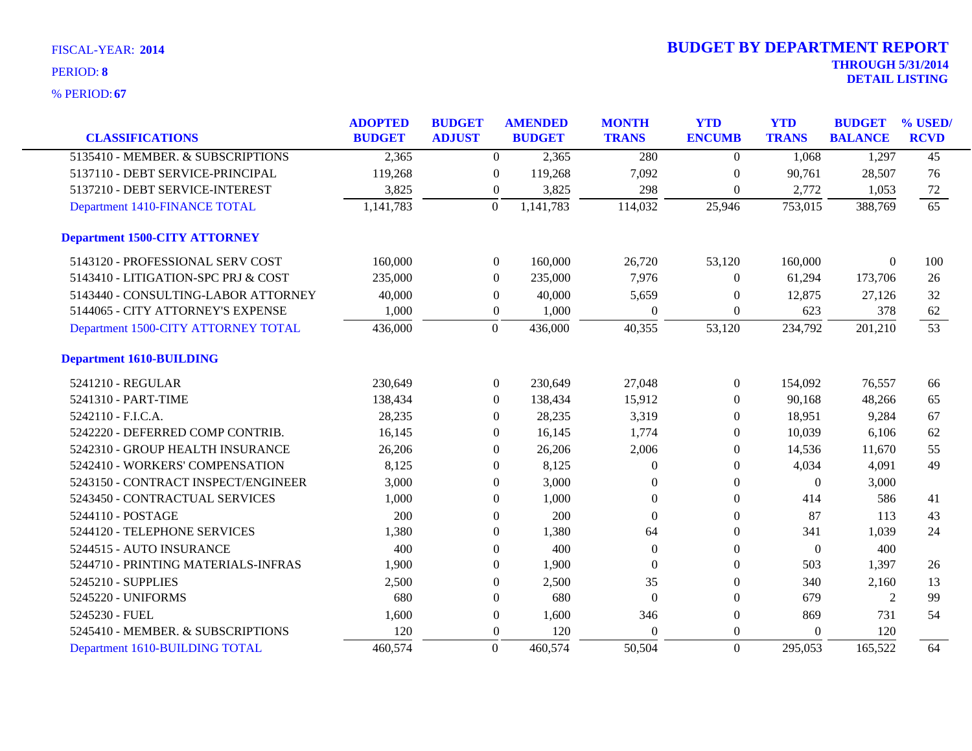| <b>FISCAL-YEAR: 2014</b> |  |
|--------------------------|--|
| $DTDIM$ . $\theta$       |  |

| <b>CLASSIFICATIONS</b>               | <b>ADOPTED</b><br><b>BUDGET</b> | <b>BUDGET</b><br><b>ADJUST</b> | <b>AMENDED</b><br><b>BUDGET</b> | <b>MONTH</b><br><b>TRANS</b> | <b>YTD</b><br><b>ENCUMB</b> | <b>YTD</b><br><b>TRANS</b> | <b>BUDGET</b><br><b>BALANCE</b> | % USED/<br><b>RCVD</b> |
|--------------------------------------|---------------------------------|--------------------------------|---------------------------------|------------------------------|-----------------------------|----------------------------|---------------------------------|------------------------|
| 5135410 - MEMBER. & SUBSCRIPTIONS    | 2,365                           | $\boldsymbol{0}$               | 2,365                           | 280                          | $\overline{0}$              | 1,068                      | 1,297                           | $\overline{45}$        |
| 5137110 - DEBT SERVICE-PRINCIPAL     | 119,268                         | $\overline{0}$                 | 119,268                         | 7,092                        | $\overline{0}$              | 90,761                     | 28,507                          | 76                     |
| 5137210 - DEBT SERVICE-INTEREST      | 3,825                           | $\boldsymbol{0}$               | 3,825                           | 298                          | $\overline{0}$              | 2,772                      | 1,053                           | 72                     |
| Department 1410-FINANCE TOTAL        | 1,141,783                       | $\overline{0}$                 | 1,141,783                       | 114,032                      | 25,946                      | 753,015                    | 388,769                         | 65                     |
| <b>Department 1500-CITY ATTORNEY</b> |                                 |                                |                                 |                              |                             |                            |                                 |                        |
| 5143120 - PROFESSIONAL SERV COST     | 160,000                         | $\overline{0}$                 | 160,000                         | 26,720                       | 53,120                      | 160,000                    | $\Omega$                        | 100                    |
| 5143410 - LITIGATION-SPC PRJ & COST  | 235,000                         | $\boldsymbol{0}$               | 235,000                         | 7,976                        | $\overline{0}$              | 61,294                     | 173,706                         | 26                     |
| 5143440 - CONSULTING-LABOR ATTORNEY  | 40,000                          | $\boldsymbol{0}$               | 40,000                          | 5,659                        | $\mathbf{0}$                | 12,875                     | 27,126                          | 32                     |
| 5144065 - CITY ATTORNEY'S EXPENSE    | 1,000                           | $\boldsymbol{0}$               | 1,000                           | $\Omega$                     | $\Omega$                    | 623                        | 378                             | 62                     |
| Department 1500-CITY ATTORNEY TOTAL  | 436,000                         | $\overline{0}$                 | 436,000                         | 40,355                       | 53,120                      | 234,792                    | 201,210                         | 53                     |
| <b>Department 1610-BUILDING</b>      |                                 |                                |                                 |                              |                             |                            |                                 |                        |
| 5241210 - REGULAR                    | 230,649                         | $\boldsymbol{0}$               | 230,649                         | 27,048                       | $\overline{0}$              | 154,092                    | 76,557                          | 66                     |
| 5241310 - PART-TIME                  | 138,434                         | $\Omega$                       | 138,434                         | 15,912                       | $\left($                    | 90,168                     | 48,266                          | 65                     |
| 5242110 - F.I.C.A.                   | 28,235                          | $\theta$                       | 28,235                          | 3,319                        | $\overline{0}$              | 18,951                     | 9,284                           | 67                     |
| 5242220 - DEFERRED COMP CONTRIB.     | 16,145                          | $\theta$                       | 16,145                          | 1,774                        | $\overline{0}$              | 10,039                     | 6,106                           | 62                     |
| 5242310 - GROUP HEALTH INSURANCE     | 26,206                          | $\theta$                       | 26,206                          | 2,006                        | $\theta$                    | 14,536                     | 11,670                          | 55                     |
| 5242410 - WORKERS' COMPENSATION      | 8,125                           | $\Omega$                       | 8,125                           | $\theta$                     | $\overline{0}$              | 4,034                      | 4,091                           | 49                     |
| 5243150 - CONTRACT INSPECT/ENGINEER  | 3,000                           | $\theta$                       | 3,000                           | $\theta$                     | $\Omega$                    | $\overline{0}$             | 3,000                           |                        |
| 5243450 - CONTRACTUAL SERVICES       | 1,000                           | $\boldsymbol{0}$               | 1,000                           | $\theta$                     | $\overline{0}$              | 414                        | 586                             | 41                     |
| 5244110 - POSTAGE                    | 200                             | $\Omega$                       | 200                             | $\Omega$                     | $\Omega$                    | 87                         | 113                             | 43                     |
| 5244120 - TELEPHONE SERVICES         | 1,380                           | $\boldsymbol{0}$               | 1,380                           | 64                           | $\mathbf{0}$                | 341                        | 1,039                           | 24                     |
| 5244515 - AUTO INSURANCE             | 400                             | $\theta$                       | 400                             | $\mathbf{0}$                 | $\boldsymbol{0}$            | $\boldsymbol{0}$           | 400                             |                        |
| 5244710 - PRINTING MATERIALS-INFRAS  | 1,900                           | $\theta$                       | 1,900                           | $\Omega$                     | $\overline{0}$              | 503                        | 1,397                           | 26                     |
| 5245210 - SUPPLIES                   | 2,500                           | $\boldsymbol{0}$               | 2,500                           | 35                           | $\overline{0}$              | 340                        | 2,160                           | 13                     |
| 5245220 - UNIFORMS                   | 680                             | $\Omega$                       | 680                             | $\Omega$                     | $\Omega$                    | 679                        | 2                               | 99                     |
| 5245230 - FUEL                       | 1,600                           | $\boldsymbol{0}$               | 1,600                           | 346                          | $\mathbf{0}$                | 869                        | 731                             | 54                     |
| 5245410 - MEMBER. & SUBSCRIPTIONS    | 120                             | $\theta$                       | 120                             | $\Omega$                     | $\Omega$                    | $\theta$                   | 120                             |                        |
| Department 1610-BUILDING TOTAL       | 460,574                         | $\overline{0}$                 | 460,574                         | 50,504                       | $\Omega$                    | 295,053                    | 165,522                         | 64                     |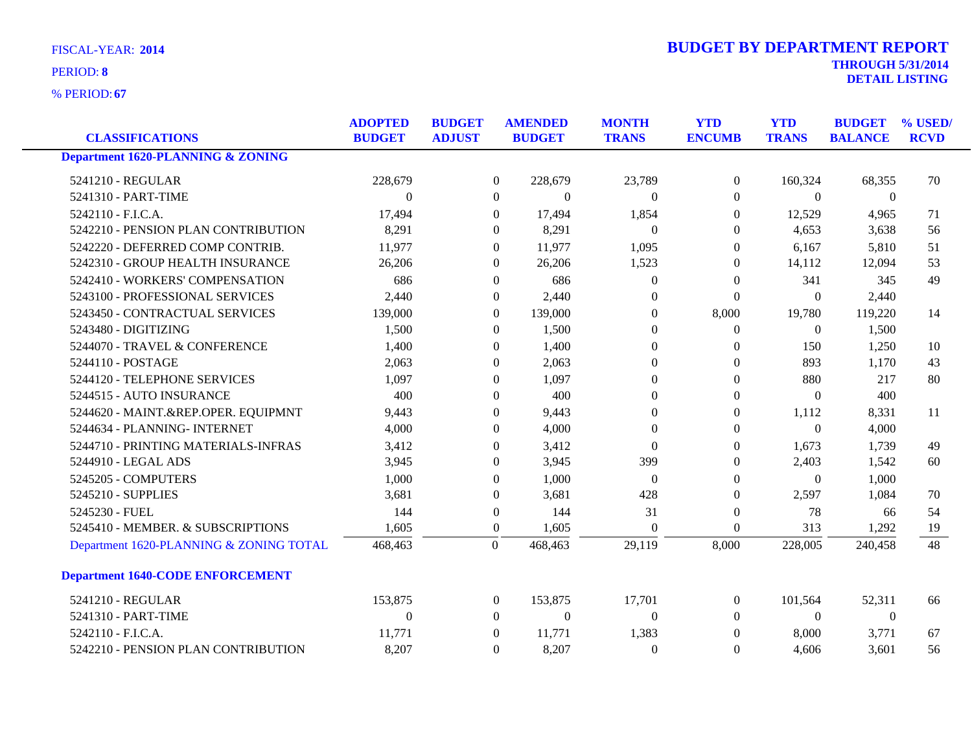**67** % PERIOD:

| <b>DETAIL LISTING</b> |
|-----------------------|
|                       |
|                       |

| <b>CLASSIFICATIONS</b>                       | <b>ADOPTED</b><br><b>BUDGET</b> | <b>BUDGET</b><br><b>ADJUST</b> |                  | <b>AMENDED</b><br><b>BUDGET</b> | <b>MONTH</b><br><b>TRANS</b> | <b>YTD</b><br><b>ENCUMB</b> | <b>YTD</b><br><b>TRANS</b> | <b>BUDGET</b><br><b>BALANCE</b> | % USED/<br><b>RCVD</b> |
|----------------------------------------------|---------------------------------|--------------------------------|------------------|---------------------------------|------------------------------|-----------------------------|----------------------------|---------------------------------|------------------------|
| <b>Department 1620-PLANNING &amp; ZONING</b> |                                 |                                |                  |                                 |                              |                             |                            |                                 |                        |
|                                              |                                 |                                |                  |                                 |                              |                             |                            |                                 |                        |
| 5241210 - REGULAR                            | 228,679                         |                                | $\overline{0}$   | 228,679                         | 23,789                       | $\boldsymbol{0}$            | 160,324                    | 68,355                          | 70                     |
| 5241310 - PART-TIME                          | $\Omega$                        |                                | $\overline{0}$   | $\theta$                        | $\Omega$                     | $\overline{0}$              | $\overline{0}$             | $\overline{0}$                  |                        |
| 5242110 - F.I.C.A.                           | 17,494                          |                                | $\Omega$         | 17,494                          | 1,854                        | $\Omega$                    | 12,529                     | 4,965                           | 71                     |
| 5242210 - PENSION PLAN CONTRIBUTION          | 8,291                           |                                | $\theta$         | 8,291                           | $\theta$                     | $\theta$                    | 4,653                      | 3,638                           | 56                     |
| 5242220 - DEFERRED COMP CONTRIB.             | 11,977                          |                                | $\boldsymbol{0}$ | 11,977                          | 1,095                        | $\theta$                    | 6,167                      | 5,810                           | 51                     |
| 5242310 - GROUP HEALTH INSURANCE             | 26,206                          |                                | $\mathbf{0}$     | 26,206                          | 1,523                        | $\boldsymbol{0}$            | 14,112                     | 12,094                          | 53                     |
| 5242410 - WORKERS' COMPENSATION              | 686                             |                                | $\Omega$         | 686                             | $\Omega$                     | $\theta$                    | 341                        | 345                             | 49                     |
| 5243100 - PROFESSIONAL SERVICES              | 2,440                           |                                | $\theta$         | 2,440                           | $\Omega$                     | $\Omega$                    | $\Omega$                   | 2,440                           |                        |
| 5243450 - CONTRACTUAL SERVICES               | 139,000                         |                                | $\mathbf{0}$     | 139,000                         | $\theta$                     | 8,000                       | 19,780                     | 119,220                         | 14                     |
| 5243480 - DIGITIZING                         | 1,500                           |                                | $\Omega$         | 1,500                           | $\Omega$                     | $\overline{0}$              | $\overline{0}$             | 1,500                           |                        |
| 5244070 - TRAVEL & CONFERENCE                | 1,400                           |                                | $\theta$         | 1,400                           | $\theta$                     | $\theta$                    | 150                        | 1,250                           | 10                     |
| 5244110 - POSTAGE                            | 2,063                           |                                | $\mathbf{0}$     | 2,063                           | $\theta$                     | $\mathbf{0}$                | 893                        | 1,170                           | 43                     |
| 5244120 - TELEPHONE SERVICES                 | 1,097                           |                                | $\Omega$         | 1,097                           | $\Omega$                     | $\Omega$                    | 880                        | 217                             | 80                     |
| 5244515 - AUTO INSURANCE                     | 400                             |                                | $\Omega$         | 400                             | $\Omega$                     | $\Omega$                    | $\Omega$                   | 400                             |                        |
| 5244620 - MAINT.&REP.OPER. EQUIPMNT          | 9,443                           |                                | $\mathbf{0}$     | 9,443                           | $\theta$                     | $\boldsymbol{0}$            | 1,112                      | 8,331                           | 11                     |
| 5244634 - PLANNING- INTERNET                 | 4,000                           |                                | $\theta$         | 4,000                           | $\theta$                     | $\theta$                    | $\mathbf{0}$               | 4,000                           |                        |
| 5244710 - PRINTING MATERIALS-INFRAS          | 3,412                           |                                | $\Omega$         | 3,412                           | $\Omega$                     | $\theta$                    | 1,673                      | 1,739                           | 49                     |
| 5244910 - LEGAL ADS                          | 3,945                           |                                | $\theta$         | 3,945                           | 399                          | $\theta$                    | 2,403                      | 1,542                           | 60                     |
| 5245205 - COMPUTERS                          | 1,000                           |                                | $\theta$         | 1,000                           | $\overline{0}$               | $\mathbf{0}$                | $\theta$                   | 1,000                           |                        |
| 5245210 - SUPPLIES                           | 3,681                           |                                | $\Omega$         | 3,681                           | 428                          | $\Omega$                    | 2,597                      | 1,084                           | 70                     |
| 5245230 - FUEL                               | 144                             |                                | $\boldsymbol{0}$ | 144                             | 31                           | $\boldsymbol{0}$            | 78                         | 66                              | 54                     |
| 5245410 - MEMBER. & SUBSCRIPTIONS            | 1,605                           |                                | $\boldsymbol{0}$ | 1,605                           | $\theta$                     | $\boldsymbol{0}$            | 313                        | 1,292                           | 19                     |
| Department 1620-PLANNING & ZONING TOTAL      | 468,463                         |                                | $\mathbf{0}$     | 468,463                         | 29,119                       | 8,000                       | 228,005                    | 240,458                         | 48                     |
| <b>Department 1640-CODE ENFORCEMENT</b>      |                                 |                                |                  |                                 |                              |                             |                            |                                 |                        |
| 5241210 - REGULAR                            | 153,875                         |                                | $\boldsymbol{0}$ | 153,875                         | 17,701                       | $\boldsymbol{0}$            | 101,564                    | 52,311                          | 66                     |
| 5241310 - PART-TIME                          | $\Omega$                        |                                | $\Omega$         | $\Omega$                        | $\Omega$                     | $\Omega$                    | $\Omega$                   | $\overline{0}$                  |                        |
| 5242110 - F.I.C.A.                           | 11,771                          |                                | $\Omega$         | 11,771                          | 1,383                        | $\Omega$                    | 8,000                      | 3,771                           | 67                     |
| 5242210 - PENSION PLAN CONTRIBUTION          | 8,207                           |                                | $\Omega$         | 8,207                           | $\theta$                     | $\Omega$                    | 4,606                      | 3,601                           | 56                     |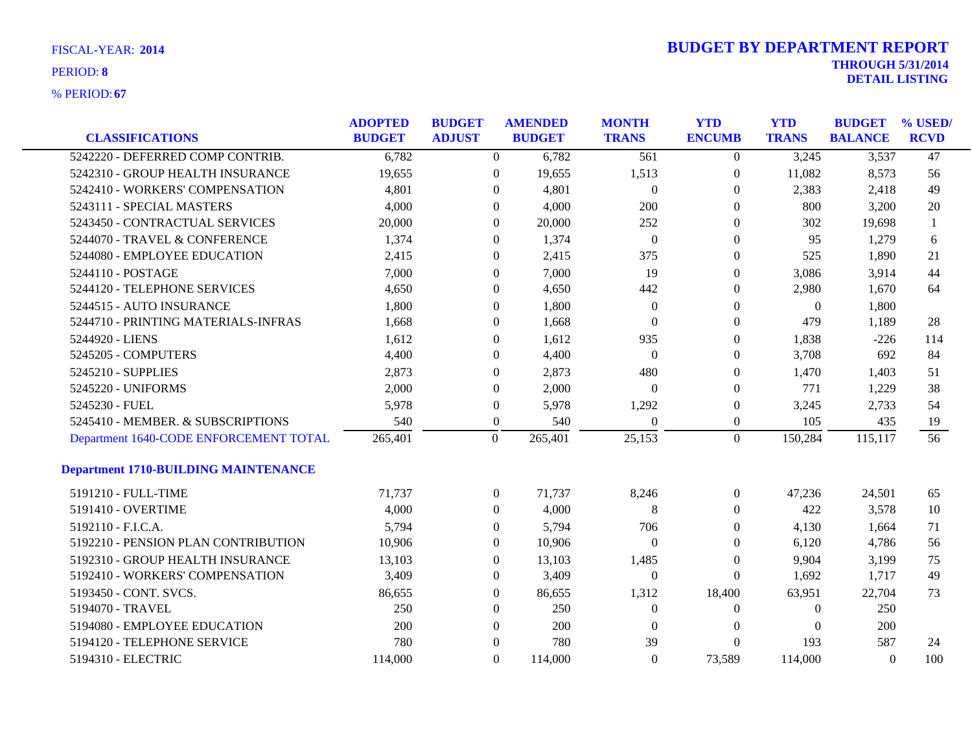| <b>CLASSIFICATIONS</b>                      | <b>ADOPTED</b><br><b>BUDGET</b> | <b>BUDGET</b><br><b>ADJUST</b> | <b>AMENDED</b><br><b>BUDGET</b> |         | <b>MONTH</b><br><b>TRANS</b> | <b>YTD</b><br><b>ENCUMB</b> | <b>YTD</b><br><b>TRANS</b> | <b>BUDGET</b><br><b>BALANCE</b> | % USED/<br><b>RCVD</b> |
|---------------------------------------------|---------------------------------|--------------------------------|---------------------------------|---------|------------------------------|-----------------------------|----------------------------|---------------------------------|------------------------|
| 5242220 - DEFERRED COMP CONTRIB.            | 6,782                           |                                | $\overline{0}$                  | 6,782   | 561                          | $\overline{0}$              | 3,245                      | 3,537                           | 47                     |
| 5242310 - GROUP HEALTH INSURANCE            | 19,655                          |                                | $\overline{0}$                  | 19,655  | 1,513                        | 0                           | 11,082                     | 8,573                           | 56                     |
| 5242410 - WORKERS' COMPENSATION             | 4,801                           |                                | $\theta$                        | 4,801   | $\overline{0}$               | 0                           | 2,383                      | 2,418                           | 49                     |
| 5243111 - SPECIAL MASTERS                   | 4,000                           |                                | $\Omega$                        | 4,000   | 200                          | 0                           | 800                        | 3,200                           | 20                     |
| 5243450 - CONTRACTUAL SERVICES              | 20,000                          |                                | $\Omega$                        | 20,000  | 252                          | 0                           | 302                        | 19,698                          | 1                      |
| 5244070 - TRAVEL & CONFERENCE               | 1,374                           |                                | $\overline{0}$                  | 1,374   | $\boldsymbol{0}$             | $\overline{0}$              | 95                         | 1,279                           | 6                      |
| 5244080 - EMPLOYEE EDUCATION                | 2,415                           |                                | $\Omega$                        | 2,415   | 375                          | $\overline{0}$              | 525                        | 1,890                           | 21                     |
| 5244110 - POSTAGE                           | 7,000                           |                                | $\Omega$                        | 7,000   | 19                           | $\Omega$                    | 3,086                      | 3,914                           | 44                     |
| 5244120 - TELEPHONE SERVICES                | 4,650                           |                                | $\Omega$                        | 4,650   | 442                          | $\overline{0}$              | 2,980                      | 1,670                           | 64                     |
| 5244515 - AUTO INSURANCE                    | 1,800                           |                                | $\mathbf{0}$                    | 1,800   | $\theta$                     | $\mathbf{0}$                | $\overline{0}$             | 1,800                           |                        |
| 5244710 - PRINTING MATERIALS-INFRAS         | 1,668                           |                                | $\overline{0}$                  | 1,668   | $\Omega$                     | 0                           | 479                        | 1,189                           | 28                     |
| 5244920 - LIENS                             | 1,612                           |                                | $\overline{0}$                  | 1,612   | 935                          | 0                           | 1,838                      | $-226$                          | 114                    |
| 5245205 - COMPUTERS                         | 4,400                           |                                | $\Omega$                        | 4,400   | $\overline{0}$               | $\overline{0}$              | 3,708                      | 692                             | 84                     |
| 5245210 - SUPPLIES                          | 2,873                           |                                | $\theta$                        | 2,873   | 480                          | $\overline{0}$              | 1,470                      | 1,403                           | 51                     |
| 5245220 - UNIFORMS                          | 2,000                           |                                | $\theta$                        | 2,000   | $\theta$                     | $\overline{0}$              | 771                        | 1,229                           | 38                     |
| 5245230 - FUEL                              | 5,978                           |                                | $\mathbf{0}$                    | 5,978   | 1,292                        | $\overline{0}$              | 3,245                      | 2,733                           | 54                     |
| 5245410 - MEMBER. & SUBSCRIPTIONS           | 540                             |                                | $\overline{0}$                  | 540     | $\Omega$                     | $\overline{0}$              | 105                        | 435                             | 19                     |
| Department 1640-CODE ENFORCEMENT TOTAL      | 265,401                         |                                | $\overline{0}$                  | 265,401 | 25,153                       | $\overline{0}$              | 150,284                    | 115,117                         | 56                     |
| <b>Department 1710-BUILDING MAINTENANCE</b> |                                 |                                |                                 |         |                              |                             |                            |                                 |                        |
| 5191210 - FULL-TIME                         | 71,737                          |                                | $\overline{0}$                  | 71,737  | 8,246                        | $\overline{0}$              | 47,236                     | 24,501                          | 65                     |
| 5191410 - OVERTIME                          | 4,000                           |                                | $\overline{0}$                  | 4,000   | 8                            | $\overline{0}$              | 422                        | 3,578                           | 10                     |
| 5192110 - F.I.C.A.                          | 5,794                           |                                | $\overline{0}$                  | 5,794   | 706                          | 0                           | 4,130                      | 1,664                           | 71                     |
| 5192210 - PENSION PLAN CONTRIBUTION         | 10,906                          |                                | $\overline{0}$                  | 10,906  | $\overline{0}$               | $\overline{0}$              | 6,120                      | 4,786                           | 56                     |
| 5192310 - GROUP HEALTH INSURANCE            | 13,103                          |                                | $\Omega$                        | 13,103  | 1,485                        | $\Omega$                    | 9,904                      | 3,199                           | 75                     |
| 5192410 - WORKERS' COMPENSATION             | 3,409                           |                                | $\overline{0}$                  | 3,409   | $\theta$                     | $\Omega$                    | 1,692                      | 1,717                           | 49                     |
| 5193450 - CONT. SVCS.                       | 86,655                          |                                | $\overline{0}$                  | 86,655  | 1,312                        | 18,400                      | 63,951                     | 22,704                          | 73                     |
| 5194070 - TRAVEL                            | 250                             |                                | $\overline{0}$                  | 250     | $\overline{0}$               | $\theta$                    | $\theta$                   | 250                             |                        |
| 5194080 - EMPLOYEE EDUCATION                | 200                             |                                | $\overline{0}$                  | 200     | $\left($                     | $\overline{0}$              | $\Omega$                   | 200                             |                        |
| 5194120 - TELEPHONE SERVICE                 | 780                             |                                | $\theta$                        | 780     | 39                           | $\theta$                    | 193                        | 587                             | 24                     |
| 5194310 - ELECTRIC                          | 114,000                         |                                | $\Omega$                        | 114,000 | $\theta$                     | 73,589                      | 114,000                    | $\theta$                        | 100                    |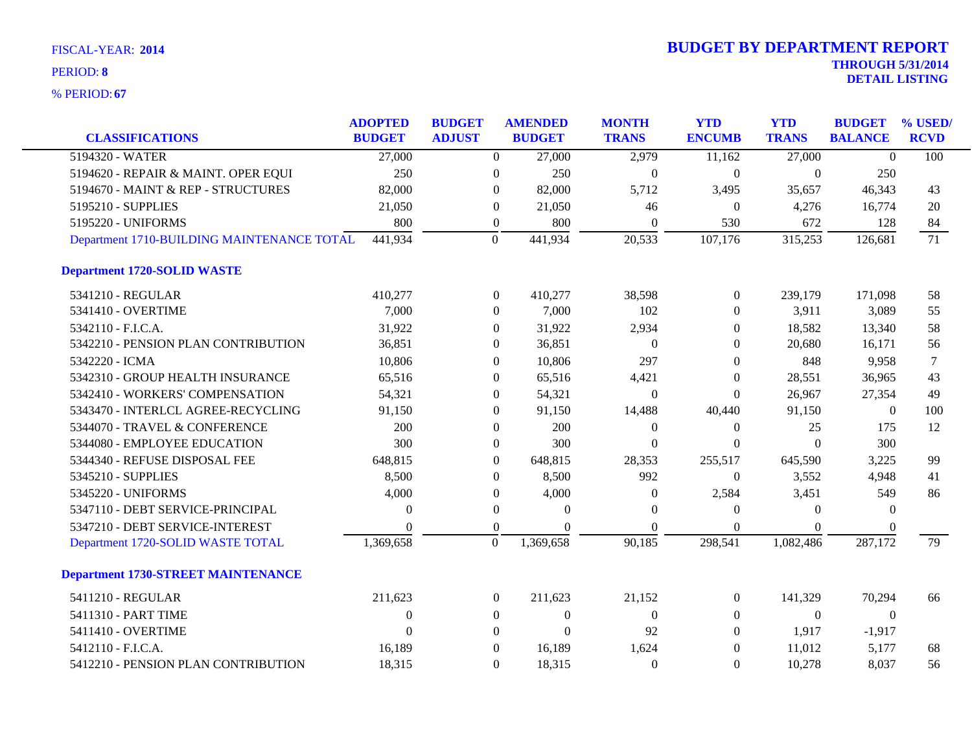| <b>CLASSIFICATIONS</b>                                                    | <b>ADOPTED</b><br><b>BUDGET</b> | <b>BUDGET</b><br><b>ADJUST</b> |                  | <b>AMENDED</b><br><b>BUDGET</b> | <b>MONTH</b><br><b>TRANS</b> | <b>YTD</b><br><b>ENCUMB</b> | <b>YTD</b><br><b>TRANS</b> | <b>BUDGET</b><br><b>BALANCE</b> | % USED/<br><b>RCVD</b> |
|---------------------------------------------------------------------------|---------------------------------|--------------------------------|------------------|---------------------------------|------------------------------|-----------------------------|----------------------------|---------------------------------|------------------------|
| 5194320 - WATER                                                           | 27,000                          |                                | $\overline{0}$   | 27,000                          | 2,979                        | 11,162                      | 27,000                     | $\Omega$                        | 100                    |
|                                                                           | 250                             |                                |                  |                                 |                              |                             |                            |                                 |                        |
| 5194620 - REPAIR & MAINT. OPER EQUI<br>5194670 - MAINT & REP - STRUCTURES |                                 |                                | $\boldsymbol{0}$ | 250                             | $\theta$                     | $\boldsymbol{0}$            | $\overline{0}$             | 250                             |                        |
|                                                                           | 82,000                          |                                | $\overline{0}$   | 82,000                          | 5,712                        | 3,495                       | 35,657                     | 46,343                          | 43                     |
| 5195210 - SUPPLIES                                                        | 21,050                          |                                | $\overline{0}$   | 21,050                          | 46                           | $\overline{0}$              | 4,276                      | 16,774                          | 20                     |
| 5195220 - UNIFORMS                                                        | 800                             |                                | $\boldsymbol{0}$ | 800                             | $\theta$                     | 530                         | 672                        | 128                             | 84                     |
| Department 1710-BUILDING MAINTENANCE TOTAL                                | 441,934                         |                                | $\overline{0}$   | 441,934                         | 20,533                       | 107,176                     | 315,253                    | 126,681                         | 71                     |
| <b>Department 1720-SOLID WASTE</b>                                        |                                 |                                |                  |                                 |                              |                             |                            |                                 |                        |
| 5341210 - REGULAR                                                         | 410,277                         |                                | $\overline{0}$   | 410,277                         | 38,598                       | $\boldsymbol{0}$            | 239,179                    | 171,098                         | 58                     |
| 5341410 - OVERTIME                                                        | 7,000                           |                                | $\overline{0}$   | 7,000                           | 102                          | $\overline{0}$              | 3,911                      | 3,089                           | 55                     |
| 5342110 - F.I.C.A.                                                        | 31,922                          |                                | $\overline{0}$   | 31,922                          | 2,934                        | $\Omega$                    | 18,582                     | 13,340                          | 58                     |
| 5342210 - PENSION PLAN CONTRIBUTION                                       | 36,851                          |                                | 0                | 36,851                          | $\theta$                     | $\theta$                    | 20,680                     | 16,171                          | 56                     |
| 5342220 - ICMA                                                            | 10,806                          |                                | $\Omega$         | 10,806                          | 297                          | $\theta$                    | 848                        | 9,958                           | 7                      |
| 5342310 - GROUP HEALTH INSURANCE                                          | 65,516                          |                                | $\overline{0}$   | 65,516                          | 4,421                        | $\overline{0}$              | 28,551                     | 36,965                          | 43                     |
| 5342410 - WORKERS' COMPENSATION                                           | 54,321                          |                                | $\overline{0}$   | 54,321                          | $\theta$                     | $\Omega$                    | 26,967                     | 27,354                          | 49                     |
| 5343470 - INTERLCL AGREE-RECYCLING                                        | 91,150                          |                                | $\boldsymbol{0}$ | 91,150                          | 14,488                       | 40,440                      | 91,150                     | $\boldsymbol{0}$                | 100                    |
| 5344070 - TRAVEL & CONFERENCE                                             | 200                             |                                | $\overline{0}$   | 200                             | $\theta$                     | $\boldsymbol{0}$            | 25                         | 175                             | 12                     |
| 5344080 - EMPLOYEE EDUCATION                                              | 300                             |                                | $\Omega$         | 300                             | $\Omega$                     | $\Omega$                    | $\Omega$                   | 300                             |                        |
| 5344340 - REFUSE DISPOSAL FEE                                             | 648,815                         |                                | $\overline{0}$   | 648,815                         | 28,353                       | 255,517                     | 645,590                    | 3,225                           | 99                     |
| 5345210 - SUPPLIES                                                        | 8,500                           |                                | $\overline{0}$   | 8,500                           | 992                          | $\boldsymbol{0}$            | 3,552                      | 4,948                           | 41                     |
| 5345220 - UNIFORMS                                                        | 4,000                           |                                | $\boldsymbol{0}$ | 4,000                           | $\theta$                     | 2,584                       | 3,451                      | 549                             | 86                     |
| 5347110 - DEBT SERVICE-PRINCIPAL                                          | $\Omega$                        |                                | $\boldsymbol{0}$ | $\Omega$                        | $\Omega$                     | $\overline{0}$              | $\Omega$                   | $\theta$                        |                        |
| 5347210 - DEBT SERVICE-INTEREST                                           | $\Omega$                        |                                | $\boldsymbol{0}$ | $\Omega$                        | $\Omega$                     | $\overline{0}$              | $\Omega$                   | $\theta$                        |                        |
| Department 1720-SOLID WASTE TOTAL                                         | 1,369,658                       |                                | $\mathbf{0}$     | 1,369,658                       | 90,185                       | 298,541                     | 1,082,486                  | 287,172                         | 79                     |
| <b>Department 1730-STREET MAINTENANCE</b>                                 |                                 |                                |                  |                                 |                              |                             |                            |                                 |                        |
| 5411210 - REGULAR                                                         | 211,623                         |                                | $\overline{0}$   | 211,623                         | 21,152                       | $\overline{0}$              | 141,329                    | 70,294                          | 66                     |
| 5411310 - PART TIME                                                       | $\theta$                        |                                | $\overline{0}$   | $\mathbf{0}$                    | $\Omega$                     | $\overline{0}$              | $\theta$                   | $\theta$                        |                        |
| 5411410 - OVERTIME                                                        | $\theta$                        |                                | $\overline{0}$   | $\boldsymbol{0}$                | 92                           | $\overline{0}$              | 1,917                      | $-1,917$                        |                        |
| 5412110 - F.I.C.A.                                                        | 16,189                          |                                | $\theta$         | 16,189                          | 1,624                        | $\overline{0}$              | 11,012                     | 5,177                           | 68                     |
| 5412210 - PENSION PLAN CONTRIBUTION                                       | 18,315                          |                                | $\Omega$         | 18,315                          | $\theta$                     | $\Omega$                    | 10,278                     | 8,037                           | 56                     |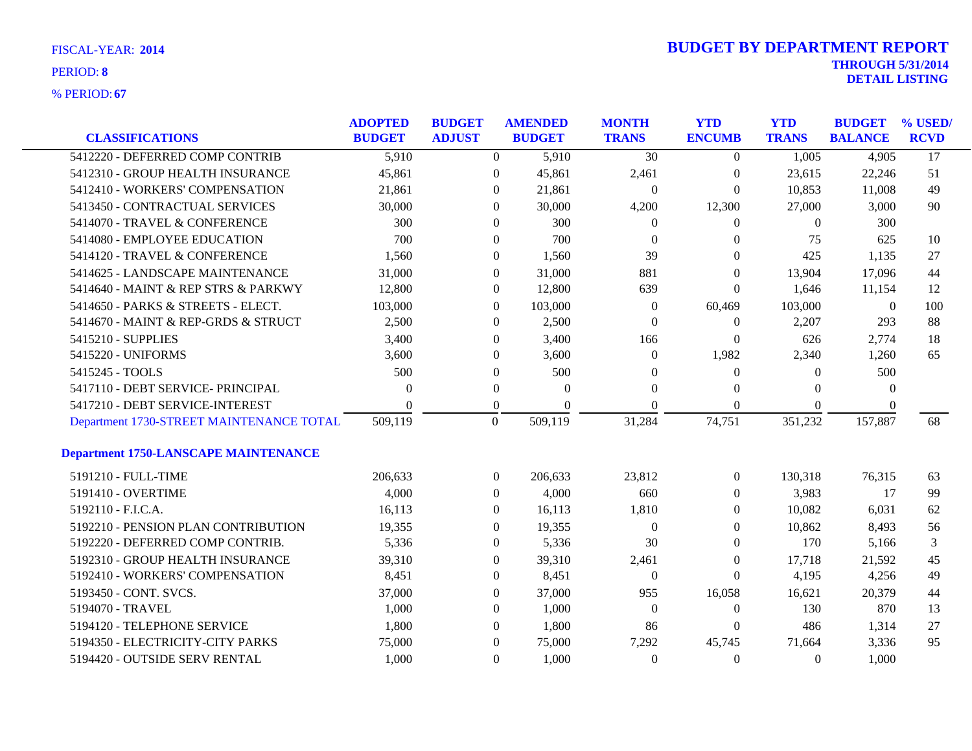| FISCAL-YEAR: 2014 |  |
|-------------------|--|
| PERIOD: 8         |  |

| <b>CLASSIFICATIONS</b>                      | <b>ADOPTED</b><br><b>BUDGET</b> | <b>BUDGET</b><br><b>ADJUST</b> | <b>AMENDED</b><br><b>BUDGET</b> | <b>MONTH</b><br><b>TRANS</b> | <b>YTD</b><br><b>ENCUMB</b> | <b>YTD</b><br><b>TRANS</b> | <b>BUDGET</b><br><b>BALANCE</b> | % USED/<br><b>RCVD</b> |
|---------------------------------------------|---------------------------------|--------------------------------|---------------------------------|------------------------------|-----------------------------|----------------------------|---------------------------------|------------------------|
| 5412220 - DEFERRED COMP CONTRIB             | 5,910                           | $\overline{0}$                 | 5,910                           | $\overline{30}$              | $\overline{0}$              | 1,005                      | 4,905                           | $\overline{17}$        |
| 5412310 - GROUP HEALTH INSURANCE            | 45,861                          | $\boldsymbol{0}$               | 45,861                          | 2,461                        | $\boldsymbol{0}$            | 23,615                     | 22,246                          | 51                     |
| 5412410 - WORKERS' COMPENSATION             | 21,861                          | $\overline{0}$                 | 21,861                          | $\boldsymbol{0}$             | $\boldsymbol{0}$            | 10,853                     | 11,008                          | 49                     |
| 5413450 - CONTRACTUAL SERVICES              | 30,000                          | $\theta$                       | 30,000                          | 4,200                        | 12,300                      | 27,000                     | 3,000                           | 90                     |
| 5414070 - TRAVEL & CONFERENCE               | 300                             | $\theta$                       | 300                             | $\boldsymbol{0}$             | 0                           | $\theta$                   | 300                             |                        |
| 5414080 - EMPLOYEE EDUCATION                | 700                             | $\boldsymbol{0}$               | 700                             | $\overline{0}$               | 0                           | 75                         | 625                             | 10                     |
| 5414120 - TRAVEL & CONFERENCE               | 1,560                           | $\boldsymbol{0}$               | 1,560                           | 39                           | $\boldsymbol{0}$            | 425                        | 1,135                           | 27                     |
| 5414625 - LANDSCAPE MAINTENANCE             | 31,000                          | $\overline{0}$                 | 31,000                          | 881                          | $\theta$                    | 13,904                     | 17,096                          | 44                     |
| 5414640 - MAINT & REP STRS & PARKWY         | 12,800                          | $\overline{0}$                 | 12,800                          | 639                          | 0                           | 1,646                      | 11,154                          | 12                     |
| 5414650 - PARKS & STREETS - ELECT.          | 103,000                         | $\overline{0}$                 | 103,000                         | $\boldsymbol{0}$             | 60,469                      | 103,000                    | $\boldsymbol{0}$                | 100                    |
| 5414670 - MAINT & REP-GRDS & STRUCT         | 2,500                           | $\overline{0}$                 | 2,500                           | $\boldsymbol{0}$             | $\boldsymbol{0}$            | 2,207                      | 293                             | 88                     |
| 5415210 - SUPPLIES                          | 3,400                           | $\theta$                       | 3,400                           | 166                          | $\theta$                    | 626                        | 2,774                           | 18                     |
| 5415220 - UNIFORMS                          | 3,600                           | $\theta$                       | 3,600                           | $\theta$                     | 1,982                       | 2,340                      | 1,260                           | 65                     |
| 5415245 - TOOLS                             | 500                             | $\boldsymbol{0}$               | 500                             | $\theta$                     | $\boldsymbol{0}$            | $\mathbf{0}$               | 500                             |                        |
| 5417110 - DEBT SERVICE- PRINCIPAL           | $\theta$                        | $\boldsymbol{0}$               | $\theta$                        | $\overline{0}$               | $\theta$                    | $\mathbf{0}$               | $\theta$                        |                        |
| 5417210 - DEBT SERVICE-INTEREST             |                                 | 0                              | $\Omega$                        | $\Omega$                     | 0                           | $\Omega$                   | $\theta$                        |                        |
| Department 1730-STREET MAINTENANCE TOTAL    | 509,119                         | $\mathbf{0}$                   | 509,119                         | 31,284                       | 74,751                      | 351,232                    | 157,887                         | 68                     |
| <b>Department 1750-LANSCAPE MAINTENANCE</b> |                                 |                                |                                 |                              |                             |                            |                                 |                        |
| 5191210 - FULL-TIME                         | 206,633                         | $\boldsymbol{0}$               | 206,633                         | 23,812                       | $\boldsymbol{0}$            | 130,318                    | 76,315                          | 63                     |
| 5191410 - OVERTIME                          | 4,000                           | $\overline{0}$                 | 4,000                           | 660                          | 0                           | 3,983                      | 17                              | 99                     |
| 5192110 - F.I.C.A.                          | 16,113                          | $\overline{0}$                 | 16,113                          | 1,810                        | 0                           | 10,082                     | 6,031                           | 62                     |
| 5192210 - PENSION PLAN CONTRIBUTION         | 19,355                          | 0                              | 19,355                          | $\boldsymbol{0}$             | $\boldsymbol{0}$            | 10,862                     | 8,493                           | 56                     |
| 5192220 - DEFERRED COMP CONTRIB.            | 5,336                           | $\overline{0}$                 | 5,336                           | 30                           | $\boldsymbol{0}$            | 170                        | 5,166                           | 3                      |
| 5192310 - GROUP HEALTH INSURANCE            | 39,310                          | $\overline{0}$                 | 39,310                          | 2,461                        | 0                           | 17,718                     | 21,592                          | 45                     |
| 5192410 - WORKERS' COMPENSATION             | 8,451                           | $\overline{0}$                 | 8,451                           | $\boldsymbol{0}$             | $\overline{0}$              | 4,195                      | 4,256                           | 49                     |
| 5193450 - CONT. SVCS.                       | 37,000                          | $\boldsymbol{0}$               | 37,000                          | 955                          | 16,058                      | 16,621                     | 20,379                          | 44                     |
| 5194070 - TRAVEL                            | 1,000                           | $\overline{0}$                 | 1,000                           | $\boldsymbol{0}$             | $\boldsymbol{0}$            | 130                        | 870                             | 13                     |
| 5194120 - TELEPHONE SERVICE                 | 1,800                           | $\overline{0}$                 | 1,800                           | 86                           | $\boldsymbol{0}$            | 486                        | 1,314                           | 27                     |
| 5194350 - ELECTRICITY-CITY PARKS            | 75,000                          | $\theta$                       | 75,000                          | 7,292                        | 45,745                      | 71,664                     | 3,336                           | 95                     |
| 5194420 - OUTSIDE SERV RENTAL               | 1,000                           | $\overline{0}$                 | 1,000                           | $\mathbf{0}$                 | $\overline{0}$              | $\mathbf{0}$               | 1,000                           |                        |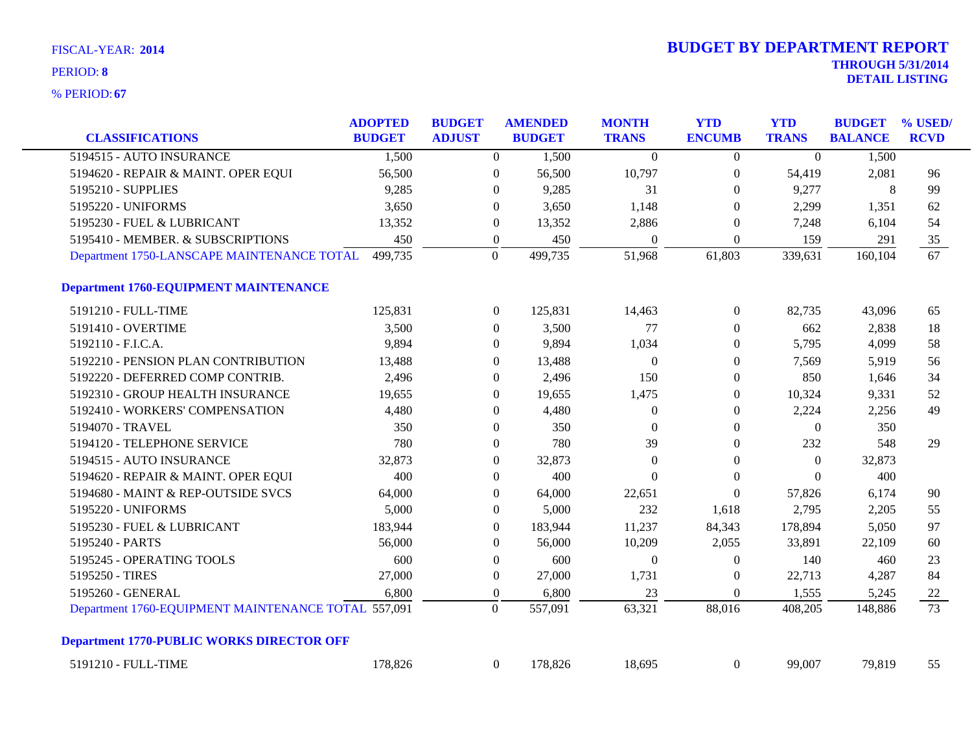|                                                     | <b>ADOPTED</b> | <b>BUDGET</b> |                  | <b>AMENDED</b> | <b>MONTH</b>     | <b>YTD</b>       | <b>YTD</b>       | <b>BUDGET</b>  | % USED/         |
|-----------------------------------------------------|----------------|---------------|------------------|----------------|------------------|------------------|------------------|----------------|-----------------|
| <b>CLASSIFICATIONS</b>                              | <b>BUDGET</b>  | <b>ADJUST</b> |                  | <b>BUDGET</b>  | <b>TRANS</b>     | <b>ENCUMB</b>    | <b>TRANS</b>     | <b>BALANCE</b> | <b>RCVD</b>     |
| 5194515 - AUTO INSURANCE                            | 1,500          |               | $\overline{0}$   | 1,500          | $\Omega$         | $\overline{0}$   | $\Omega$         | 1,500          |                 |
| 5194620 - REPAIR & MAINT. OPER EQUI                 | 56,500         |               | $\overline{0}$   | 56,500         | 10,797           | $\boldsymbol{0}$ | 54,419           | 2,081          | 96              |
| 5195210 - SUPPLIES                                  | 9,285          |               | $\overline{0}$   | 9,285          | 31               | $\theta$         | 9,277            | 8              | 99              |
| 5195220 - UNIFORMS                                  | 3,650          |               | $\boldsymbol{0}$ | 3,650          | 1,148            | $\Omega$         | 2,299            | 1,351          | 62              |
| 5195230 - FUEL & LUBRICANT                          | 13,352         |               | $\overline{0}$   | 13,352         | 2,886            | $\theta$         | 7,248            | 6,104          | 54              |
| 5195410 - MEMBER. & SUBSCRIPTIONS                   | 450            |               | $\boldsymbol{0}$ | 450            | $\mathbf{0}$     | $\boldsymbol{0}$ | 159              | 291            | 35              |
| Department 1750-LANSCAPE MAINTENANCE TOTAL          | 499,735        |               | $\mathbf{0}$     | 499,735        | 51,968           | 61,803           | 339,631          | 160,104        | $\overline{67}$ |
| <b>Department 1760-EQUIPMENT MAINTENANCE</b>        |                |               |                  |                |                  |                  |                  |                |                 |
| 5191210 - FULL-TIME                                 | 125,831        |               | $\overline{0}$   | 125,831        | 14,463           | $\boldsymbol{0}$ | 82,735           | 43,096         | 65              |
| 5191410 - OVERTIME                                  | 3,500          |               | $\mathbf{0}$     | 3,500          | 77               | $\overline{0}$   | 662              | 2,838          | 18              |
| 5192110 - F.I.C.A.                                  | 9,894          |               | $\overline{0}$   | 9,894          | 1,034            | $\boldsymbol{0}$ | 5,795            | 4,099          | 58              |
| 5192210 - PENSION PLAN CONTRIBUTION                 | 13,488         |               | $\boldsymbol{0}$ | 13,488         | $\boldsymbol{0}$ | $\boldsymbol{0}$ | 7,569            | 5,919          | 56              |
| 5192220 - DEFERRED COMP CONTRIB.                    | 2,496          |               | $\boldsymbol{0}$ | 2,496          | 150              | $\theta$         | 850              | 1,646          | 34              |
| 5192310 - GROUP HEALTH INSURANCE                    | 19,655         |               | $\overline{0}$   | 19,655         | 1,475            | $\boldsymbol{0}$ | 10,324           | 9,331          | 52              |
| 5192410 - WORKERS' COMPENSATION                     | 4,480          |               | $\overline{0}$   | 4,480          | $\mathbf{0}$     | $\theta$         | 2,224            | 2,256          | 49              |
| 5194070 - TRAVEL                                    | 350            |               | $\boldsymbol{0}$ | 350            | $\mathbf{0}$     | $\boldsymbol{0}$ | $\boldsymbol{0}$ | 350            |                 |
| 5194120 - TELEPHONE SERVICE                         | 780            |               | $\boldsymbol{0}$ | 780            | 39               | $\boldsymbol{0}$ | 232              | 548            | 29              |
| 5194515 - AUTO INSURANCE                            | 32,873         |               | $\boldsymbol{0}$ | 32,873         | $\boldsymbol{0}$ | $\theta$         | $\boldsymbol{0}$ | 32,873         |                 |
| 5194620 - REPAIR & MAINT. OPER EQUI                 | 400            |               | $\overline{0}$   | 400            | $\Omega$         | $\Omega$         | $\Omega$         | 400            |                 |
| 5194680 - MAINT & REP-OUTSIDE SVCS                  | 64,000         |               | $\boldsymbol{0}$ | 64,000         | 22,651           | $\theta$         | 57,826           | 6,174          | 90              |
| 5195220 - UNIFORMS                                  | 5,000          |               | $\boldsymbol{0}$ | 5,000          | 232              | 1,618            | 2,795            | 2,205          | 55              |
| 5195230 - FUEL & LUBRICANT                          | 183,944        |               | $\boldsymbol{0}$ | 183,944        | 11,237           | 84,343           | 178,894          | 5,050          | 97              |
| 5195240 - PARTS                                     | 56,000         |               | $\overline{0}$   | 56,000         | 10,209           | 2,055            | 33,891           | 22,109         | 60              |
| 5195245 - OPERATING TOOLS                           | 600            |               | $\overline{0}$   | 600            | $\theta$         | $\theta$         | 140              | 460            | 23              |
| 5195250 - TIRES                                     | 27,000         |               | $\boldsymbol{0}$ | 27,000         | 1,731            | $\overline{0}$   | 22,713           | 4,287          | 84              |
| 5195260 - GENERAL                                   | 6,800          |               | $\boldsymbol{0}$ | 6,800          | 23               | $\boldsymbol{0}$ | 1,555            | 5,245          | 22              |
| Department 1760-EQUIPMENT MAINTENANCE TOTAL 557,091 |                |               | $\boldsymbol{0}$ | 557,091        | 63,321           | 88,016           | 408,205          | 148,886        | $\overline{73}$ |
| <b>Department 1770-PUBLIC WORKS DIRECTOR OFF</b>    |                |               |                  |                |                  |                  |                  |                |                 |
| 5191210 - FULL-TIME                                 | 178,826        |               | $\overline{0}$   | 178,826        | 18,695           | $\boldsymbol{0}$ | 99,007           | 79,819         | 55              |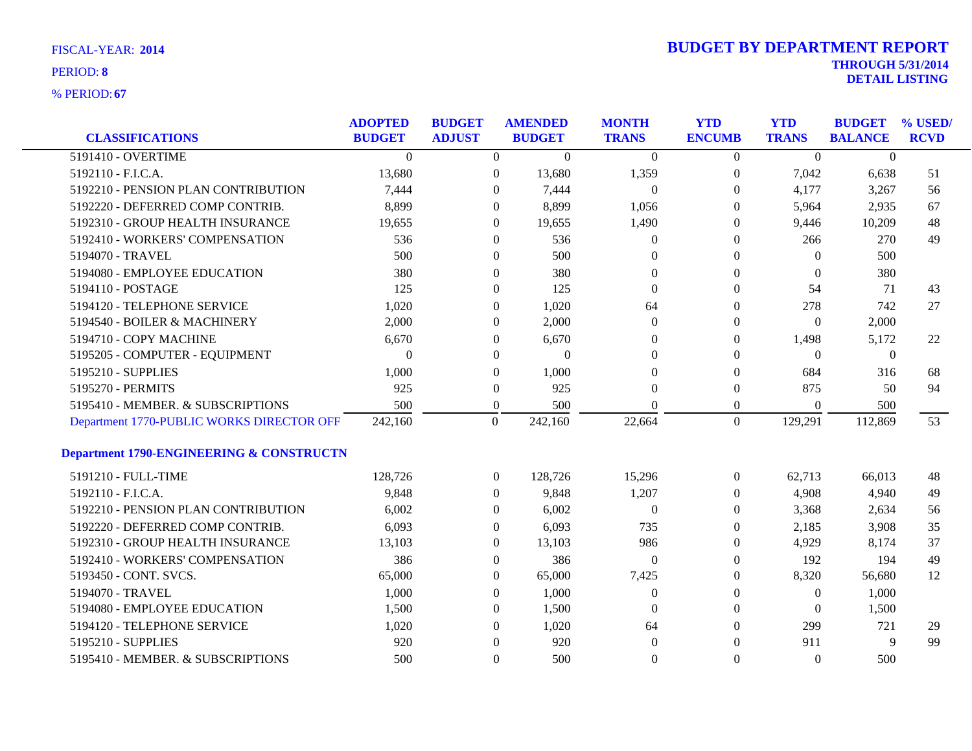| <b>CLASSIFICATIONS</b>                    | <b>ADOPTED</b><br><b>BUDGET</b> | <b>BUDGET</b><br><b>ADJUST</b> |                  | <b>AMENDED</b><br><b>BUDGET</b> | <b>MONTH</b><br><b>TRANS</b> | <b>YTD</b><br><b>ENCUMB</b> | <b>YTD</b><br><b>TRANS</b> | <b>BUDGET</b><br><b>BALANCE</b> | % USED/<br><b>RCVD</b> |
|-------------------------------------------|---------------------------------|--------------------------------|------------------|---------------------------------|------------------------------|-----------------------------|----------------------------|---------------------------------|------------------------|
| 5191410 - OVERTIME                        | $\Omega$                        |                                | $\overline{0}$   | $\Omega$                        | $\Omega$                     | $\Omega$                    | $\Omega$                   | $\theta$                        |                        |
| 5192110 - F.I.C.A.                        | 13,680                          |                                | $\overline{0}$   | 13,680                          | 1,359                        | 0                           | 7,042                      | 6,638                           | 51                     |
| 5192210 - PENSION PLAN CONTRIBUTION       | 7,444                           |                                | $\theta$         | 7,444                           | $\overline{0}$               | $\theta$                    | 4,177                      | 3,267                           | 56                     |
| 5192220 - DEFERRED COMP CONTRIB.          | 8,899                           |                                | $\Omega$         | 8,899                           | 1,056                        | 0                           | 5,964                      | 2,935                           | 67                     |
| 5192310 - GROUP HEALTH INSURANCE          | 19,655                          |                                | $\theta$         | 19,655                          | 1,490                        | $\theta$                    | 9,446                      | 10,209                          | 48                     |
| 5192410 - WORKERS' COMPENSATION           | 536                             |                                | $\theta$         | 536                             | $\boldsymbol{0}$             | $\theta$                    | 266                        | 270                             | 49                     |
| 5194070 - TRAVEL                          | 500                             |                                | $\theta$         | 500                             | $\Omega$                     | 0                           | $\Omega$                   | 500                             |                        |
| 5194080 - EMPLOYEE EDUCATION              | 380                             |                                | $\Omega$         | 380                             | $\Omega$                     | $\Omega$                    | $\Omega$                   | 380                             |                        |
| 5194110 - POSTAGE                         | 125                             |                                | $\Omega$         | 125                             | $\Omega$                     | $\theta$                    | 54                         | 71                              | 43                     |
| 5194120 - TELEPHONE SERVICE               | 1,020                           |                                | $\mathbf{0}$     | 1,020                           | 64                           | $\theta$                    | 278                        | 742                             | 27                     |
| 5194540 - BOILER & MACHINERY              | 2,000                           |                                | $\theta$         | 2,000                           | $\theta$                     | $\theta$                    | $\mathbf{0}$               | 2,000                           |                        |
| 5194710 - COPY MACHINE                    | 6,670                           |                                | $\theta$         | 6,670                           | $\Omega$                     | 0                           | 1,498                      | 5,172                           | 22                     |
| 5195205 - COMPUTER - EQUIPMENT            | $\Omega$                        |                                | $\theta$         | $\mathbf{0}$                    | $\Omega$                     | $\Omega$                    | $\Omega$                   | $\overline{0}$                  |                        |
| 5195210 - SUPPLIES                        | 1,000                           |                                | $\boldsymbol{0}$ | 1,000                           | $\mathbf{0}$                 | $\theta$                    | 684                        | 316                             | 68                     |
| 5195270 - PERMITS                         | 925                             |                                | $\Omega$         | 925                             | $\Omega$                     | 0                           | 875                        | 50                              | 94                     |
| 5195410 - MEMBER. & SUBSCRIPTIONS         | 500                             |                                | $\overline{0}$   | 500                             | $\Omega$                     | $\overline{0}$              | $\Omega$                   | 500                             |                        |
| Department 1770-PUBLIC WORKS DIRECTOR OFF | 242,160                         |                                | $\overline{0}$   | 242,160                         | 22,664                       | $\overline{0}$              | 129,291                    | 112,869                         | 53                     |
| Department 1790-ENGINEERING & CONSTRUCTN  |                                 |                                |                  |                                 |                              |                             |                            |                                 |                        |
| 5191210 - FULL-TIME                       | 128,726                         |                                | $\overline{0}$   | 128,726                         | 15,296                       | $\overline{0}$              | 62,713                     | 66,013                          | 48                     |
| 5192110 - F.I.C.A.                        | 9,848                           |                                | $\Omega$         | 9,848                           | 1,207                        | 0                           | 4,908                      | 4,940                           | 49                     |
| 5192210 - PENSION PLAN CONTRIBUTION       | 6,002                           |                                | $\theta$         | 6,002                           | $\overline{0}$               | $\theta$                    | 3,368                      | 2,634                           | 56                     |
| 5192220 - DEFERRED COMP CONTRIB.          | 6,093                           |                                | $\theta$         | 6,093                           | 735                          | 0                           | 2,185                      | 3,908                           | 35                     |
| 5192310 - GROUP HEALTH INSURANCE          | 13,103                          |                                | $\Omega$         | 13,103                          | 986                          | 0                           | 4,929                      | 8,174                           | 37                     |
| 5192410 - WORKERS' COMPENSATION           | 386                             |                                | $\overline{0}$   | 386                             | $\Omega$                     | 0                           | 192                        | 194                             | 49                     |
| 5193450 - CONT. SVCS.                     | 65,000                          |                                | $\Omega$         | 65,000                          | 7,425                        | $\Omega$                    | 8,320                      | 56,680                          | 12                     |
| 5194070 - TRAVEL                          | 1,000                           |                                | $\theta$         | 1,000                           | $\theta$                     | $\theta$                    | $\mathbf{0}$               | 1,000                           |                        |
| 5194080 - EMPLOYEE EDUCATION              | 1,500                           |                                | $\Omega$         | 1,500                           | $\theta$                     | 0                           | $\Omega$                   | 1,500                           |                        |
| 5194120 - TELEPHONE SERVICE               | 1,020                           |                                | $\Omega$         | 1,020                           | 64                           | $\Omega$                    | 299                        | 721                             | 29                     |
| 5195210 - SUPPLIES                        | 920                             |                                | $\Omega$         | 920                             | $\theta$                     | $\Omega$                    | 911                        | 9                               | 99                     |
| 5195410 - MEMBER. & SUBSCRIPTIONS         | 500                             |                                | $\Omega$         | 500                             | $\Omega$                     | $\Omega$                    | $\Omega$                   | 500                             |                        |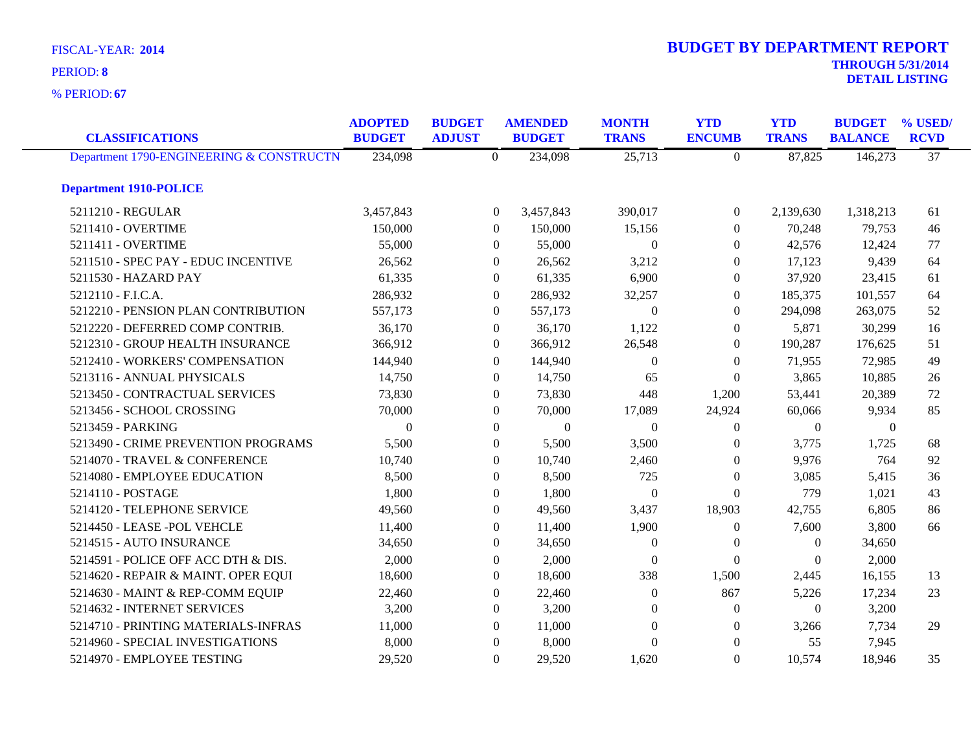**67** % PERIOD:

|  | <b>DETAIL LISTING</b> |
|--|-----------------------|
|  |                       |

| <b>CLASSIFICATIONS</b>                   | <b>ADOPTED</b><br><b>BUDGET</b> | <b>BUDGET</b><br><b>ADJUST</b> |                  | <b>AMENDED</b><br><b>BUDGET</b> | <b>MONTH</b><br><b>TRANS</b> | <b>YTD</b><br><b>ENCUMB</b> | <b>YTD</b><br><b>TRANS</b> | <b>BUDGET</b><br><b>BALANCE</b> | % USED/<br><b>RCVD</b> |
|------------------------------------------|---------------------------------|--------------------------------|------------------|---------------------------------|------------------------------|-----------------------------|----------------------------|---------------------------------|------------------------|
| Department 1790-ENGINEERING & CONSTRUCTN | 234,098                         |                                | $\theta$         | 234,098                         | 25,713                       | $\Omega$                    | 87,825                     | 146,273                         | $\overline{37}$        |
| <b>Department 1910-POLICE</b>            |                                 |                                |                  |                                 |                              |                             |                            |                                 |                        |
| 5211210 - REGULAR                        | 3,457,843                       |                                | $\overline{0}$   | 3,457,843                       | 390,017                      | $\overline{0}$              | 2,139,630                  | 1,318,213                       | 61                     |
| 5211410 - OVERTIME                       | 150,000                         |                                | $\overline{0}$   | 150,000                         | 15,156                       | $\overline{0}$              | 70,248                     | 79,753                          | 46                     |
| 5211411 - OVERTIME                       | 55,000                          |                                | $\overline{0}$   | 55,000                          | $\Omega$                     | $\overline{0}$              | 42,576                     | 12,424                          | 77                     |
| 5211510 - SPEC PAY - EDUC INCENTIVE      | 26,562                          |                                | $\overline{0}$   | 26,562                          | 3,212                        | $\mathbf{0}$                | 17,123                     | 9,439                           | 64                     |
| 5211530 - HAZARD PAY                     | 61,335                          |                                | $\boldsymbol{0}$ | 61,335                          | 6,900                        | $\boldsymbol{0}$            | 37,920                     | 23,415                          | 61                     |
| 5212110 - F.I.C.A.                       | 286,932                         |                                | $\overline{0}$   | 286,932                         | 32,257                       | $\overline{0}$              | 185,375                    | 101,557                         | 64                     |
| 5212210 - PENSION PLAN CONTRIBUTION      | 557,173                         |                                | $\theta$         | 557,173                         | $\Omega$                     | $\theta$                    | 294,098                    | 263,075                         | 52                     |
| 5212220 - DEFERRED COMP CONTRIB.         | 36,170                          |                                | $\overline{0}$   | 36,170                          | 1,122                        | $\mathbf{0}$                | 5,871                      | 30,299                          | 16                     |
| 5212310 - GROUP HEALTH INSURANCE         | 366,912                         |                                | $\boldsymbol{0}$ | 366,912                         | 26,548                       | $\overline{0}$              | 190,287                    | 176,625                         | 51                     |
| 5212410 - WORKERS' COMPENSATION          | 144,940                         |                                | $\theta$         | 144,940                         | $\Omega$                     | $\overline{0}$              | 71,955                     | 72,985                          | 49                     |
| 5213116 - ANNUAL PHYSICALS               | 14,750                          |                                | $\theta$         | 14,750                          | 65                           | $\Omega$                    | 3,865                      | 10,885                          | 26                     |
| 5213450 - CONTRACTUAL SERVICES           | 73,830                          |                                | $\overline{0}$   | 73,830                          | 448                          | 1,200                       | 53,441                     | 20,389                          | 72                     |
| 5213456 - SCHOOL CROSSING                | 70,000                          |                                | $\overline{0}$   | 70,000                          | 17,089                       | 24,924                      | 60,066                     | 9,934                           | 85                     |
| 5213459 - PARKING                        | $\Omega$                        |                                | $\theta$         | $\mathbf{0}$                    | $\Omega$                     | $\theta$                    | $\overline{0}$             | $\mathbf{0}$                    |                        |
| 5213490 - CRIME PREVENTION PROGRAMS      | 5,500                           |                                | $\overline{0}$   | 5,500                           | 3,500                        | $\theta$                    | 3,775                      | 1,725                           | 68                     |
| 5214070 - TRAVEL & CONFERENCE            | 10,740                          |                                | $\overline{0}$   | 10,740                          | 2,460                        | $\mathbf{0}$                | 9,976                      | 764                             | 92                     |
| 5214080 - EMPLOYEE EDUCATION             | 8,500                           |                                | $\overline{0}$   | 8,500                           | 725                          | $\theta$                    | 3,085                      | 5,415                           | 36                     |
| 5214110 - POSTAGE                        | 1,800                           |                                | $\theta$         | 1,800                           | $\Omega$                     | $\Omega$                    | 779                        | 1,021                           | 43                     |
| 5214120 - TELEPHONE SERVICE              | 49,560                          |                                | $\overline{0}$   | 49,560                          | 3,437                        | 18,903                      | 42,755                     | 6,805                           | 86                     |
| 5214450 - LEASE - POL VEHCLE             | 11,400                          |                                | $\theta$         | 11,400                          | 1,900                        | $\theta$                    | 7,600                      | 3,800                           | 66                     |
| 5214515 - AUTO INSURANCE                 | 34,650                          |                                | $\overline{0}$   | 34,650                          | $\theta$                     | $\theta$                    | $\overline{0}$             | 34,650                          |                        |
| 5214591 - POLICE OFF ACC DTH & DIS.      | 2,000                           |                                | $\boldsymbol{0}$ | 2,000                           | $\theta$                     | $\boldsymbol{0}$            | $\boldsymbol{0}$           | 2,000                           |                        |
| 5214620 - REPAIR & MAINT. OPER EQUI      | 18,600                          |                                | $\overline{0}$   | 18,600                          | 338                          | 1,500                       | 2,445                      | 16,155                          | 13                     |
| 5214630 - MAINT & REP-COMM EQUIP         | 22,460                          |                                | $\theta$         | 22,460                          | $\overline{0}$               | 867                         | 5,226                      | 17,234                          | 23                     |
| 5214632 - INTERNET SERVICES              | 3,200                           |                                | $\Omega$         | 3,200                           | $\Omega$                     | $\theta$                    | $\theta$                   | 3,200                           |                        |
| 5214710 - PRINTING MATERIALS-INFRAS      | 11,000                          |                                | $\boldsymbol{0}$ | 11,000                          | $\boldsymbol{0}$             | $\boldsymbol{0}$            | 3,266                      | 7,734                           | 29                     |
| 5214960 - SPECIAL INVESTIGATIONS         | 8,000                           |                                | $\theta$         | 8,000                           | $\Omega$                     | $\theta$                    | 55                         | 7,945                           |                        |
| 5214970 - EMPLOYEE TESTING               | 29,520                          |                                | $\theta$         | 29,520                          | 1,620                        | $\Omega$                    | 10,574                     | 18,946                          | 35                     |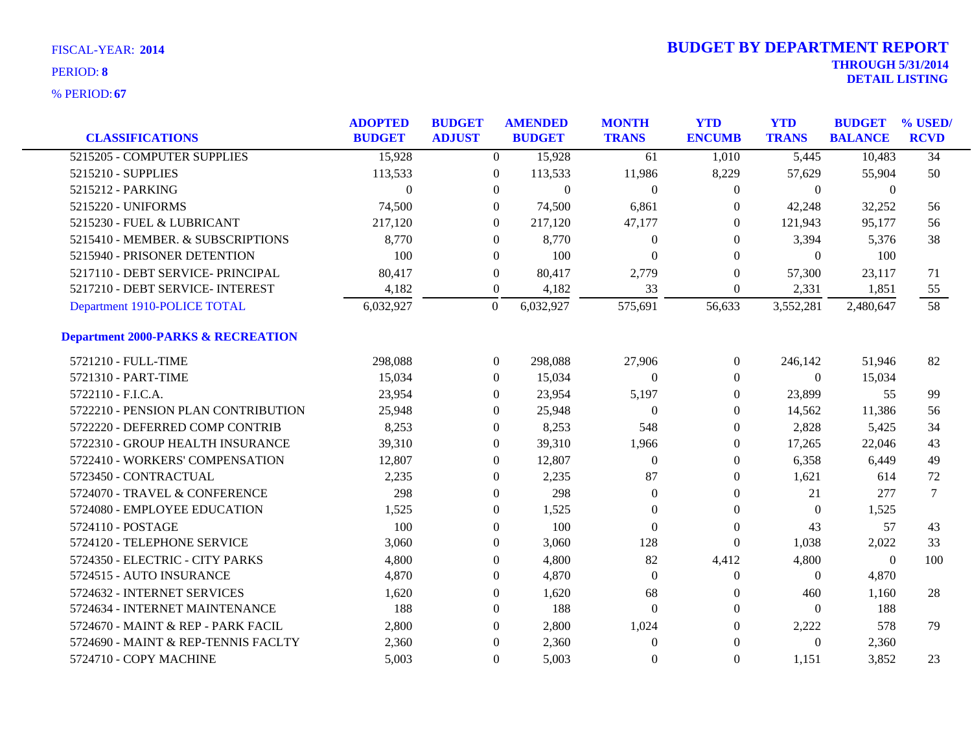| <b>CLASSIFICATIONS</b>                        | <b>ADOPTED</b><br><b>BUDGET</b> | <b>BUDGET</b><br><b>ADJUST</b> | <b>AMENDED</b><br><b>BUDGET</b> | <b>MONTH</b><br><b>TRANS</b> | <b>YTD</b><br><b>ENCUMB</b> | <b>YTD</b><br><b>TRANS</b> | <b>BUDGET</b><br><b>BALANCE</b> | % USED/<br><b>RCVD</b> |
|-----------------------------------------------|---------------------------------|--------------------------------|---------------------------------|------------------------------|-----------------------------|----------------------------|---------------------------------|------------------------|
| 5215205 - COMPUTER SUPPLIES                   | 15,928                          | $\overline{0}$                 | 15,928                          | 61                           | 1,010                       | 5,445                      | 10,483                          | $\overline{34}$        |
| 5215210 - SUPPLIES                            | 113,533                         | $\mathbf{0}$                   | 113,533                         | 11,986                       | 8,229                       | 57,629                     | 55,904                          | 50                     |
| 5215212 - PARKING                             | $\theta$                        | $\mathbf{0}$                   | $\theta$                        | $\theta$                     | $\mathbf{0}$                | $\overline{0}$             | $\mathbf{0}$                    |                        |
| 5215220 - UNIFORMS                            | 74,500                          | $\overline{0}$                 | 74,500                          | 6,861                        | $\theta$                    | 42,248                     | 32,252                          | 56                     |
| 5215230 - FUEL & LUBRICANT                    | 217,120                         | $\overline{0}$                 | 217,120                         | 47,177                       | $\theta$                    | 121,943                    | 95,177                          | 56                     |
| 5215410 - MEMBER. & SUBSCRIPTIONS             | 8,770                           | $\boldsymbol{0}$               | 8,770                           | $\boldsymbol{0}$             | $\boldsymbol{0}$            | 3,394                      | 5,376                           | 38                     |
| 5215940 - PRISONER DETENTION                  | 100                             | $\mathbf{0}$                   | 100                             | $\mathbf{0}$                 | $\theta$                    | $\overline{0}$             | 100                             |                        |
| 5217110 - DEBT SERVICE- PRINCIPAL             | 80,417                          | $\mathbf{0}$                   | 80,417                          | 2,779                        | $\theta$                    | 57,300                     | 23,117                          | 71                     |
| 5217210 - DEBT SERVICE- INTEREST              | 4,182                           | $\boldsymbol{0}$               | 4,182                           | 33                           | $\boldsymbol{0}$            | 2,331                      | 1,851                           | 55                     |
| Department 1910-POLICE TOTAL                  | 6,032,927                       | $\boldsymbol{0}$               | 6,032,927                       | 575,691                      | 56,633                      | 3,552,281                  | 2,480,647                       | 58                     |
| <b>Department 2000-PARKS &amp; RECREATION</b> |                                 |                                |                                 |                              |                             |                            |                                 |                        |
| 5721210 - FULL-TIME                           | 298,088                         | $\overline{0}$                 | 298,088                         | 27,906                       | $\overline{0}$              | 246,142                    | 51,946                          | 82                     |
| 5721310 - PART-TIME                           | 15,034                          | $\overline{0}$                 | 15,034                          | $\mathbf{0}$                 | 0                           | $\overline{0}$             | 15,034                          |                        |
| 5722110 - F.I.C.A.                            | 23,954                          | 0                              | 23,954                          | 5,197                        | $\boldsymbol{0}$            | 23,899                     | 55                              | 99                     |
| 5722210 - PENSION PLAN CONTRIBUTION           | 25,948                          | $\overline{0}$                 | 25,948                          | $\boldsymbol{0}$             | $\boldsymbol{0}$            | 14,562                     | 11,386                          | 56                     |
| 5722220 - DEFERRED COMP CONTRIB               | 8,253                           | $\overline{0}$                 | 8,253                           | 548                          | $\theta$                    | 2,828                      | 5,425                           | 34                     |
| 5722310 - GROUP HEALTH INSURANCE              | 39,310                          | 0                              | 39,310                          | 1,966                        | $\boldsymbol{0}$            | 17,265                     | 22,046                          | 43                     |
| 5722410 - WORKERS' COMPENSATION               | 12,807                          | $\boldsymbol{0}$               | 12,807                          | $\theta$                     | $\boldsymbol{0}$            | 6,358                      | 6,449                           | 49                     |
| 5723450 - CONTRACTUAL                         | 2,235                           | $\mathbf{0}$                   | 2,235                           | 87                           | $\boldsymbol{0}$            | 1,621                      | 614                             | 72                     |
| 5724070 - TRAVEL & CONFERENCE                 | 298                             | $\overline{0}$                 | 298                             | $\Omega$                     | $\theta$                    | 21                         | 277                             | 7                      |
| 5724080 - EMPLOYEE EDUCATION                  | 1,525                           | $\mathbf{0}$                   | 1,525                           | $\mathbf{0}$                 | $\theta$                    | $\overline{0}$             | 1,525                           |                        |
| 5724110 - POSTAGE                             | 100                             | $\boldsymbol{0}$               | 100                             | $\mathbf{0}$                 | $\boldsymbol{0}$            | 43                         | 57                              | 43                     |
| 5724120 - TELEPHONE SERVICE                   | 3,060                           | $\boldsymbol{0}$               | 3,060                           | 128                          | $\boldsymbol{0}$            | 1,038                      | 2,022                           | 33                     |
| 5724350 - ELECTRIC - CITY PARKS               | 4,800                           | 0                              | 4,800                           | 82                           | 4,412                       | 4,800                      | $\mathbf{0}$                    | 100                    |
| 5724515 - AUTO INSURANCE                      | 4,870                           | 0                              | 4,870                           | $\Omega$                     | $\boldsymbol{0}$            | $\overline{0}$             | 4,870                           |                        |
| 5724632 - INTERNET SERVICES                   | 1,620                           | $\boldsymbol{0}$               | 1,620                           | 68                           | $\boldsymbol{0}$            | 460                        | 1,160                           | 28                     |
| 5724634 - INTERNET MAINTENANCE                | 188                             | $\mathbf{0}$                   | 188                             | $\mathbf{0}$                 | $\boldsymbol{0}$            | $\overline{0}$             | 188                             |                        |
| 5724670 - MAINT & REP - PARK FACIL            | 2,800                           | $\overline{0}$                 | 2,800                           | 1,024                        | $\theta$                    | 2,222                      | 578                             | 79                     |
| 5724690 - MAINT & REP-TENNIS FACLTY           | 2,360                           | $\boldsymbol{0}$               | 2,360                           | $\mathbf{0}$                 | $\Omega$                    | $\theta$                   | 2,360                           |                        |
| 5724710 - COPY MACHINE                        | 5,003                           | $\overline{0}$                 | 5,003                           | $\overline{0}$               | $\theta$                    | 1,151                      | 3,852                           | 23                     |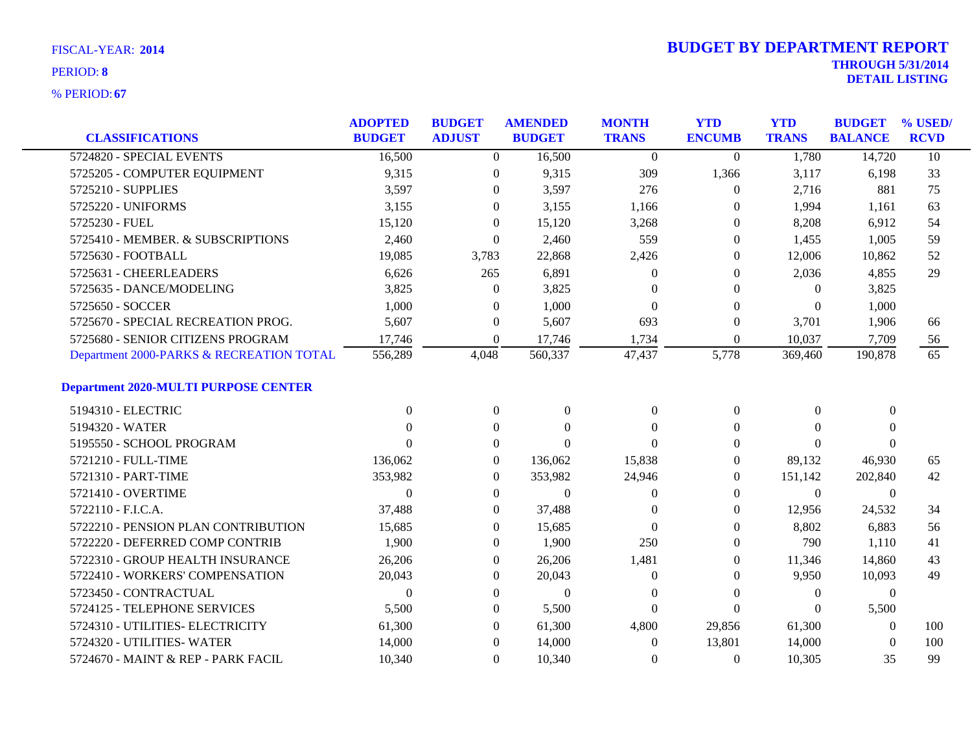**67** % PERIOD:

| <b>CLASSIFICATIONS</b>                      | <b>ADOPTED</b><br><b>BUDGET</b> | <b>BUDGET</b><br><b>ADJUST</b> | <b>AMENDED</b><br><b>BUDGET</b> | <b>MONTH</b><br><b>TRANS</b> | <b>YTD</b><br><b>ENCUMB</b> | <b>YTD</b><br><b>TRANS</b> | <b>BUDGET</b><br><b>BALANCE</b> | % USED/<br><b>RCVD</b> |
|---------------------------------------------|---------------------------------|--------------------------------|---------------------------------|------------------------------|-----------------------------|----------------------------|---------------------------------|------------------------|
| 5724820 - SPECIAL EVENTS                    | 16,500                          | $\Omega$                       | 16,500                          | $\theta$                     | $\Omega$                    | 1,780                      | 14,720                          | $\overline{10}$        |
| 5725205 - COMPUTER EQUIPMENT                | 9,315                           | $\overline{0}$                 | 9,315                           | 309                          | 1,366                       | 3,117                      | 6,198                           | 33                     |
| 5725210 - SUPPLIES                          | 3,597                           | $\overline{0}$                 | 3,597                           | 276                          | $\theta$                    | 2,716                      | 881                             | 75                     |
| 5725220 - UNIFORMS                          | 3,155                           | $\Omega$                       | 3,155                           | 1,166                        | $\Omega$                    | 1,994                      | 1,161                           | 63                     |
| 5725230 - FUEL                              | 15,120                          | $\Omega$                       | 15,120                          | 3,268                        | $\Omega$                    | 8,208                      | 6,912                           | 54                     |
| 5725410 - MEMBER. & SUBSCRIPTIONS           | 2,460                           | $\boldsymbol{0}$               | 2,460                           | 559                          | $\theta$                    | 1,455                      | 1,005                           | 59                     |
| 5725630 - FOOTBALL                          | 19,085                          | 3,783                          | 22,868                          | 2,426                        | $\theta$                    | 12,006                     | 10,862                          | 52                     |
| 5725631 - CHEERLEADERS                      | 6,626                           | 265                            | 6,891                           | $\Omega$                     | $\Omega$                    | 2,036                      | 4,855                           | 29                     |
| 5725635 - DANCE/MODELING                    | 3,825                           | $\mathbf{0}$                   | 3,825                           | $\Omega$                     | $\Omega$                    | $\Omega$                   | 3,825                           |                        |
| 5725650 - SOCCER                            | 1,000                           | $\mathbf{0}$                   | 1,000                           | $\Omega$                     | $\mathbf{0}$                | $\overline{0}$             | 1,000                           |                        |
| 5725670 - SPECIAL RECREATION PROG.          | 5,607                           | $\overline{0}$                 | 5,607                           | 693                          | $\mathbf{0}$                | 3,701                      | 1,906                           | 66                     |
| 5725680 - SENIOR CITIZENS PROGRAM           | 17,746                          | $\Omega$                       | 17,746                          | 1,734                        | $\Omega$                    | 10,037                     | 7,709                           | $\frac{56}{ }$         |
| Department 2000-PARKS & RECREATION TOTAL    | 556,289                         | 4,048                          | 560,337                         | 47,437                       | 5,778                       | 369,460                    | 190,878                         | $\overline{65}$        |
| <b>Department 2020-MULTI PURPOSE CENTER</b> |                                 |                                |                                 |                              |                             |                            |                                 |                        |
| 5194310 - ELECTRIC                          | $\Omega$                        | $\boldsymbol{0}$               | $\mathbf{0}$                    | $\mathbf{0}$                 | $\boldsymbol{0}$            | $\theta$                   | $\mathbf{0}$                    |                        |
| 5194320 - WATER                             | 0                               | $\overline{0}$                 | $\Omega$                        | $\Omega$                     | $\Omega$                    | $\Omega$                   | $\Omega$                        |                        |
| 5195550 - SCHOOL PROGRAM                    | $\Omega$                        | $\overline{0}$                 | $\Omega$                        | $\Omega$                     | $\Omega$                    | $\Omega$                   | $\Omega$                        |                        |
| 5721210 - FULL-TIME                         | 136,062                         | $\boldsymbol{0}$               | 136,062                         | 15,838                       | $\boldsymbol{0}$            | 89,132                     | 46,930                          | 65                     |
| 5721310 - PART-TIME                         | 353,982                         | $\mathbf{0}$                   | 353,982                         | 24,946                       | $\boldsymbol{0}$            | 151,142                    | 202,840                         | 42                     |
| 5721410 - OVERTIME                          | 0                               | $\overline{0}$                 | $\Omega$                        | $\Omega$                     | $\theta$                    | $\theta$                   | $\Omega$                        |                        |
| 5722110 - F.I.C.A.                          | 37,488                          | $\overline{0}$                 | 37,488                          | $\Omega$                     | $\theta$                    | 12,956                     | 24,532                          | 34                     |
| 5722210 - PENSION PLAN CONTRIBUTION         | 15,685                          | $\boldsymbol{0}$               | 15,685                          | $\Omega$                     | $\mathbf{0}$                | 8,802                      | 6,883                           | 56                     |
| 5722220 - DEFERRED COMP CONTRIB             | 1,900                           | $\mathbf{0}$                   | 1,900                           | 250                          | $\theta$                    | 790                        | 1,110                           | 41                     |
| 5722310 - GROUP HEALTH INSURANCE            | 26,206                          | $\overline{0}$                 | 26,206                          | 1,481                        | $\theta$                    | 11,346                     | 14,860                          | 43                     |
| 5722410 - WORKERS' COMPENSATION             | 20,043                          | $\overline{0}$                 | 20,043                          | $\mathbf{0}$                 | $\theta$                    | 9,950                      | 10,093                          | 49                     |
| 5723450 - CONTRACTUAL                       | $\Omega$                        | $\boldsymbol{0}$               | $\mathbf{0}$                    | $\overline{0}$               | $\mathbf{0}$                | $\boldsymbol{0}$           | $\boldsymbol{0}$                |                        |
| 5724125 - TELEPHONE SERVICES                | 5,500                           | $\mathbf{0}$                   | 5,500                           | $\mathbf{0}$                 | $\mathbf{0}$                | $\theta$                   | 5,500                           |                        |
| 5724310 - UTILITIES- ELECTRICITY            | 61,300                          | $\overline{0}$                 | 61,300                          | 4,800                        | 29,856                      | 61,300                     | $\Omega$                        | 100                    |
| 5724320 - UTILITIES-WATER                   | 14,000                          | $\overline{0}$                 | 14,000                          | $\theta$                     | 13,801                      | 14,000                     | $\Omega$                        | 100                    |
| 5724670 - MAINT & REP - PARK FACIL          | 10,340                          | $\overline{0}$                 | 10,340                          | $\overline{0}$               | $\overline{0}$              | 10,305                     | 35                              | 99                     |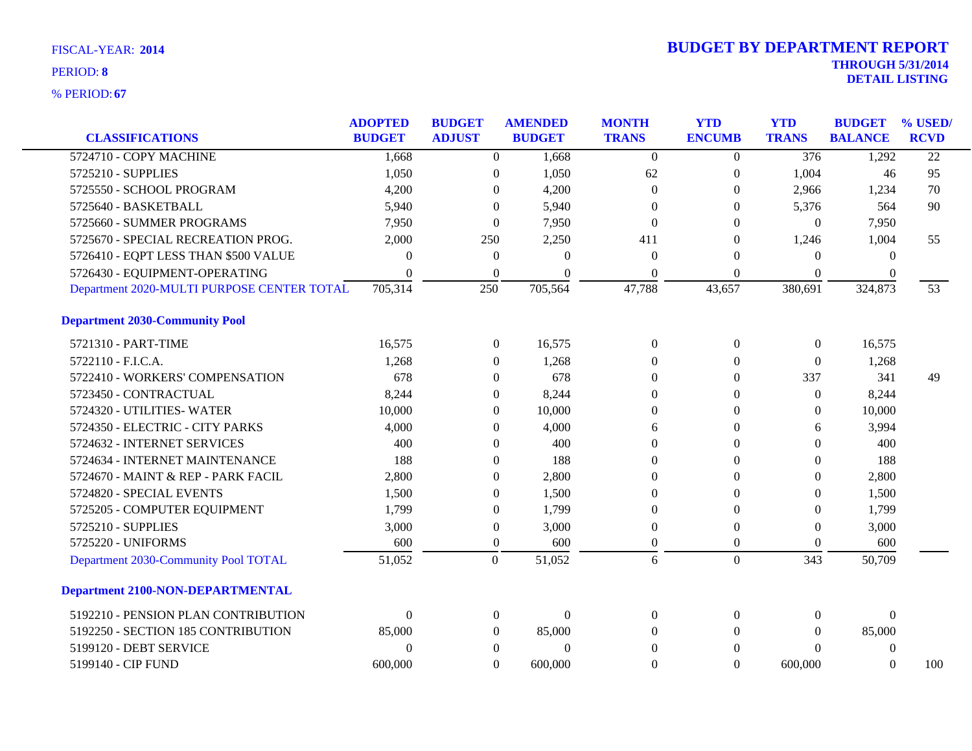|                                            | <b>ADOPTED</b>   | <b>BUDGET</b>    | <b>AMENDED</b> | <b>MONTH</b> | <b>YTD</b>       | <b>YTD</b>       | <b>BUDGET</b>  | % USED/         |
|--------------------------------------------|------------------|------------------|----------------|--------------|------------------|------------------|----------------|-----------------|
| <b>CLASSIFICATIONS</b>                     | <b>BUDGET</b>    | <b>ADJUST</b>    | <b>BUDGET</b>  | <b>TRANS</b> | <b>ENCUMB</b>    | <b>TRANS</b>     | <b>BALANCE</b> | <b>RCVD</b>     |
| 5724710 - COPY MACHINE                     | 1,668            | $\overline{0}$   | 1,668          | $\Omega$     | $\theta$         | $\overline{376}$ | 1,292          | $\overline{22}$ |
| 5725210 - SUPPLIES                         | 1,050            | $\boldsymbol{0}$ | 1,050          | 62           | $\boldsymbol{0}$ | 1,004            | 46             | 95              |
| 5725550 - SCHOOL PROGRAM                   | 4,200            | $\theta$         | 4,200          | $\Omega$     | $\theta$         | 2,966            | 1,234          | 70              |
| 5725640 - BASKETBALL                       | 5,940            | $\Omega$         | 5,940          | $\Omega$     | $\theta$         | 5,376            | 564            | 90              |
| 5725660 - SUMMER PROGRAMS                  | 7,950            | $\theta$         | 7,950          | $\theta$     | $\Omega$         | $\mathbf{0}$     | 7,950          |                 |
| 5725670 - SPECIAL RECREATION PROG.         | 2,000            | 250              | 2,250          | 411          | $\theta$         | 1,246            | 1,004          | 55              |
| 5726410 - EQPT LESS THAN \$500 VALUE       | $\Omega$         | $\boldsymbol{0}$ | $\Omega$       | $\Omega$     | $\Omega$         | $\theta$         | $\Omega$       |                 |
| 5726430 - EQUIPMENT-OPERATING              | $\Omega$         | $\theta$         | $\Omega$       | $\Omega$     | $\Omega$         | $\Omega$         | $\Omega$       |                 |
| Department 2020-MULTI PURPOSE CENTER TOTAL | 705,314          | 250              | 705,564        | 47,788       | 43,657           | 380,691          | 324,873        | 53              |
| <b>Department 2030-Community Pool</b>      |                  |                  |                |              |                  |                  |                |                 |
| 5721310 - PART-TIME                        | 16,575           | $\boldsymbol{0}$ | 16,575         | $\Omega$     | $\boldsymbol{0}$ | $\boldsymbol{0}$ | 16,575         |                 |
| 5722110 - F.I.C.A.                         | 1,268            | $\theta$         | 1,268          | $\Omega$     | $\Omega$         | $\theta$         | 1,268          |                 |
| 5722410 - WORKERS' COMPENSATION            | 678              | $\theta$         | 678            | $\Omega$     | $\Omega$         | 337              | 341            | 49              |
| 5723450 - CONTRACTUAL                      | 8,244            | $\theta$         | 8,244          | $\theta$     | $\mathbf{0}$     | $\mathbf{0}$     | 8,244          |                 |
| 5724320 - UTILITIES- WATER                 | 10,000           | $\theta$         | 10,000         | $\theta$     | $\Omega$         | $\Omega$         | 10,000         |                 |
| 5724350 - ELECTRIC - CITY PARKS            | 4,000            | $\theta$         | 4,000          | 6            | $\Omega$         | 6                | 3,994          |                 |
| 5724632 - INTERNET SERVICES                | 400              | $\Omega$         | 400            | $\Omega$     | $\Omega$         | $\Omega$         | 400            |                 |
| 5724634 - INTERNET MAINTENANCE             | 188              | $\theta$         | 188            | $\Omega$     | $\theta$         | $\Omega$         | 188            |                 |
| 5724670 - MAINT & REP - PARK FACIL         | 2,800            | $\theta$         | 2,800          | $\Omega$     | $\Omega$         | $\theta$         | 2,800          |                 |
| 5724820 - SPECIAL EVENTS                   | 1,500            | $\mathbf{0}$     | 1,500          | $\Omega$     | $\Omega$         | $\Omega$         | 1,500          |                 |
| 5725205 - COMPUTER EQUIPMENT               | 1,799            | 0                | 1,799          | $\Omega$     | $\theta$         | $\Omega$         | 1,799          |                 |
| 5725210 - SUPPLIES                         | 3,000            | $\boldsymbol{0}$ | 3,000          | $\Omega$     | $\theta$         | $\Omega$         | 3,000          |                 |
| 5725220 - UNIFORMS                         | 600              | $\mathbf{0}$     | 600            | $\Omega$     | $\Omega$         | $\Omega$         | 600            |                 |
| Department 2030-Community Pool TOTAL       | 51,052           | $\boldsymbol{0}$ | 51,052         | 6            | $\mathbf{0}$     | 343              | 50,709         |                 |
| <b>Department 2100-NON-DEPARTMENTAL</b>    |                  |                  |                |              |                  |                  |                |                 |
| 5192210 - PENSION PLAN CONTRIBUTION        | $\boldsymbol{0}$ | $\boldsymbol{0}$ | $\overline{0}$ | $\theta$     | $\theta$         | $\mathbf{0}$     | $\mathbf{0}$   |                 |
| 5192250 - SECTION 185 CONTRIBUTION         | 85,000           | $\overline{0}$   | 85,000         | $\Omega$     | $\theta$         | $\Omega$         | 85,000         |                 |
| 5199120 - DEBT SERVICE                     | $\theta$         | $\theta$         | $\theta$       | $\Omega$     | $\Omega$         | $\Omega$         | $\mathbf{0}$   |                 |
| 5199140 - CIP FUND                         | 600,000          | $\Omega$         | 600,000        | $\theta$     | $\Omega$         | 600,000          | $\Omega$       | 100             |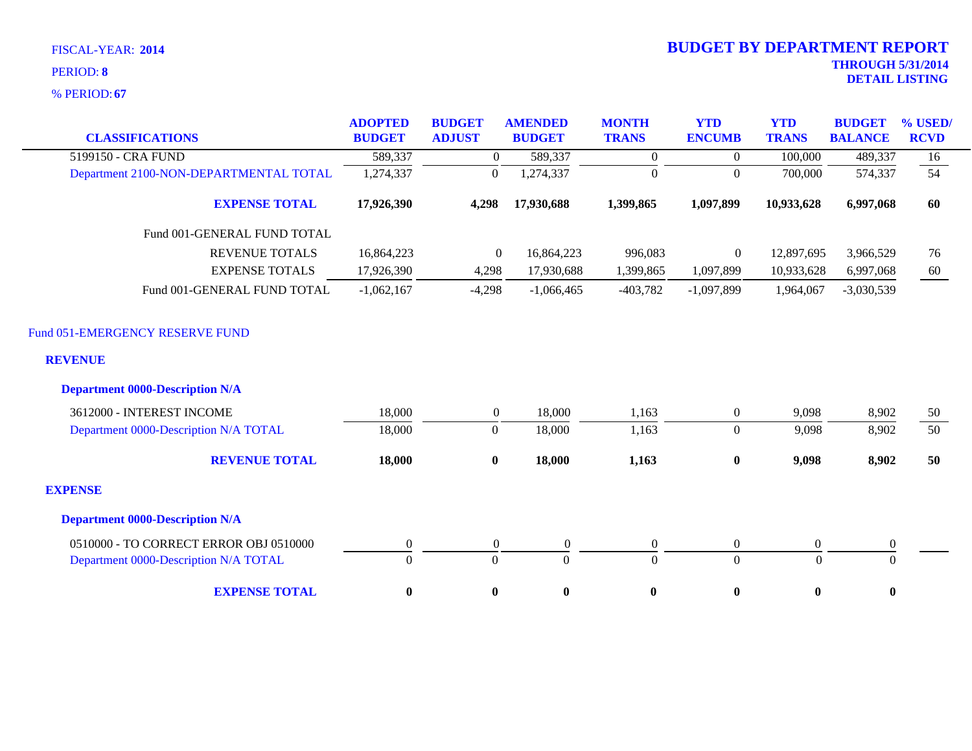**67** % PERIOD:

| <b>CLASSIFICATIONS</b>                                                                      | <b>ADOPTED</b><br><b>BUDGET</b> | <b>BUDGET</b><br><b>ADJUST</b> | <b>AMENDED</b><br><b>BUDGET</b> | <b>MONTH</b><br><b>TRANS</b> | <b>YTD</b><br><b>ENCUMB</b> | <b>YTD</b><br><b>TRANS</b> | <b>BUDGET</b><br><b>BALANCE</b> | % USED/<br><b>RCVD</b> |
|---------------------------------------------------------------------------------------------|---------------------------------|--------------------------------|---------------------------------|------------------------------|-----------------------------|----------------------------|---------------------------------|------------------------|
| 5199150 - CRA FUND                                                                          | 589,337                         | $\boldsymbol{0}$               | 589,337                         | $\Omega$                     | $\Omega$                    | 100,000                    | 489,337                         | 16                     |
| Department 2100-NON-DEPARTMENTAL TOTAL                                                      | 1,274,337                       | $\mathbf{0}$                   | 1,274,337                       | $\theta$                     | $\overline{0}$              | 700,000                    | 574,337                         | 54                     |
| <b>EXPENSE TOTAL</b>                                                                        | 17,926,390                      | 4,298                          | 17,930,688                      | 1,399,865                    | 1,097,899                   | 10,933,628                 | 6,997,068                       | 60                     |
| Fund 001-GENERAL FUND TOTAL                                                                 |                                 |                                |                                 |                              |                             |                            |                                 |                        |
| <b>REVENUE TOTALS</b>                                                                       | 16,864,223                      | $\mathbf{0}$                   | 16,864,223                      | 996,083                      | $\boldsymbol{0}$            | 12,897,695                 | 3,966,529                       | 76                     |
| <b>EXPENSE TOTALS</b>                                                                       | 17,926,390                      | 4,298                          | 17,930,688                      | 1,399,865                    | 1,097,899                   | 10,933,628                 | 6,997,068                       | 60                     |
| Fund 001-GENERAL FUND TOTAL                                                                 | $-1,062,167$                    | $-4,298$                       | $-1,066,465$                    | $-403,782$                   | $-1,097,899$                | 1,964,067                  | $-3,030,539$                    |                        |
| Fund 051-EMERGENCY RESERVE FUND<br><b>REVENUE</b><br><b>Department 0000-Description N/A</b> |                                 |                                |                                 |                              |                             |                            |                                 |                        |
| 3612000 - INTEREST INCOME                                                                   | 18,000                          | $\overline{0}$                 | 18,000                          | 1,163                        | $\boldsymbol{0}$            | 9,098                      | 8,902                           | 50                     |
| Department 0000-Description N/A TOTAL                                                       | 18,000                          | $\mathbf{0}$                   | 18,000                          | 1,163                        | $\overline{0}$              | 9,098                      | 8,902                           | 50                     |
| <b>REVENUE TOTAL</b>                                                                        | 18,000                          | $\bf{0}$                       | 18,000                          | 1,163                        | $\bf{0}$                    | 9,098                      | 8,902                           | 50                     |
| <b>EXPENSE</b>                                                                              |                                 |                                |                                 |                              |                             |                            |                                 |                        |
| <b>Department 0000-Description N/A</b>                                                      |                                 |                                |                                 |                              |                             |                            |                                 |                        |
| 0510000 - TO CORRECT ERROR OBJ 0510000                                                      | $\boldsymbol{0}$                | $\boldsymbol{0}$               | $\boldsymbol{0}$                | $\boldsymbol{0}$             | $\overline{0}$              | $\boldsymbol{0}$           | $\boldsymbol{0}$                |                        |
| Department 0000-Description N/A TOTAL                                                       | $\overline{0}$                  | $\overline{0}$                 | $\Omega$                        | $\overline{0}$               | $\overline{0}$              | $\mathbf{0}$               | $\mathbf{0}$                    |                        |
| <b>EXPENSE TOTAL</b>                                                                        | $\boldsymbol{0}$                | $\bf{0}$                       | $\boldsymbol{0}$                | $\pmb{0}$                    | $\bf{0}$                    | $\bf{0}$                   | $\mathbf{0}$                    |                        |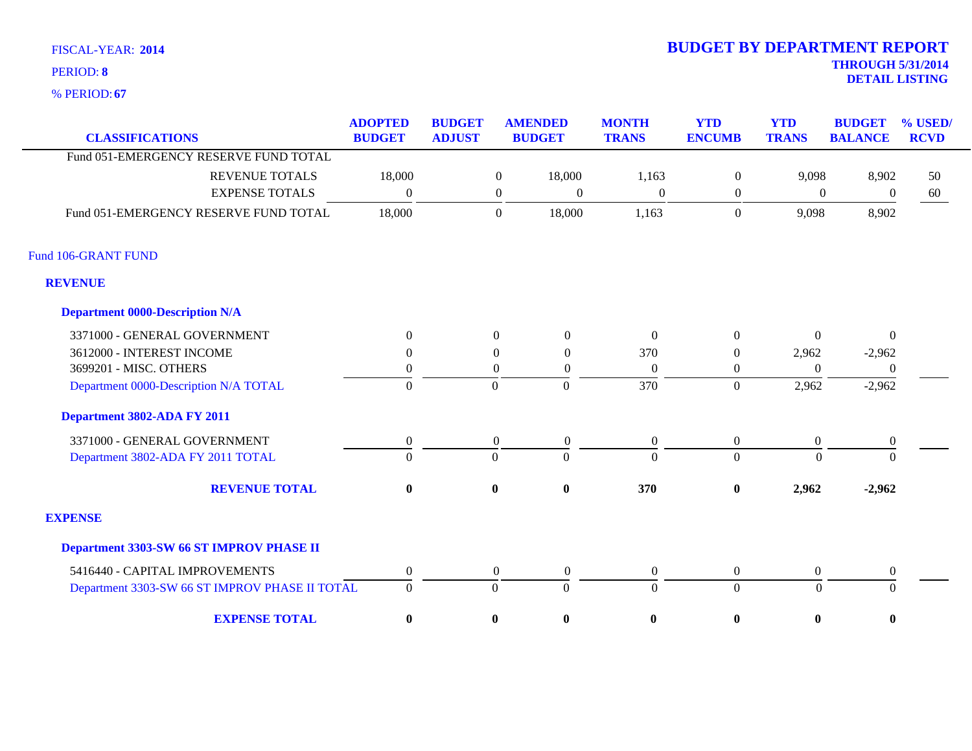**67** % PERIOD:

| <b>CLASSIFICATIONS</b>                         | <b>ADOPTED</b><br><b>BUDGET</b> | <b>BUDGET</b><br><b>ADJUST</b> |                  | <b>AMENDED</b><br><b>BUDGET</b> | <b>MONTH</b><br><b>TRANS</b> | <b>YTD</b><br><b>ENCUMB</b> | <b>YTD</b><br><b>TRANS</b> | <b>BUDGET</b><br><b>BALANCE</b> | % USED/<br><b>RCVD</b> |
|------------------------------------------------|---------------------------------|--------------------------------|------------------|---------------------------------|------------------------------|-----------------------------|----------------------------|---------------------------------|------------------------|
| Fund 051-EMERGENCY RESERVE FUND TOTAL          |                                 |                                |                  |                                 |                              |                             |                            |                                 |                        |
| <b>REVENUE TOTALS</b>                          | 18,000                          |                                | $\boldsymbol{0}$ | 18,000                          | 1,163                        | $\mathbf{0}$                | 9,098                      | 8,902                           | 50                     |
| <b>EXPENSE TOTALS</b>                          | $\Omega$                        |                                | $\boldsymbol{0}$ | $\theta$                        | $\boldsymbol{0}$             | $\boldsymbol{0}$            | $\boldsymbol{0}$           | $\boldsymbol{0}$                | 60                     |
| Fund 051-EMERGENCY RESERVE FUND TOTAL          | 18,000                          |                                | $\boldsymbol{0}$ | 18,000                          | 1,163                        | $\mathbf{0}$                | 9,098                      | 8,902                           |                        |
| Fund 106-GRANT FUND                            |                                 |                                |                  |                                 |                              |                             |                            |                                 |                        |
| <b>REVENUE</b>                                 |                                 |                                |                  |                                 |                              |                             |                            |                                 |                        |
| <b>Department 0000-Description N/A</b>         |                                 |                                |                  |                                 |                              |                             |                            |                                 |                        |
| 3371000 - GENERAL GOVERNMENT                   | $\theta$                        |                                | $\overline{0}$   | $\overline{0}$                  | $\Omega$                     | $\overline{0}$              | $\Omega$                   | $\overline{0}$                  |                        |
| 3612000 - INTEREST INCOME                      | 0                               |                                | $\Omega$         | $\Omega$                        | 370                          | $\mathbf{0}$                | 2,962                      | $-2,962$                        |                        |
| 3699201 - MISC. OTHERS                         | 0                               |                                | $\overline{0}$   | $\overline{0}$                  | $\Omega$                     | $\boldsymbol{0}$            | $\Omega$                   | $\theta$                        |                        |
| Department 0000-Description N/A TOTAL          | $\Omega$                        |                                | $\Omega$         | $\overline{0}$                  | 370                          | $\mathbf{0}$                | 2,962                      | $-2,962$                        |                        |
| Department 3802-ADA FY 2011                    |                                 |                                |                  |                                 |                              |                             |                            |                                 |                        |
| 3371000 - GENERAL GOVERNMENT                   | $\overline{0}$                  |                                | $\overline{0}$   | $\overline{0}$                  | $\overline{0}$               | $\boldsymbol{0}$            | $\boldsymbol{0}$           | $\boldsymbol{0}$                |                        |
| Department 3802-ADA FY 2011 TOTAL              | $\theta$                        |                                | $\overline{0}$   | $\overline{0}$                  | $\Omega$                     | $\overline{0}$              | $\Omega$                   | $\theta$                        |                        |
| <b>REVENUE TOTAL</b>                           | $\bf{0}$                        |                                | $\bf{0}$         | $\boldsymbol{0}$                | 370                          | $\pmb{0}$                   | 2,962                      | $-2,962$                        |                        |
| <b>EXPENSE</b>                                 |                                 |                                |                  |                                 |                              |                             |                            |                                 |                        |
| Department 3303-SW 66 ST IMPROV PHASE II       |                                 |                                |                  |                                 |                              |                             |                            |                                 |                        |
| 5416440 - CAPITAL IMPROVEMENTS                 | $\overline{0}$                  |                                | $\boldsymbol{0}$ | $\boldsymbol{0}$                | $\boldsymbol{0}$             | $\boldsymbol{0}$            | $\boldsymbol{0}$           | $\boldsymbol{0}$                |                        |
| Department 3303-SW 66 ST IMPROV PHASE II TOTAL | $\overline{0}$                  |                                | $\overline{0}$   | $\overline{0}$                  | $\Omega$                     | $\overline{0}$              | $\boldsymbol{0}$           | $\Omega$                        |                        |
| <b>EXPENSE TOTAL</b>                           | $\bf{0}$                        |                                | $\bf{0}$         | $\bf{0}$                        | $\bf{0}$                     | $\bf{0}$                    | $\bf{0}$                   | $\bf{0}$                        |                        |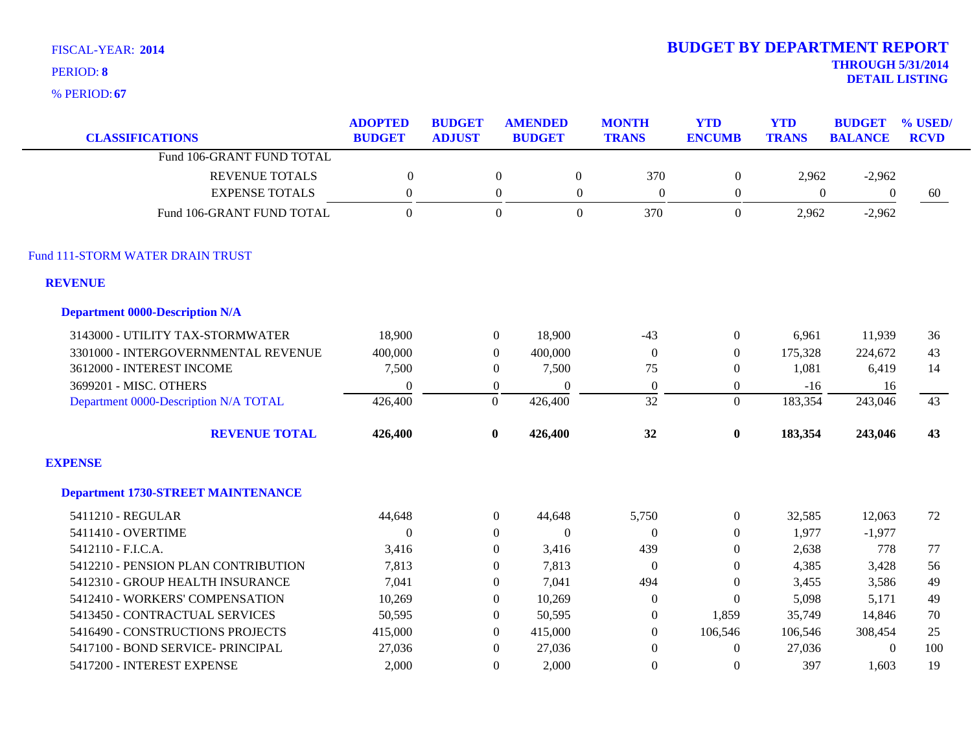**67** % PERIOD:

| <b>CLASSIFICATIONS</b>                    | <b>ADOPTED</b><br><b>BUDGET</b> | <b>BUDGET</b><br><b>ADJUST</b> |                  | <b>AMENDED</b><br><b>BUDGET</b> | <b>MONTH</b><br><b>TRANS</b> | <b>YTD</b><br><b>ENCUMB</b> | <b>YTD</b><br><b>TRANS</b> | <b>BUDGET</b><br><b>BALANCE</b> | % USED<br><b>RCVD</b> |
|-------------------------------------------|---------------------------------|--------------------------------|------------------|---------------------------------|------------------------------|-----------------------------|----------------------------|---------------------------------|-----------------------|
| Fund 106-GRANT FUND TOTAL                 |                                 |                                |                  |                                 |                              |                             |                            |                                 |                       |
| <b>REVENUE TOTALS</b>                     | $\mathbf{0}$                    |                                | $\overline{0}$   | $\boldsymbol{0}$                | 370                          | $\overline{0}$              | 2,962                      | $-2,962$                        |                       |
| <b>EXPENSE TOTALS</b>                     | $\boldsymbol{0}$                |                                | $\boldsymbol{0}$ | $\mathbf{0}$                    | $\mathbf{0}$                 | $\boldsymbol{0}$            | $\mathbf{0}$               | $\boldsymbol{0}$                | 60                    |
| Fund 106-GRANT FUND TOTAL                 | $\Omega$                        |                                | $\Omega$         | $\overline{0}$                  | 370                          | $\overline{0}$              | 2,962                      | $-2,962$                        |                       |
| Fund 111-STORM WATER DRAIN TRUST          |                                 |                                |                  |                                 |                              |                             |                            |                                 |                       |
| <b>REVENUE</b>                            |                                 |                                |                  |                                 |                              |                             |                            |                                 |                       |
| <b>Department 0000-Description N/A</b>    |                                 |                                |                  |                                 |                              |                             |                            |                                 |                       |
| 3143000 - UTILITY TAX-STORMWATER          | 18,900                          |                                | $\boldsymbol{0}$ | 18,900                          | $-43$                        | $\overline{0}$              | 6,961                      | 11,939                          | 36                    |
| 3301000 - INTERGOVERNMENTAL REVENUE       | 400,000                         |                                | $\mathbf{0}$     | 400,000                         | $\boldsymbol{0}$             | $\overline{0}$              | 175,328                    | 224,672                         | 43                    |
| 3612000 - INTEREST INCOME                 | 7,500                           |                                | $\theta$         | 7,500                           | 75                           | $\mathbf{0}$                | 1,081                      | 6,419                           | 14                    |
| 3699201 - MISC. OTHERS                    | $\theta$                        |                                | $\boldsymbol{0}$ | $\theta$                        | $\boldsymbol{0}$             | $\overline{0}$              | $-16$                      | 16                              |                       |
| Department 0000-Description N/A TOTAL     | 426,400                         |                                | $\boldsymbol{0}$ | 426,400                         | 32                           | $\overline{0}$              | 183,354                    | 243,046                         | 43                    |
| <b>REVENUE TOTAL</b>                      | 426,400                         |                                | $\bf{0}$         | 426,400                         | 32                           | $\bf{0}$                    | 183,354                    | 243,046                         | 43                    |
| <b>EXPENSE</b>                            |                                 |                                |                  |                                 |                              |                             |                            |                                 |                       |
| <b>Department 1730-STREET MAINTENANCE</b> |                                 |                                |                  |                                 |                              |                             |                            |                                 |                       |
| 5411210 - REGULAR                         | 44,648                          |                                | $\boldsymbol{0}$ | 44,648                          | 5,750                        | $\boldsymbol{0}$            | 32,585                     | 12,063                          | 72                    |
| 5411410 - OVERTIME                        | $\theta$                        |                                | $\overline{0}$   | $\mathbf{0}$                    | $\boldsymbol{0}$             | $\overline{0}$              | 1,977                      | $-1,977$                        |                       |
| 5412110 - F.I.C.A.                        | 3,416                           |                                | $\overline{0}$   | 3,416                           | 439                          | $\Omega$                    | 2,638                      | 778                             | 77                    |
| 5412210 - PENSION PLAN CONTRIBUTION       | 7,813                           |                                | $\mathbf{0}$     | 7,813                           | $\boldsymbol{0}$             | $\boldsymbol{0}$            | 4,385                      | 3,428                           | 56                    |
| 5412310 - GROUP HEALTH INSURANCE          | 7,041                           |                                | $\overline{0}$   | 7,041                           | 494                          | $\mathbf{0}$                | 3,455                      | 3,586                           | 49                    |
| 5412410 - WORKERS' COMPENSATION           | 10,269                          |                                | $\boldsymbol{0}$ | 10,269                          | $\boldsymbol{0}$             | $\overline{0}$              | 5,098                      | 5,171                           | 49                    |
| 5413450 - CONTRACTUAL SERVICES            | 50,595                          |                                | $\Omega$         | 50,595                          | $\theta$                     | 1,859                       | 35,749                     | 14,846                          | 70                    |
| 5416490 - CONSTRUCTIONS PROJECTS          | 415,000                         |                                | $\Omega$         | 415,000                         | $\theta$                     | 106,546                     | 106,546                    | 308,454                         | 25                    |
| 5417100 - BOND SERVICE- PRINCIPAL         | 27,036                          |                                | $\overline{0}$   | 27,036                          | $\theta$                     | $\mathbf{0}$                | 27,036                     | $\boldsymbol{0}$                | 100                   |
| 5417200 - INTEREST EXPENSE                | 2,000                           |                                | $\theta$         | 2.000                           | $\Omega$                     | $\Omega$                    | 397                        | 1,603                           | 19                    |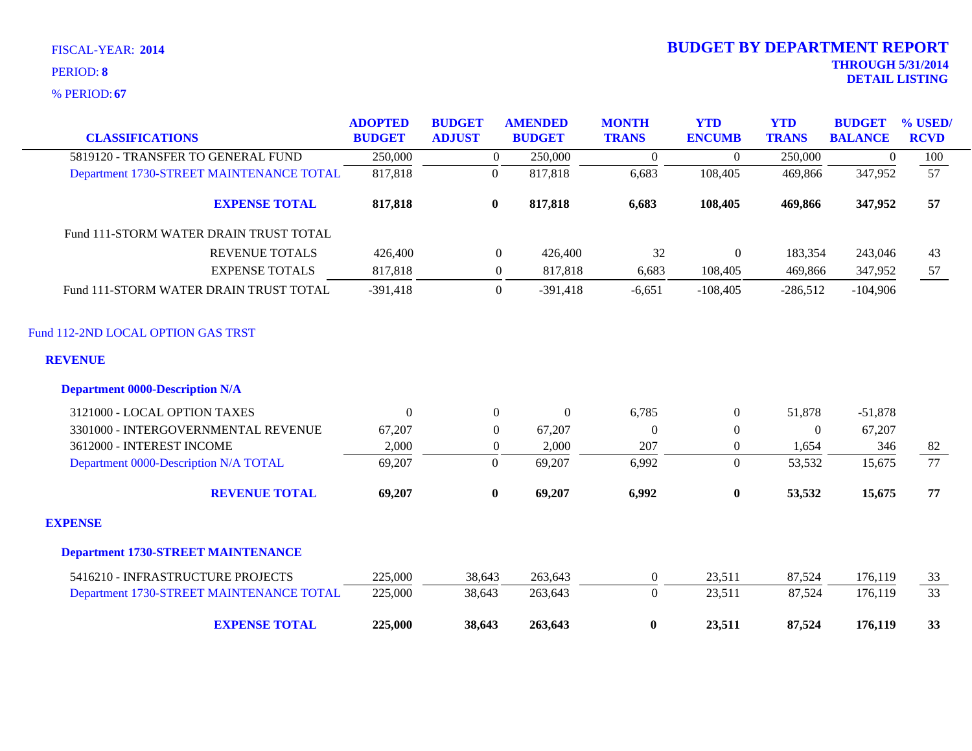**67** % PERIOD:

| <b>CLASSIFICATIONS</b>                    | <b>ADOPTED</b><br><b>BUDGET</b> | <b>BUDGET</b><br><b>ADJUST</b> | <b>AMENDED</b><br><b>BUDGET</b> | <b>MONTH</b><br><b>TRANS</b> | <b>YTD</b><br><b>ENCUMB</b> | <b>YTD</b><br><b>TRANS</b> | <b>BUDGET</b><br><b>BALANCE</b> | % USED/<br><b>RCVD</b> |
|-------------------------------------------|---------------------------------|--------------------------------|---------------------------------|------------------------------|-----------------------------|----------------------------|---------------------------------|------------------------|
| 5819120 - TRANSFER TO GENERAL FUND        |                                 |                                |                                 |                              | $\Omega$                    |                            |                                 |                        |
|                                           | 250,000                         | $\overline{0}$                 | 250,000<br>817,818              | $\boldsymbol{0}$             | 108,405                     | 250,000<br>469,866         | $\overline{0}$<br>347,952       | 100<br>57              |
| Department 1730-STREET MAINTENANCE TOTAL  | 817,818                         | $\boldsymbol{0}$               |                                 | 6,683                        |                             |                            |                                 |                        |
| <b>EXPENSE TOTAL</b>                      | 817,818                         | $\bf{0}$                       | 817,818                         | 6,683                        | 108,405                     | 469,866                    | 347,952                         | 57                     |
| Fund 111-STORM WATER DRAIN TRUST TOTAL    |                                 |                                |                                 |                              |                             |                            |                                 |                        |
| <b>REVENUE TOTALS</b>                     | 426,400                         | $\boldsymbol{0}$               | 426,400                         | 32                           | $\boldsymbol{0}$            | 183,354                    | 243,046                         | 43                     |
| <b>EXPENSE TOTALS</b>                     | 817,818                         | $\overline{0}$                 | 817,818                         | 6,683                        | 108,405                     | 469,866                    | 347,952                         | 57                     |
| Fund 111-STORM WATER DRAIN TRUST TOTAL    | $-391,418$                      | $\overline{0}$                 | $-391,418$                      | $-6,651$                     | $-108,405$                  | $-286,512$                 | $-104,906$                      |                        |
| Fund 112-2ND LOCAL OPTION GAS TRST        |                                 |                                |                                 |                              |                             |                            |                                 |                        |
| <b>REVENUE</b>                            |                                 |                                |                                 |                              |                             |                            |                                 |                        |
| <b>Department 0000-Description N/A</b>    |                                 |                                |                                 |                              |                             |                            |                                 |                        |
| 3121000 - LOCAL OPTION TAXES              | $\Omega$                        | $\theta$                       | $\mathbf{0}$                    | 6,785                        | $\overline{0}$              | 51,878                     | $-51,878$                       |                        |
| 3301000 - INTERGOVERNMENTAL REVENUE       | 67,207                          | $\theta$                       | 67,207                          | $\overline{0}$               | $\overline{0}$              | $\theta$                   | 67,207                          |                        |
| 3612000 - INTEREST INCOME                 | 2,000                           | $\overline{0}$                 | 2,000                           | 207                          | $\overline{0}$              | 1,654                      | 346                             | 82                     |
| Department 0000-Description N/A TOTAL     | 69,207                          | $\boldsymbol{0}$               | 69,207                          | 6,992                        | $\overline{0}$              | 53,532                     | 15,675                          | $\overline{77}$        |
| <b>REVENUE TOTAL</b>                      | 69,207                          | $\bf{0}$                       | 69,207                          | 6,992                        | $\bf{0}$                    | 53,532                     | 15,675                          | 77                     |
| <b>EXPENSE</b>                            |                                 |                                |                                 |                              |                             |                            |                                 |                        |
| <b>Department 1730-STREET MAINTENANCE</b> |                                 |                                |                                 |                              |                             |                            |                                 |                        |
| 5416210 - INFRASTRUCTURE PROJECTS         | 225,000                         | 38,643                         | 263,643                         | $\overline{0}$               | 23,511                      | 87,524                     | 176,119                         | 33                     |
| Department 1730-STREET MAINTENANCE TOTAL  | 225,000                         | 38,643                         | 263,643                         | $\Omega$                     | 23,511                      | 87,524                     | 176,119                         | $\overline{33}$        |
| <b>EXPENSE TOTAL</b>                      | 225,000                         | 38,643                         | 263,643                         | $\bf{0}$                     | 23,511                      | 87,524                     | 176,119                         | 33                     |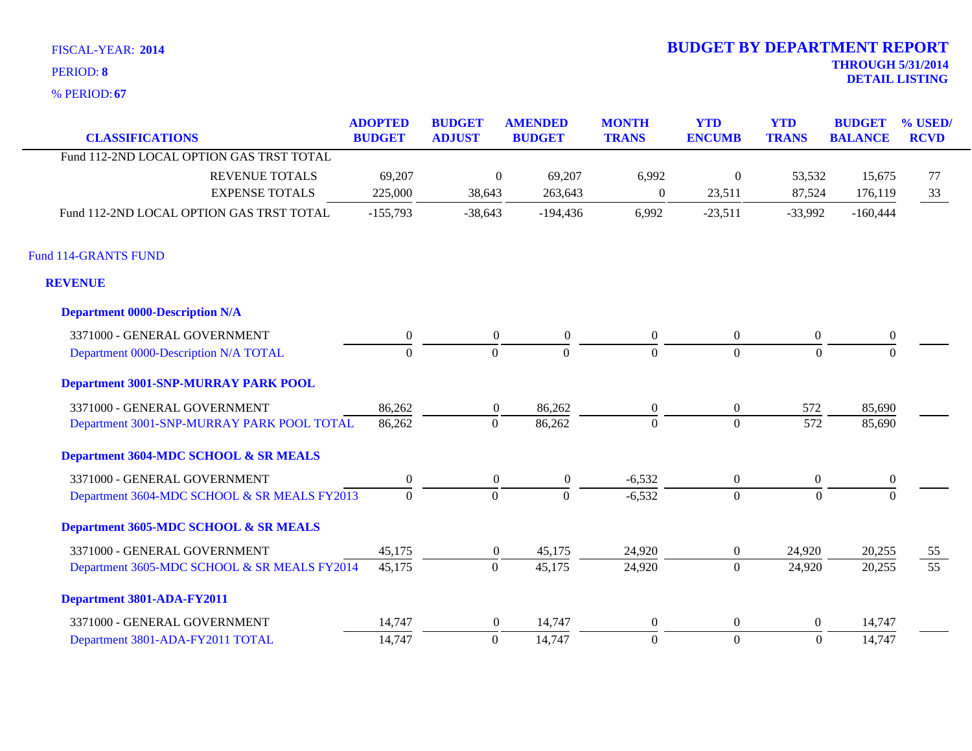**67** % PERIOD:

| <b>CLASSIFICATIONS</b>                       | <b>ADOPTED</b><br><b>BUDGET</b> | <b>BUDGET</b><br><b>ADJUST</b> | <b>AMENDED</b><br><b>BUDGET</b> | <b>MONTH</b><br><b>TRANS</b> | <b>YTD</b><br><b>ENCUMB</b> | <b>YTD</b><br><b>TRANS</b> | <b>BUDGET</b><br><b>BALANCE</b> | % USED/<br><b>RCVD</b> |
|----------------------------------------------|---------------------------------|--------------------------------|---------------------------------|------------------------------|-----------------------------|----------------------------|---------------------------------|------------------------|
| Fund 112-2ND LOCAL OPTION GAS TRST TOTAL     |                                 |                                |                                 |                              |                             |                            |                                 |                        |
| <b>REVENUE TOTALS</b>                        | 69,207                          | $\overline{0}$                 | 69,207                          | 6,992                        | $\mathbf{0}$                | 53,532                     | 15,675                          | 77                     |
| <b>EXPENSE TOTALS</b>                        | 225,000                         | 38,643                         | 263,643                         | $\boldsymbol{0}$             | 23,511                      | 87,524                     | 176,119                         | 33                     |
| Fund 112-2ND LOCAL OPTION GAS TRST TOTAL     | $-155,793$                      | $-38,643$                      | $-194,436$                      | 6,992                        | $-23,511$                   | $-33,992$                  | $-160,444$                      |                        |
| Fund 114-GRANTS FUND                         |                                 |                                |                                 |                              |                             |                            |                                 |                        |
| <b>REVENUE</b>                               |                                 |                                |                                 |                              |                             |                            |                                 |                        |
| <b>Department 0000-Description N/A</b>       |                                 |                                |                                 |                              |                             |                            |                                 |                        |
| 3371000 - GENERAL GOVERNMENT                 | $\boldsymbol{0}$                | $\overline{0}$                 | $\boldsymbol{0}$                | $\boldsymbol{0}$             | $\overline{0}$              | $\boldsymbol{0}$           | $\boldsymbol{0}$                |                        |
| Department 0000-Description N/A TOTAL        | $\mathbf{0}$                    | $\mathbf{0}$                   | $\Omega$                        | $\Omega$                     | $\Omega$                    | $\Omega$                   | $\Omega$                        |                        |
| <b>Department 3001-SNP-MURRAY PARK POOL</b>  |                                 |                                |                                 |                              |                             |                            |                                 |                        |
| 3371000 - GENERAL GOVERNMENT                 | 86,262                          | $\overline{0}$                 | 86,262                          | $\overline{0}$               | $\overline{0}$              | 572                        | 85,690                          |                        |
| Department 3001-SNP-MURRAY PARK POOL TOTAL   | 86,262                          | $\mathbf{0}$                   | 86,262                          | $\overline{0}$               | $\overline{0}$              | 572                        | 85,690                          |                        |
| Department 3604-MDC SCHOOL & SR MEALS        |                                 |                                |                                 |                              |                             |                            |                                 |                        |
| 3371000 - GENERAL GOVERNMENT                 | $\overline{0}$                  | $\overline{0}$                 | $\overline{0}$                  | $-6,532$                     | $\overline{0}$              | $\overline{0}$             | $\mathbf{0}$                    |                        |
| Department 3604-MDC SCHOOL & SR MEALS FY2013 | $\mathbf{0}$                    | $\mathbf{0}$                   | $\Omega$                        | $-6,532$                     | $\overline{0}$              | $\Omega$                   | $\Omega$                        |                        |
| Department 3605-MDC SCHOOL & SR MEALS        |                                 |                                |                                 |                              |                             |                            |                                 |                        |
| 3371000 - GENERAL GOVERNMENT                 | 45,175                          | $\overline{0}$                 | 45,175                          | 24,920                       | $\overline{0}$              | 24,920                     | 20,255                          | 55                     |
| Department 3605-MDC SCHOOL & SR MEALS FY2014 | 45,175                          | $\mathbf{0}$                   | 45,175                          | 24,920                       | $\overline{0}$              | 24,920                     | 20,255                          | $\overline{55}$        |
| Department 3801-ADA-FY2011                   |                                 |                                |                                 |                              |                             |                            |                                 |                        |
| 3371000 - GENERAL GOVERNMENT                 | 14,747                          | $\overline{0}$                 | 14,747                          | $\theta$                     | $\overline{0}$              | $\overline{0}$             | 14,747                          |                        |
| Department 3801-ADA-FY2011 TOTAL             | 14,747                          | $\mathbf{0}$                   | 14,747                          | $\boldsymbol{0}$             | $\overline{0}$              | $\mathbf{0}$               | 14,747                          |                        |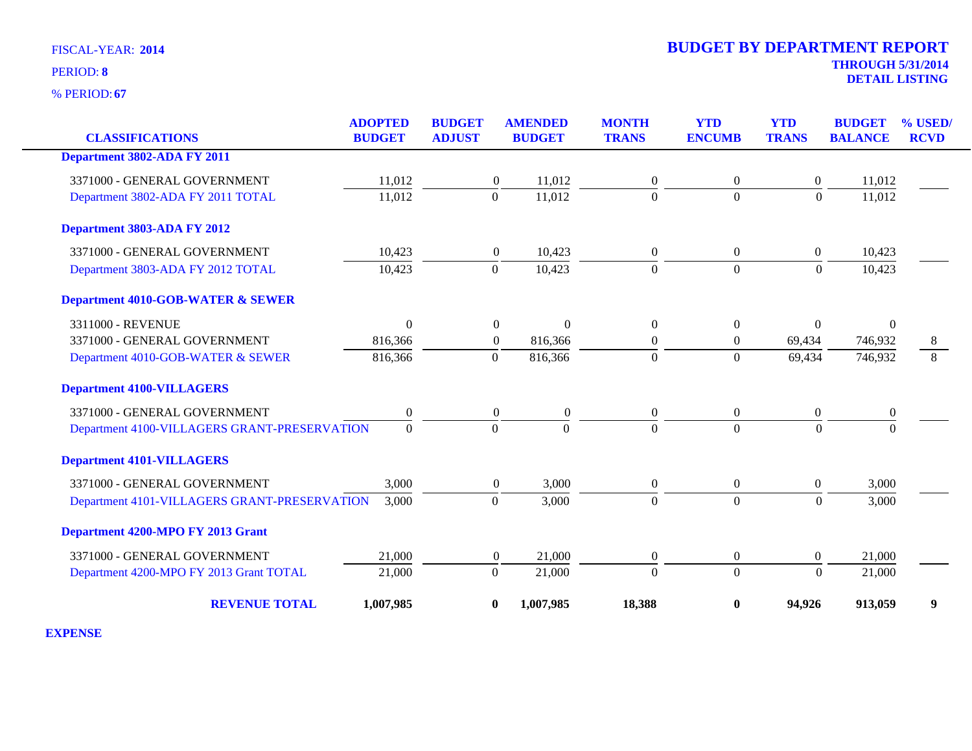**67** % PERIOD:

| <b>CLASSIFICATIONS</b>                       | <b>ADOPTED</b><br><b>BUDGET</b> | <b>BUDGET</b><br><b>ADJUST</b> | <b>AMENDED</b><br><b>BUDGET</b> | <b>MONTH</b><br><b>TRANS</b> | <b>YTD</b><br><b>ENCUMB</b> | <b>YTD</b><br><b>TRANS</b> | <b>BUDGET</b><br><b>BALANCE</b> | % USED/<br><b>RCVD</b> |
|----------------------------------------------|---------------------------------|--------------------------------|---------------------------------|------------------------------|-----------------------------|----------------------------|---------------------------------|------------------------|
| <b>Department 3802-ADA FY 2011</b>           |                                 |                                |                                 |                              |                             |                            |                                 |                        |
| 3371000 - GENERAL GOVERNMENT                 | 11,012                          | $\overline{0}$                 | 11,012                          | $\overline{0}$               | $\theta$                    | $\overline{0}$             | 11,012                          |                        |
| Department 3802-ADA FY 2011 TOTAL            | 11,012                          | $\overline{0}$                 | 11,012                          | $\Omega$                     | $\theta$                    | $\Omega$                   | 11,012                          |                        |
| Department 3803-ADA FY 2012                  |                                 |                                |                                 |                              |                             |                            |                                 |                        |
| 3371000 - GENERAL GOVERNMENT                 | 10,423                          | $\overline{0}$                 | 10,423                          | $\boldsymbol{0}$             | $\boldsymbol{0}$            | $\boldsymbol{0}$           | 10,423                          |                        |
| Department 3803-ADA FY 2012 TOTAL            | 10,423                          | $\boldsymbol{0}$               | 10,423                          | $\Omega$                     | $\boldsymbol{0}$            | $\theta$                   | 10,423                          |                        |
| <b>Department 4010-GOB-WATER &amp; SEWER</b> |                                 |                                |                                 |                              |                             |                            |                                 |                        |
| 3311000 - REVENUE                            | $\overline{0}$                  | $\theta$                       | $\theta$                        | $\overline{0}$               | $\overline{0}$              | $\mathbf{0}$               | $\Omega$                        |                        |
| 3371000 - GENERAL GOVERNMENT                 | 816,366                         | $\overline{0}$                 | 816,366                         | $\boldsymbol{0}$             | $\boldsymbol{0}$            | 69,434                     | 746,932                         | 8                      |
| Department 4010-GOB-WATER & SEWER            | 816,366                         | $\Omega$                       | 816,366                         | $\Omega$                     | $\theta$                    | 69,434                     | 746,932                         | 8                      |
| <b>Department 4100-VILLAGERS</b>             |                                 |                                |                                 |                              |                             |                            |                                 |                        |
| 3371000 - GENERAL GOVERNMENT                 | $\boldsymbol{0}$                | $\mathbf{0}$                   | $\boldsymbol{0}$                | $\boldsymbol{0}$             | $\mathbf{0}$                | $\boldsymbol{0}$           | $\boldsymbol{0}$                |                        |
| Department 4100-VILLAGERS GRANT-PRESERVATION | $\mathbf{0}$                    | $\theta$                       | $\Omega$                        | $\Omega$                     | $\Omega$                    | $\Omega$                   | $\Omega$                        |                        |
| <b>Department 4101-VILLAGERS</b>             |                                 |                                |                                 |                              |                             |                            |                                 |                        |
| 3371000 - GENERAL GOVERNMENT                 | 3,000                           | $\overline{0}$                 | 3,000                           | $\overline{0}$               | $\boldsymbol{0}$            | $\boldsymbol{0}$           | 3,000                           |                        |
| Department 4101-VILLAGERS GRANT-PRESERVATION | 3,000                           | $\overline{0}$                 | 3,000                           | $\overline{0}$               | $\overline{0}$              | $\mathbf{0}$               | 3,000                           |                        |
| Department 4200-MPO FY 2013 Grant            |                                 |                                |                                 |                              |                             |                            |                                 |                        |
| 3371000 - GENERAL GOVERNMENT                 | 21,000                          | $\overline{0}$                 | 21,000                          | $\boldsymbol{0}$             | $\boldsymbol{0}$            | $\boldsymbol{0}$           | 21,000                          |                        |
| Department 4200-MPO FY 2013 Grant TOTAL      | 21,000                          | $\Omega$                       | 21,000                          | $\Omega$                     | $\Omega$                    | $\Omega$                   | 21,000                          |                        |
| <b>REVENUE TOTAL</b>                         | 1,007,985                       | $\bf{0}$                       | 1,007,985                       | 18,388                       | $\bf{0}$                    | 94,926                     | 913,059                         | 9                      |

**EXPENSE**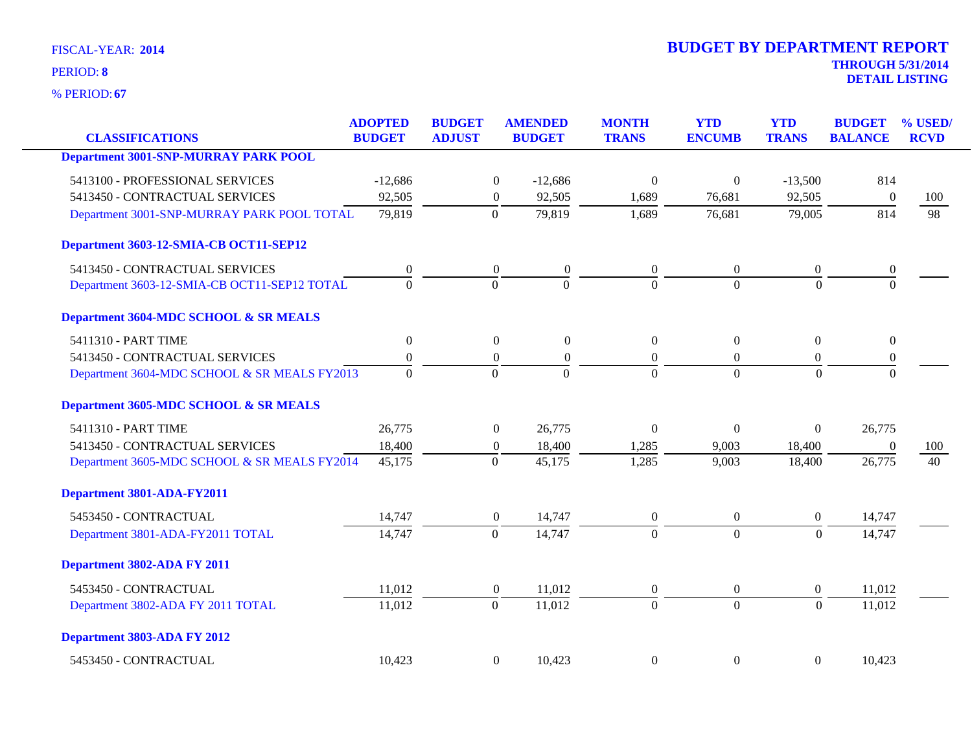**67** % PERIOD:

| <b>CLASSIFICATIONS</b>                       | <b>ADOPTED</b><br><b>BUDGET</b> | <b>BUDGET</b><br><b>ADJUST</b> | <b>AMENDED</b><br><b>BUDGET</b> | <b>MONTH</b><br><b>TRANS</b> | <b>YTD</b><br><b>ENCUMB</b> | <b>YTD</b><br><b>TRANS</b> | <b>BUDGET</b><br><b>BALANCE</b> | % USED/<br><b>RCVD</b> |
|----------------------------------------------|---------------------------------|--------------------------------|---------------------------------|------------------------------|-----------------------------|----------------------------|---------------------------------|------------------------|
| <b>Department 3001-SNP-MURRAY PARK POOL</b>  |                                 |                                |                                 |                              |                             |                            |                                 |                        |
|                                              |                                 |                                |                                 |                              |                             |                            |                                 |                        |
| 5413100 - PROFESSIONAL SERVICES              | $-12,686$                       |                                | $\boldsymbol{0}$<br>$-12,686$   | $\overline{0}$               | $\boldsymbol{0}$            | $-13,500$                  | 814                             |                        |
| 5413450 - CONTRACTUAL SERVICES               | 92,505                          | $\boldsymbol{0}$               | 92,505                          | 1,689                        | 76,681                      | 92,505                     | $\boldsymbol{0}$                | 100                    |
| Department 3001-SNP-MURRAY PARK POOL TOTAL   | 79,819                          | $\theta$                       | 79,819                          | 1,689                        | 76,681                      | 79,005                     | 814                             | 98                     |
| Department 3603-12-SMIA-CB OCT11-SEP12       |                                 |                                |                                 |                              |                             |                            |                                 |                        |
| 5413450 - CONTRACTUAL SERVICES               | $\boldsymbol{0}$                | $\boldsymbol{0}$               | $\boldsymbol{0}$                | $\overline{0}$               | $\mathbf{0}$                | $\boldsymbol{0}$           | $\boldsymbol{0}$                |                        |
| Department 3603-12-SMIA-CB OCT11-SEP12 TOTAL | $\Omega$                        | $\theta$                       | $\Omega$                        | $\Omega$                     | $\Omega$                    | $\Omega$                   | $\Omega$                        |                        |
| Department 3604-MDC SCHOOL & SR MEALS        |                                 |                                |                                 |                              |                             |                            |                                 |                        |
| 5411310 - PART TIME                          | $\boldsymbol{0}$                |                                | $\overline{0}$<br>$\mathbf{0}$  | $\overline{0}$               | $\Omega$                    | $\overline{0}$             | $\mathbf{0}$                    |                        |
| 5413450 - CONTRACTUAL SERVICES               | $\boldsymbol{0}$                | $\boldsymbol{0}$               | $\boldsymbol{0}$                | $\boldsymbol{0}$             | $\boldsymbol{0}$            | $\boldsymbol{0}$           | $\boldsymbol{0}$                |                        |
| Department 3604-MDC SCHOOL & SR MEALS FY2013 | $\Omega$                        | $\Omega$                       | $\Omega$                        | $\Omega$                     | $\Omega$                    | $\Omega$                   | $\Omega$                        |                        |
| Department 3605-MDC SCHOOL & SR MEALS        |                                 |                                |                                 |                              |                             |                            |                                 |                        |
| 5411310 - PART TIME                          | 26,775                          | $\mathbf{0}$                   | 26,775                          | $\Omega$                     | $\theta$                    | $\overline{0}$             | 26,775                          |                        |
| 5413450 - CONTRACTUAL SERVICES               | 18,400                          | $\boldsymbol{0}$               | 18,400                          | 1,285                        | 9,003                       | 18,400                     | $\overline{0}$                  | 100                    |
| Department 3605-MDC SCHOOL & SR MEALS FY2014 | 45,175                          | $\Omega$                       | 45,175                          | 1,285                        | 9,003                       | 18,400                     | 26,775                          | 40                     |
| Department 3801-ADA-FY2011                   |                                 |                                |                                 |                              |                             |                            |                                 |                        |
| 5453450 - CONTRACTUAL                        | 14,747                          | $\boldsymbol{0}$               | 14,747                          | $\overline{0}$               | $\boldsymbol{0}$            | $\overline{0}$             | 14,747                          |                        |
| Department 3801-ADA-FY2011 TOTAL             | 14,747                          | $\mathbf{0}$                   | 14,747                          | $\Omega$                     | $\theta$                    | $\Omega$                   | 14,747                          |                        |
| Department 3802-ADA FY 2011                  |                                 |                                |                                 |                              |                             |                            |                                 |                        |
| 5453450 - CONTRACTUAL                        | 11,012                          | $\boldsymbol{0}$               | 11,012                          | $\overline{0}$               | $\boldsymbol{0}$            | $\overline{0}$             | 11,012                          |                        |
| Department 3802-ADA FY 2011 TOTAL            | 11,012                          | $\theta$                       | 11,012                          | $\Omega$                     | $\overline{0}$              | $\Omega$                   | 11,012                          |                        |
| Department 3803-ADA FY 2012                  |                                 |                                |                                 |                              |                             |                            |                                 |                        |
| 5453450 - CONTRACTUAL                        | 10,423                          |                                | $\overline{0}$<br>10,423        | $\Omega$                     | $\boldsymbol{0}$            | $\boldsymbol{0}$           | 10,423                          |                        |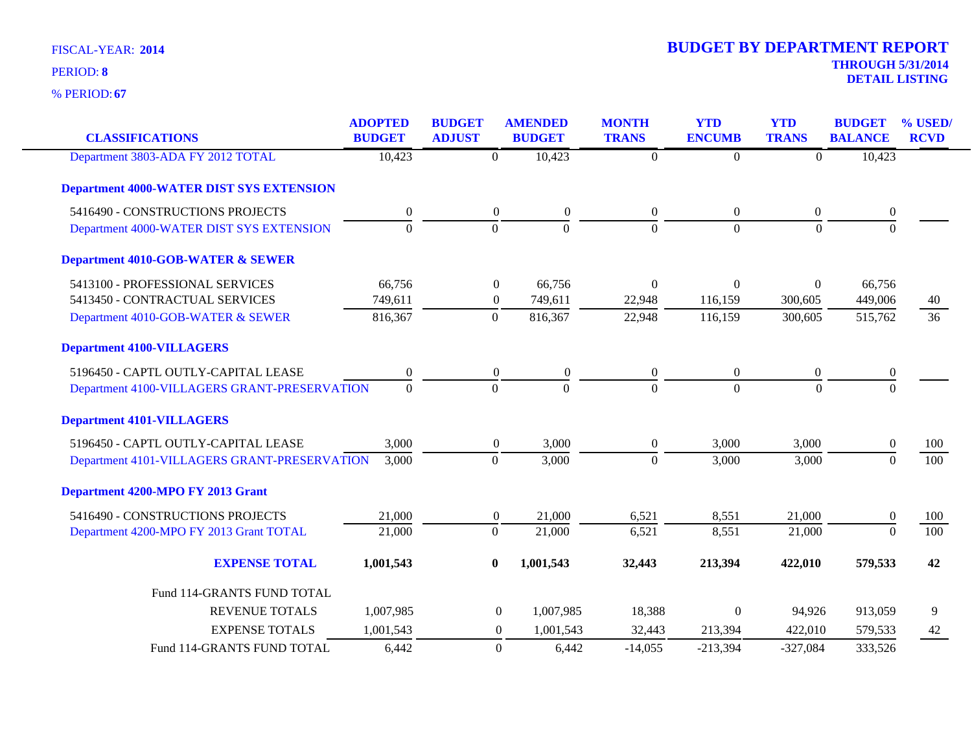| <b>CLASSIFICATIONS</b>                          | <b>ADOPTED</b><br><b>BUDGET</b> | <b>BUDGET</b><br><b>ADJUST</b> | <b>AMENDED</b><br><b>BUDGET</b> | <b>MONTH</b><br><b>TRANS</b> | <b>YTD</b><br><b>ENCUMB</b> | <b>YTD</b><br><b>TRANS</b> | <b>BUDGET</b><br><b>BALANCE</b> | % USED/<br><b>RCVD</b> |
|-------------------------------------------------|---------------------------------|--------------------------------|---------------------------------|------------------------------|-----------------------------|----------------------------|---------------------------------|------------------------|
| Department 3803-ADA FY 2012 TOTAL               | 10,423                          | $\overline{0}$                 | 10,423                          | $\overline{0}$               | $\boldsymbol{0}$            | $\overline{0}$             | 10,423                          |                        |
| <b>Department 4000-WATER DIST SYS EXTENSION</b> |                                 |                                |                                 |                              |                             |                            |                                 |                        |
| 5416490 - CONSTRUCTIONS PROJECTS                | $\boldsymbol{0}$                | $\boldsymbol{0}$               | $\boldsymbol{0}$                | $\boldsymbol{0}$             | $\boldsymbol{0}$            | $\boldsymbol{0}$           | $\boldsymbol{0}$                |                        |
| Department 4000-WATER DIST SYS EXTENSION        | $\overline{0}$                  | $\mathbf{0}$                   | $\boldsymbol{0}$                | $\mathbf{0}$                 | $\overline{0}$              | $\mathbf{0}$               | $\mathbf{0}$                    |                        |
| <b>Department 4010-GOB-WATER &amp; SEWER</b>    |                                 |                                |                                 |                              |                             |                            |                                 |                        |
| 5413100 - PROFESSIONAL SERVICES                 | 66,756                          | $\boldsymbol{0}$               | 66,756                          | $\Omega$                     | $\theta$                    | $\overline{0}$             | 66,756                          |                        |
| 5413450 - CONTRACTUAL SERVICES                  | 749,611                         | $\boldsymbol{0}$               | 749,611                         | 22,948                       | 116,159                     | 300,605                    | 449,006                         | 40                     |
| Department 4010-GOB-WATER & SEWER               | 816,367                         | $\overline{0}$                 | 816,367                         | 22,948                       | 116,159                     | 300,605                    | 515,762                         | 36                     |
| <b>Department 4100-VILLAGERS</b>                |                                 |                                |                                 |                              |                             |                            |                                 |                        |
| 5196450 - CAPTL OUTLY-CAPITAL LEASE             | $\mathbf{0}$                    | $\boldsymbol{0}$               | $\boldsymbol{0}$                | $\overline{0}$               | $\theta$                    | $\overline{0}$             | $\boldsymbol{0}$                |                        |
| Department 4100-VILLAGERS GRANT-PRESERVATION    | $\overline{0}$                  | $\overline{0}$                 | $\mathbf{0}$                    | $\overline{0}$               | $\overline{0}$              | $\overline{0}$             | $\overline{0}$                  |                        |
| <b>Department 4101-VILLAGERS</b>                |                                 |                                |                                 |                              |                             |                            |                                 |                        |
| 5196450 - CAPTL OUTLY-CAPITAL LEASE             | 3,000                           | $\boldsymbol{0}$               | 3,000                           | $\overline{0}$               | 3,000                       | 3,000                      | $\boldsymbol{0}$                | 100                    |
| Department 4101-VILLAGERS GRANT-PRESERVATION    | 3,000                           | $\overline{0}$                 | 3,000                           | $\mathbf{0}$                 | 3,000                       | 3,000                      | $\mathbf{0}$                    | 100                    |
| Department 4200-MPO FY 2013 Grant               |                                 |                                |                                 |                              |                             |                            |                                 |                        |
| 5416490 - CONSTRUCTIONS PROJECTS                | 21,000                          | $\boldsymbol{0}$               | 21,000                          | 6,521                        | 8,551                       | 21,000                     | $\theta$                        | 100                    |
| Department 4200-MPO FY 2013 Grant TOTAL         | 21,000                          | $\mathbf{0}$                   | 21,000                          | 6,521                        | 8,551                       | 21,000                     | $\overline{0}$                  | 100                    |
| <b>EXPENSE TOTAL</b>                            | 1,001,543                       | $\bf{0}$                       | 1,001,543                       | 32,443                       | 213,394                     | 422,010                    | 579,533                         | 42                     |
| Fund 114-GRANTS FUND TOTAL                      |                                 |                                |                                 |                              |                             |                            |                                 |                        |
| <b>REVENUE TOTALS</b>                           | 1,007,985                       | $\boldsymbol{0}$               | 1,007,985                       | 18,388                       | $\Omega$                    | 94,926                     | 913,059                         | 9                      |
| <b>EXPENSE TOTALS</b>                           | 1,001,543                       | $\mathbf{0}$                   | 1,001,543                       | 32,443                       | 213,394                     | 422,010                    | 579,533                         | 42                     |
| Fund 114-GRANTS FUND TOTAL                      | 6,442                           | $\boldsymbol{0}$               | 6,442                           | $-14,055$                    | $-213,394$                  | $-327,084$                 | 333,526                         |                        |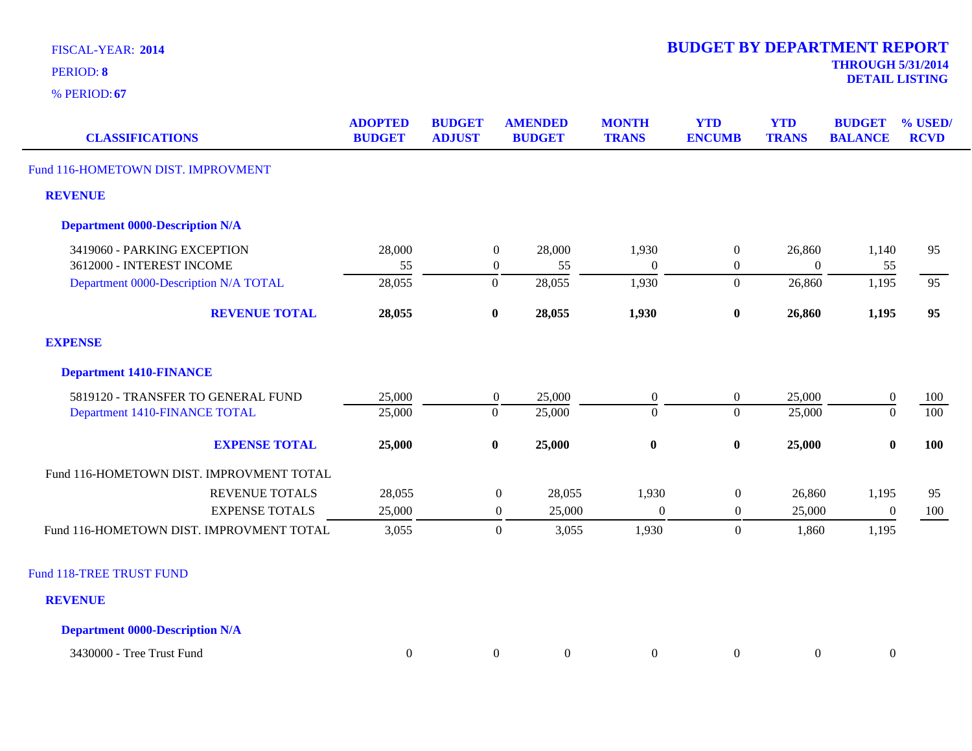| <b>CLASSIFICATIONS</b>                   | <b>ADOPTED</b><br><b>BUDGET</b> | <b>BUDGET</b><br><b>ADJUST</b> | <b>AMENDED</b><br><b>BUDGET</b> | <b>MONTH</b><br><b>TRANS</b> | <b>YTD</b><br><b>ENCUMB</b> | <b>YTD</b><br><b>TRANS</b> | <b>BUDGET</b><br><b>BALANCE</b> | % USED/<br><b>RCVD</b> |
|------------------------------------------|---------------------------------|--------------------------------|---------------------------------|------------------------------|-----------------------------|----------------------------|---------------------------------|------------------------|
| Fund 116-HOMETOWN DIST. IMPROVMENT       |                                 |                                |                                 |                              |                             |                            |                                 |                        |
| <b>REVENUE</b>                           |                                 |                                |                                 |                              |                             |                            |                                 |                        |
| <b>Department 0000-Description N/A</b>   |                                 |                                |                                 |                              |                             |                            |                                 |                        |
| 3419060 - PARKING EXCEPTION              | 28,000                          |                                | $\boldsymbol{0}$<br>28,000      | 1,930                        | $\overline{0}$              | 26,860                     | 1,140                           | 95                     |
| 3612000 - INTEREST INCOME                | 55                              |                                | $\boldsymbol{0}$<br>55          | $\Omega$                     | $\boldsymbol{0}$            | $\boldsymbol{0}$           | 55                              |                        |
| Department 0000-Description N/A TOTAL    | 28,055                          |                                | $\overline{0}$<br>28,055        | 1,930                        | $\boldsymbol{0}$            | 26,860                     | 1,195                           | 95                     |
| <b>REVENUE TOTAL</b>                     | 28,055                          |                                | $\bf{0}$<br>28,055              | 1,930                        | $\bf{0}$                    | 26,860                     | 1,195                           | 95                     |
| <b>EXPENSE</b>                           |                                 |                                |                                 |                              |                             |                            |                                 |                        |
| <b>Department 1410-FINANCE</b>           |                                 |                                |                                 |                              |                             |                            |                                 |                        |
| 5819120 - TRANSFER TO GENERAL FUND       | 25,000                          |                                | $\boldsymbol{0}$<br>25,000      | $\overline{0}$               | $\boldsymbol{0}$            | 25,000                     | $\boldsymbol{0}$                | 100                    |
| Department 1410-FINANCE TOTAL            | 25,000                          |                                | 25,000<br>$\boldsymbol{0}$      | $\Omega$                     | $\Omega$                    | 25,000                     | $\overline{0}$                  | 100                    |
| <b>EXPENSE TOTAL</b>                     | 25,000                          |                                | $\bf{0}$<br>25,000              | $\bf{0}$                     | $\bf{0}$                    | 25,000                     | $\bf{0}$                        | 100                    |
| Fund 116-HOMETOWN DIST. IMPROVMENT TOTAL |                                 |                                |                                 |                              |                             |                            |                                 |                        |
| <b>REVENUE TOTALS</b>                    | 28,055                          |                                | $\boldsymbol{0}$<br>28,055      | 1,930                        | $\boldsymbol{0}$            | 26,860                     | 1,195                           | 95                     |
| <b>EXPENSE TOTALS</b>                    | 25,000                          |                                | 25,000<br>$\boldsymbol{0}$      | $\boldsymbol{0}$             | $\boldsymbol{0}$            | 25,000                     | $\boldsymbol{0}$                | 100                    |
| Fund 116-HOMETOWN DIST. IMPROVMENT TOTAL | 3,055                           |                                | $\mathbf{0}$<br>3,055           | 1,930                        | $\boldsymbol{0}$            | 1,860                      | 1,195                           |                        |
| <b>Fund 118-TREE TRUST FUND</b>          |                                 |                                |                                 |                              |                             |                            |                                 |                        |
| <b>REVENUE</b>                           |                                 |                                |                                 |                              |                             |                            |                                 |                        |
| <b>Department 0000-Description N/A</b>   |                                 |                                |                                 |                              |                             |                            |                                 |                        |

| 3430000<br>m.<br><b>Tree</b><br>Trust Fund |  |  |  |  |  |  |  |
|--------------------------------------------|--|--|--|--|--|--|--|
|--------------------------------------------|--|--|--|--|--|--|--|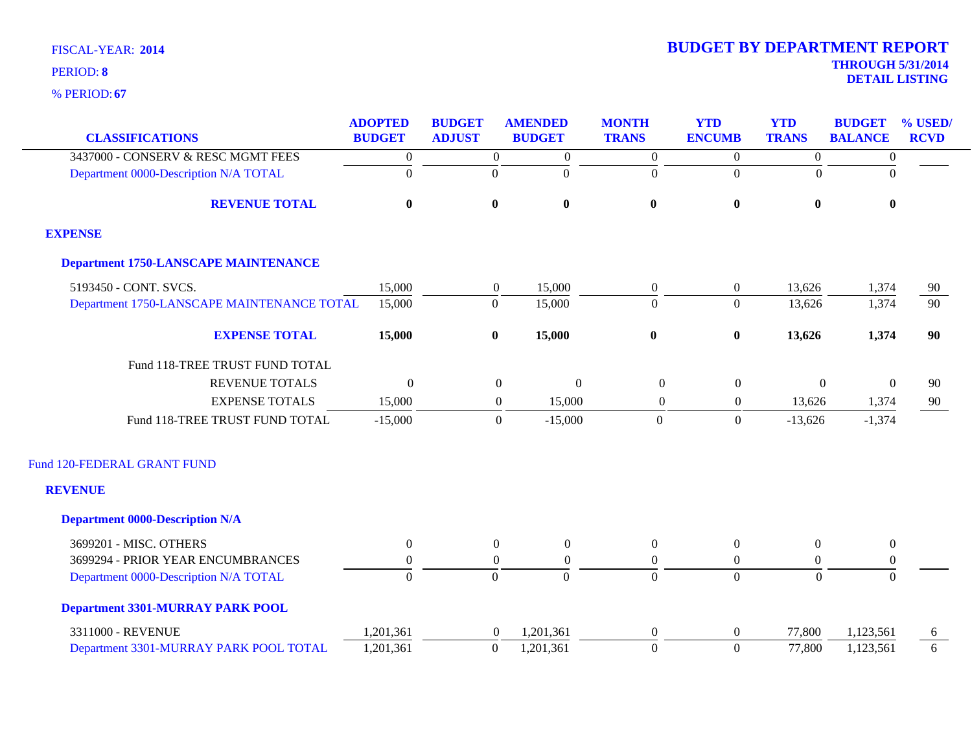| <b>CLASSIFICATIONS</b>                      | <b>ADOPTED</b><br><b>BUDGET</b> | <b>BUDGET</b><br><b>ADJUST</b> | <b>AMENDED</b><br><b>BUDGET</b>  | <b>MONTH</b><br><b>TRANS</b> | <b>YTD</b><br><b>ENCUMB</b> | <b>YTD</b><br><b>TRANS</b> | <b>BUDGET</b><br><b>BALANCE</b> | % USED/<br><b>RCVD</b> |
|---------------------------------------------|---------------------------------|--------------------------------|----------------------------------|------------------------------|-----------------------------|----------------------------|---------------------------------|------------------------|
| 3437000 - CONSERV & RESC MGMT FEES          | $\boldsymbol{0}$                | $\overline{0}$                 | $\boldsymbol{0}$                 | $\boldsymbol{0}$             | $\overline{0}$              | $\boldsymbol{0}$           | $\boldsymbol{0}$                |                        |
| Department 0000-Description N/A TOTAL       | $\overline{0}$                  | $\boldsymbol{0}$               | $\boldsymbol{0}$                 | $\overline{0}$               | $\boldsymbol{0}$            | $\theta$                   | $\Omega$                        |                        |
| <b>REVENUE TOTAL</b>                        | $\bf{0}$                        | $\boldsymbol{0}$               | $\bf{0}$                         | $\bf{0}$                     | $\boldsymbol{0}$            | $\bf{0}$                   | $\bf{0}$                        |                        |
| <b>EXPENSE</b>                              |                                 |                                |                                  |                              |                             |                            |                                 |                        |
| <b>Department 1750-LANSCAPE MAINTENANCE</b> |                                 |                                |                                  |                              |                             |                            |                                 |                        |
| 5193450 - CONT. SVCS.                       | 15,000                          | $\boldsymbol{0}$               | 15,000                           | $\boldsymbol{0}$             | $\boldsymbol{0}$            | 13,626                     | 1,374                           | 90                     |
| Department 1750-LANSCAPE MAINTENANCE TOTAL  | 15,000                          | $\boldsymbol{0}$               | 15,000                           | $\overline{0}$               | $\overline{0}$              | 13,626                     | 1,374                           | $\overline{90}$        |
| <b>EXPENSE TOTAL</b>                        | 15,000                          | $\boldsymbol{0}$               | 15,000                           | $\pmb{0}$                    | $\pmb{0}$                   | 13,626                     | 1,374                           | 90                     |
| Fund 118-TREE TRUST FUND TOTAL              |                                 |                                |                                  |                              |                             |                            |                                 |                        |
| <b>REVENUE TOTALS</b>                       | $\mathbf{0}$                    |                                | $\boldsymbol{0}$<br>$\mathbf{0}$ | $\overline{0}$               | $\boldsymbol{0}$            | $\mathbf{0}$               | $\mathbf{0}$                    | 90                     |
| <b>EXPENSE TOTALS</b>                       | 15,000                          |                                | $\overline{0}$<br>15,000         | $\overline{0}$               | $\overline{0}$              | 13,626                     | 1,374                           | 90                     |
| Fund 118-TREE TRUST FUND TOTAL              | $-15,000$                       |                                | $\overline{0}$<br>$-15,000$      | $\mathbf{0}$                 | $\boldsymbol{0}$            | $-13,626$                  | $-1,374$                        |                        |
| Fund 120-FEDERAL GRANT FUND                 |                                 |                                |                                  |                              |                             |                            |                                 |                        |
| <b>REVENUE</b>                              |                                 |                                |                                  |                              |                             |                            |                                 |                        |
| <b>Department 0000-Description N/A</b>      |                                 |                                |                                  |                              |                             |                            |                                 |                        |
| 3699201 - MISC. OTHERS                      | $\overline{0}$                  | $\overline{0}$                 | $\boldsymbol{0}$                 | $\boldsymbol{0}$             | $\boldsymbol{0}$            | $\overline{0}$             | $\boldsymbol{0}$                |                        |
| 3699294 - PRIOR YEAR ENCUMBRANCES           | $\overline{0}$                  | $\boldsymbol{0}$               | $\boldsymbol{0}$                 | $\boldsymbol{0}$             | $\boldsymbol{0}$            | $\overline{0}$             | $\boldsymbol{0}$                |                        |
| Department 0000-Description N/A TOTAL       | $\overline{0}$                  | $\overline{0}$                 | $\Omega$                         | $\overline{0}$               | $\overline{0}$              | $\overline{0}$             | $\overline{0}$                  |                        |
| <b>Department 3301-MURRAY PARK POOL</b>     |                                 |                                |                                  |                              |                             |                            |                                 |                        |
| 3311000 - REVENUE                           | 1,201,361                       | $\boldsymbol{0}$               | 1,201,361                        | $\boldsymbol{0}$             | $\boldsymbol{0}$            | 77,800                     | 1,123,561                       | 6                      |
| Department 3301-MURRAY PARK POOL TOTAL      | 1,201,361                       | $\boldsymbol{0}$               | 1,201,361                        | $\Omega$                     | $\overline{0}$              | 77,800                     | 1,123,561                       | 6                      |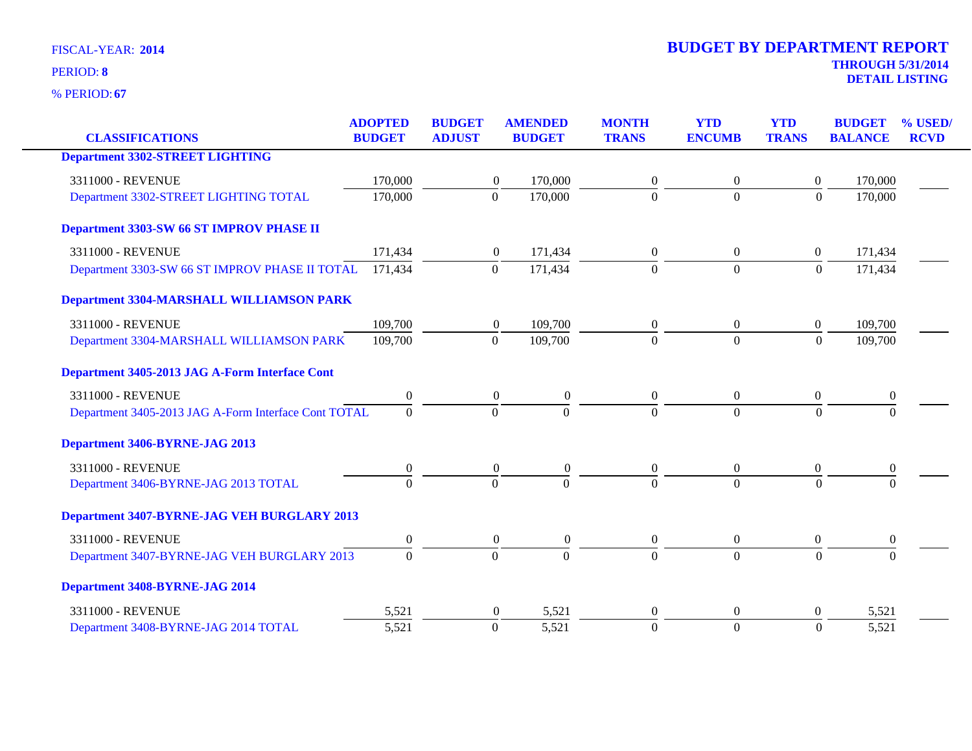| <b>CLASSIFICATIONS</b>                               | <b>ADOPTED</b><br><b>BUDGET</b> | <b>BUDGET</b><br><b>ADJUST</b> | <b>AMENDED</b><br><b>BUDGET</b>      | <b>MONTH</b><br><b>TRANS</b> | <b>YTD</b><br><b>ENCUMB</b> | <b>YTD</b><br><b>TRANS</b> | <b>BUDGET</b><br><b>BALANCE</b> | % USED/<br><b>RCVD</b> |
|------------------------------------------------------|---------------------------------|--------------------------------|--------------------------------------|------------------------------|-----------------------------|----------------------------|---------------------------------|------------------------|
|                                                      |                                 |                                |                                      |                              |                             |                            |                                 |                        |
| <b>Department 3302-STREET LIGHTING</b>               |                                 |                                |                                      |                              |                             |                            |                                 |                        |
| 3311000 - REVENUE                                    | 170,000                         |                                | 170,000<br>$\overline{0}$            | $\overline{0}$               | $\overline{0}$              | $\Omega$                   | 170,000                         |                        |
| Department 3302-STREET LIGHTING TOTAL                | 170,000                         |                                | $\mathbf{0}$<br>170,000              | $\Omega$                     | $\overline{0}$              | $\boldsymbol{0}$           | 170,000                         |                        |
| Department 3303-SW 66 ST IMPROV PHASE II             |                                 |                                |                                      |                              |                             |                            |                                 |                        |
| 3311000 - REVENUE                                    | 171,434                         |                                | 171,434<br>$\boldsymbol{0}$          | $\boldsymbol{0}$             | $\overline{0}$              | $\overline{0}$             | 171,434                         |                        |
| Department 3303-SW 66 ST IMPROV PHASE II TOTAL       | 171,434                         |                                | 171,434<br>$\mathbf{0}$              | $\Omega$                     | $\overline{0}$              | $\boldsymbol{0}$           | 171,434                         |                        |
| <b>Department 3304-MARSHALL WILLIAMSON PARK</b>      |                                 |                                |                                      |                              |                             |                            |                                 |                        |
| 3311000 - REVENUE                                    | 109,700                         |                                | 109,700<br>$\boldsymbol{0}$          | $\boldsymbol{0}$             | $\overline{0}$              | $\overline{0}$             | 109,700                         |                        |
| Department 3304-MARSHALL WILLIAMSON PARK             | 109,700                         |                                | 109,700<br>$\overline{0}$            | $\overline{0}$               | $\overline{0}$              | $\theta$                   | 109,700                         |                        |
| Department 3405-2013 JAG A-Form Interface Cont       |                                 |                                |                                      |                              |                             |                            |                                 |                        |
| 3311000 - REVENUE                                    | $\boldsymbol{0}$                |                                | $\boldsymbol{0}$<br>$\boldsymbol{0}$ | $\overline{0}$               | $\overline{0}$              | $\overline{0}$             | $\bf{0}$                        |                        |
| Department 3405-2013 JAG A-Form Interface Cont TOTAL | $\Omega$                        |                                | $\mathbf{0}$<br>$\Omega$             | $\Omega$                     | $\Omega$                    | $\Omega$                   | $\Omega$                        |                        |
| Department 3406-BYRNE-JAG 2013                       |                                 |                                |                                      |                              |                             |                            |                                 |                        |
| 3311000 - REVENUE                                    | $\boldsymbol{0}$                |                                | $\boldsymbol{0}$<br>$\boldsymbol{0}$ | $\boldsymbol{0}$             | $\mathbf{0}$                | $\boldsymbol{0}$           | $\bf{0}$                        |                        |
| Department 3406-BYRNE-JAG 2013 TOTAL                 | $\Omega$                        |                                | $\Omega$<br>$\Omega$                 | $\Omega$                     | $\Omega$                    | $\Omega$                   |                                 |                        |
| <b>Department 3407-BYRNE-JAG VEH BURGLARY 2013</b>   |                                 |                                |                                      |                              |                             |                            |                                 |                        |
| 3311000 - REVENUE                                    | $\boldsymbol{0}$                |                                | $\overline{0}$<br>$\boldsymbol{0}$   | $\boldsymbol{0}$             | $\overline{0}$              | $\overline{0}$             | $\overline{0}$                  |                        |
| Department 3407-BYRNE-JAG VEH BURGLARY 2013          | $\Omega$                        |                                | $\Omega$<br>$\theta$                 | $\Omega$                     | $\Omega$                    | $\overline{0}$             | $\Omega$                        |                        |
| Department 3408-BYRNE-JAG 2014                       |                                 |                                |                                      |                              |                             |                            |                                 |                        |
| 3311000 - REVENUE                                    | 5,521                           |                                | 5,521<br>$\boldsymbol{0}$            | 0                            | $\theta$                    | $\theta$                   | 5,521                           |                        |
| Department 3408-BYRNE-JAG 2014 TOTAL                 | 5,521                           |                                | $\mathbf{0}$<br>5,521                | $\Omega$                     | $\overline{0}$              | $\overline{0}$             | 5,521                           |                        |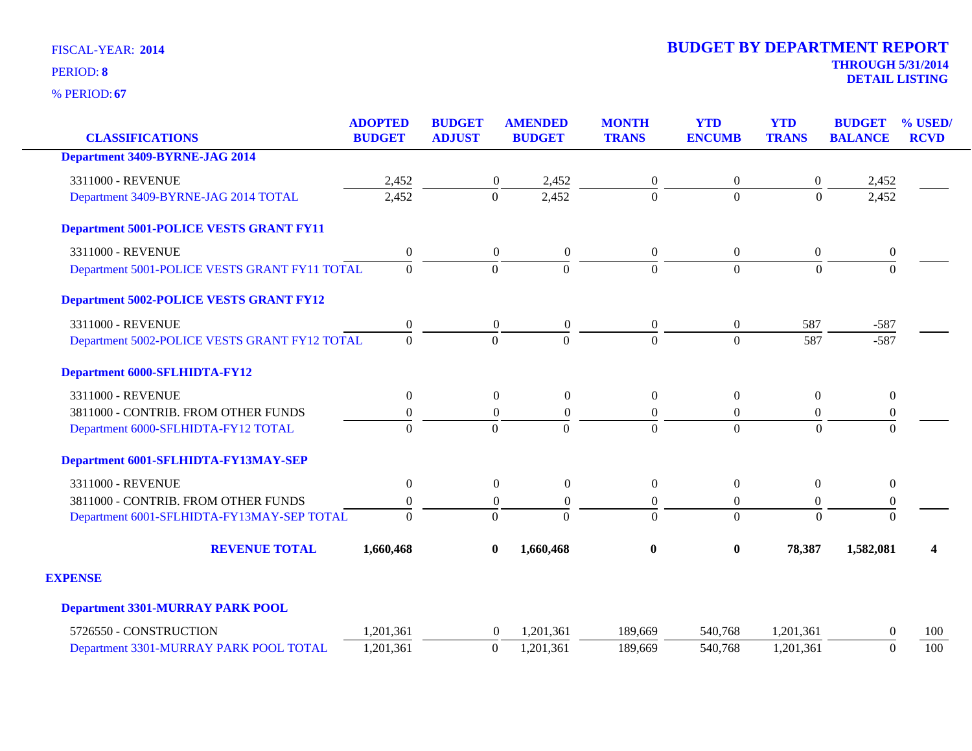| <b>CLASSIFICATIONS</b>                         | <b>ADOPTED</b><br><b>BUDGET</b> | <b>BUDGET</b><br><b>ADJUST</b> | <b>AMENDED</b><br><b>BUDGET</b> | <b>MONTH</b><br><b>TRANS</b> | <b>YTD</b><br><b>ENCUMB</b> | <b>YTD</b><br><b>TRANS</b> | <b>BUDGET</b><br><b>BALANCE</b> | % USED/<br><b>RCVD</b> |
|------------------------------------------------|---------------------------------|--------------------------------|---------------------------------|------------------------------|-----------------------------|----------------------------|---------------------------------|------------------------|
| <b>Department 3409-BYRNE-JAG 2014</b>          |                                 |                                |                                 |                              |                             |                            |                                 |                        |
| 3311000 - REVENUE                              | 2,452                           | $\boldsymbol{0}$               | 2,452                           | $\boldsymbol{0}$             | $\boldsymbol{0}$            | $\boldsymbol{0}$           | 2,452                           |                        |
| Department 3409-BYRNE-JAG 2014 TOTAL           | 2,452                           | $\boldsymbol{0}$               | 2,452                           | $\mathbf{0}$                 | $\Omega$                    | $\overline{0}$             | 2,452                           |                        |
| <b>Department 5001-POLICE VESTS GRANT FY11</b> |                                 |                                |                                 |                              |                             |                            |                                 |                        |
| 3311000 - REVENUE                              | $\boldsymbol{0}$                | $\overline{0}$                 | $\boldsymbol{0}$                | $\boldsymbol{0}$             | $\overline{0}$              | $\mathbf{0}$               | $\boldsymbol{0}$                |                        |
| Department 5001-POLICE VESTS GRANT FY11 TOTAL  | $\Omega$                        | $\Omega$                       | $\Omega$                        | $\Omega$                     | $\Omega$                    | $\Omega$                   | $\Omega$                        |                        |
| <b>Department 5002-POLICE VESTS GRANT FY12</b> |                                 |                                |                                 |                              |                             |                            |                                 |                        |
| 3311000 - REVENUE                              | $\boldsymbol{0}$                | $\boldsymbol{0}$               | $\boldsymbol{0}$                | $\boldsymbol{0}$             | $\overline{0}$              | 587                        | $-587$                          |                        |
| Department 5002-POLICE VESTS GRANT FY12 TOTAL  | $\Omega$                        | $\Omega$                       | $\Omega$                        | $\mathbf{0}$                 | $\Omega$                    | 587                        | $-587$                          |                        |
| <b>Department 6000-SFLHIDTA-FY12</b>           |                                 |                                |                                 |                              |                             |                            |                                 |                        |
| 3311000 - REVENUE                              | $\boldsymbol{0}$                | $\overline{0}$                 | $\boldsymbol{0}$                | $\boldsymbol{0}$             | $\theta$                    | $\overline{0}$             | $\mathbf{0}$                    |                        |
| 3811000 - CONTRIB. FROM OTHER FUNDS            | $\boldsymbol{0}$                | $\boldsymbol{0}$               | $\boldsymbol{0}$                | $\boldsymbol{0}$             | $\overline{0}$              | $\boldsymbol{0}$           | $\boldsymbol{0}$                |                        |
| Department 6000-SFLHIDTA-FY12 TOTAL            | $\overline{0}$                  | $\Omega$                       | $\Omega$                        | $\Omega$                     | $\Omega$                    | $\Omega$                   | $\Omega$                        |                        |
| Department 6001-SFLHIDTA-FY13MAY-SEP           |                                 |                                |                                 |                              |                             |                            |                                 |                        |
| 3311000 - REVENUE                              | $\boldsymbol{0}$                | $\boldsymbol{0}$               | $\boldsymbol{0}$                | $\boldsymbol{0}$             | $\overline{0}$              | $\overline{0}$             | $\boldsymbol{0}$                |                        |
| 3811000 - CONTRIB. FROM OTHER FUNDS            | $\boldsymbol{0}$                | $\boldsymbol{0}$               | $\overline{0}$                  | $\boldsymbol{0}$             | $\theta$                    | $\overline{0}$             | $\boldsymbol{0}$                |                        |
| Department 6001-SFLHIDTA-FY13MAY-SEP TOTAL     | $\Omega$                        | $\Omega$                       | $\Omega$                        | $\Omega$                     | $\Omega$                    | $\theta$                   | $\Omega$                        |                        |
| <b>REVENUE TOTAL</b>                           | 1,660,468                       | $\bf{0}$                       | 1,660,468                       | $\boldsymbol{0}$             | $\bf{0}$                    | 78,387                     | 1,582,081                       | 4                      |
| <b>EXPENSE</b>                                 |                                 |                                |                                 |                              |                             |                            |                                 |                        |
| <b>Department 3301-MURRAY PARK POOL</b>        |                                 |                                |                                 |                              |                             |                            |                                 |                        |
| 5726550 - CONSTRUCTION                         | 1,201,361                       | $\overline{0}$                 | 1,201,361                       | 189,669                      | 540,768                     | 1,201,361                  | $\Omega$                        | 100                    |
| Department 3301-MURRAY PARK POOL TOTAL         | 1,201,361                       | $\boldsymbol{0}$               | 1,201,361                       | 189,669                      | 540,768                     | 1,201,361                  | $\Omega$                        | 100                    |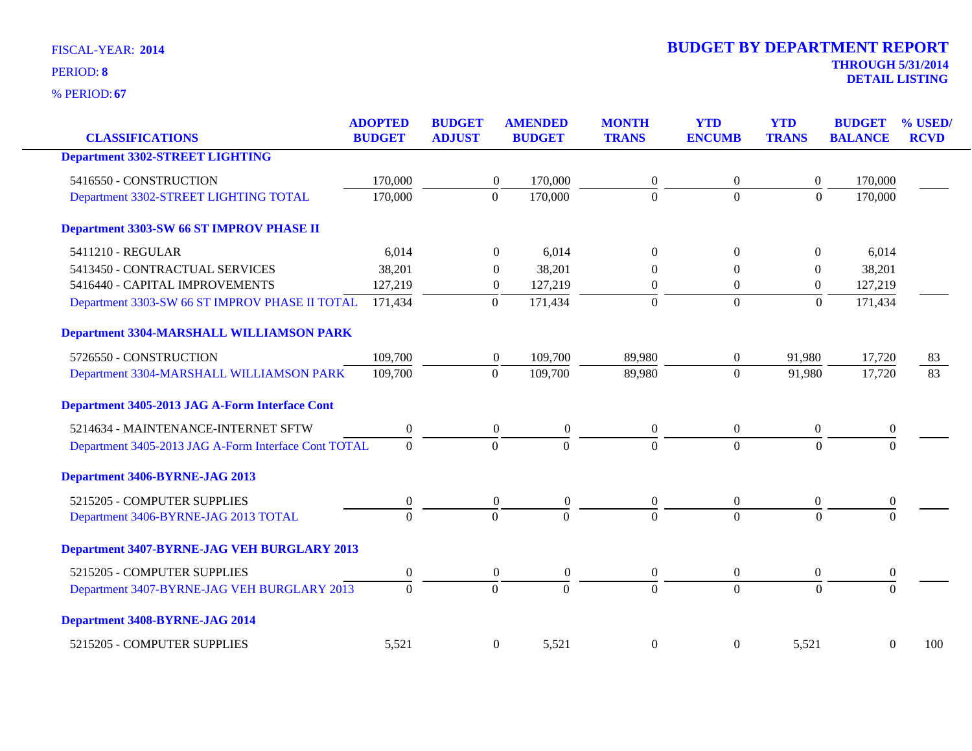| <b>CLASSIFICATIONS</b>                               | <b>ADOPTED</b><br><b>BUDGET</b> | <b>BUDGET</b><br><b>ADJUST</b> | <b>AMENDED</b><br><b>BUDGET</b>    | <b>MONTH</b><br><b>TRANS</b> | <b>YTD</b><br><b>ENCUMB</b> | <b>YTD</b><br><b>TRANS</b> | <b>BUDGET</b><br><b>BALANCE</b> | % USED/<br><b>RCVD</b> |
|------------------------------------------------------|---------------------------------|--------------------------------|------------------------------------|------------------------------|-----------------------------|----------------------------|---------------------------------|------------------------|
| <b>Department 3302-STREET LIGHTING</b>               |                                 |                                |                                    |                              |                             |                            |                                 |                        |
| 5416550 - CONSTRUCTION                               | 170,000                         |                                | 170,000<br>$\overline{0}$          | 0                            | $\overline{0}$              | $\boldsymbol{0}$           | 170,000                         |                        |
| Department 3302-STREET LIGHTING TOTAL                | 170,000                         | $\overline{0}$                 | 170,000                            | $\overline{0}$               | $\Omega$                    | $\overline{0}$             | 170,000                         |                        |
| Department 3303-SW 66 ST IMPROV PHASE II             |                                 |                                |                                    |                              |                             |                            |                                 |                        |
| 5411210 - REGULAR                                    | 6,014                           |                                | $\Omega$<br>6,014                  | $\theta$                     | $\Omega$                    | $\theta$                   | 6,014                           |                        |
| 5413450 - CONTRACTUAL SERVICES                       | 38,201                          |                                | 38,201<br>$\theta$                 | 0                            | $\Omega$                    | $\mathbf{0}$               | 38,201                          |                        |
| 5416440 - CAPITAL IMPROVEMENTS                       | 127,219                         |                                | 127,219<br>$\boldsymbol{0}$        | $\overline{0}$               | $\theta$                    | $\boldsymbol{0}$           | 127,219                         |                        |
| Department 3303-SW 66 ST IMPROV PHASE II TOTAL       | 171,434                         | $\boldsymbol{0}$               | 171,434                            | $\boldsymbol{0}$             | $\overline{0}$              | $\boldsymbol{0}$           | 171,434                         |                        |
| Department 3304-MARSHALL WILLIAMSON PARK             |                                 |                                |                                    |                              |                             |                            |                                 |                        |
| 5726550 - CONSTRUCTION                               | 109,700                         |                                | 109,700<br>$\boldsymbol{0}$        | 89,980                       | $\overline{0}$              | 91,980                     | 17,720                          | 83                     |
| Department 3304-MARSHALL WILLIAMSON PARK             | 109,700                         | $\mathbf{0}$                   | 109,700                            | 89,980                       | $\overline{0}$              | 91,980                     | 17,720                          | $\overline{83}$        |
| Department 3405-2013 JAG A-Form Interface Cont       |                                 |                                |                                    |                              |                             |                            |                                 |                        |
| 5214634 - MAINTENANCE-INTERNET SFTW                  | $\mathbf{0}$                    |                                | $\overline{0}$<br>$\overline{0}$   | $\overline{0}$               | $\overline{0}$              | $\mathbf{0}$               | $\boldsymbol{0}$                |                        |
| Department 3405-2013 JAG A-Form Interface Cont TOTAL | $\overline{0}$                  | $\overline{0}$                 | $\overline{0}$                     | $\overline{0}$               | $\Omega$                    | $\overline{0}$             | $\Omega$                        |                        |
| Department 3406-BYRNE-JAG 2013                       |                                 |                                |                                    |                              |                             |                            |                                 |                        |
| 5215205 - COMPUTER SUPPLIES                          | $\boldsymbol{0}$                |                                | $\boldsymbol{0}$<br>$\overline{0}$ | $\boldsymbol{0}$             | $\boldsymbol{0}$            | $\boldsymbol{0}$           | $\boldsymbol{0}$                |                        |
| Department 3406-BYRNE-JAG 2013 TOTAL                 | $\overline{0}$                  | $\overline{0}$                 | $\overline{0}$                     | $\Omega$                     | $\overline{0}$              | $\overline{0}$             | $\Omega$                        |                        |
| Department 3407-BYRNE-JAG VEH BURGLARY 2013          |                                 |                                |                                    |                              |                             |                            |                                 |                        |
| 5215205 - COMPUTER SUPPLIES                          | $\boldsymbol{0}$                |                                | $\overline{0}$<br>$\boldsymbol{0}$ | $\boldsymbol{0}$             | $\overline{0}$              | $\boldsymbol{0}$           | $\boldsymbol{0}$                |                        |
| Department 3407-BYRNE-JAG VEH BURGLARY 2013          | $\overline{0}$                  | $\mathbf{0}$                   | $\overline{0}$                     | $\overline{0}$               | $\overline{0}$              | $\overline{0}$             | $\Omega$                        |                        |
| Department 3408-BYRNE-JAG 2014                       |                                 |                                |                                    |                              |                             |                            |                                 |                        |
| 5215205 - COMPUTER SUPPLIES                          | 5,521                           |                                | $\boldsymbol{0}$<br>5,521          | $\boldsymbol{0}$             | $\boldsymbol{0}$            | 5,521                      | $\boldsymbol{0}$                | 100                    |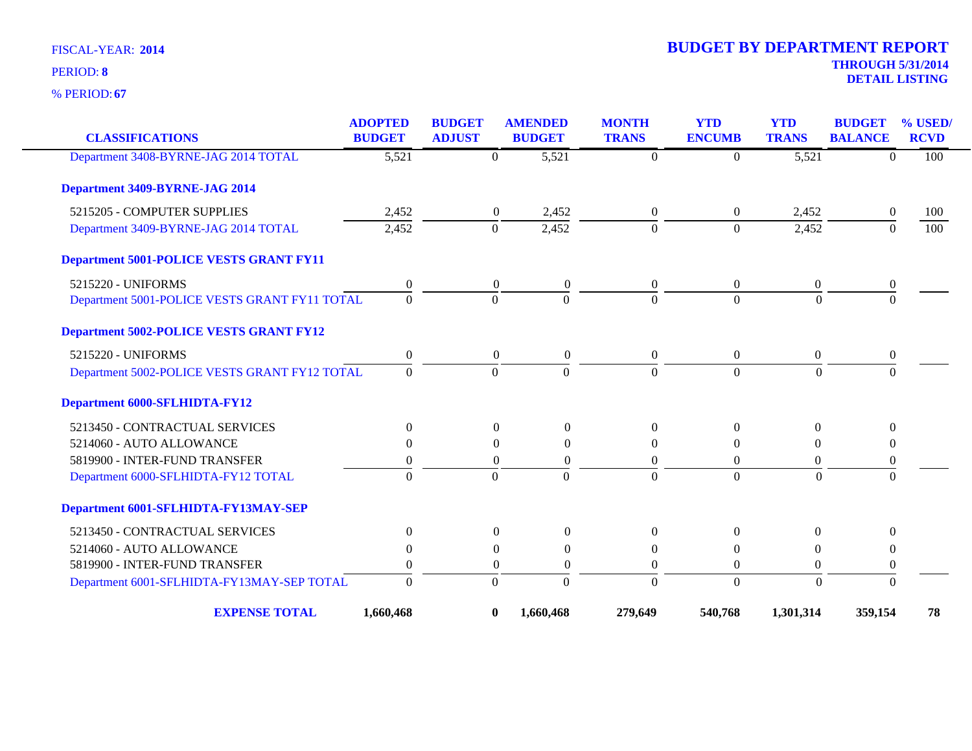**67** % PERIOD:

| <b>CLASSIFICATIONS</b>                         | <b>ADOPTED</b><br><b>BUDGET</b> | <b>BUDGET</b><br><b>ADJUST</b> |                  | <b>AMENDED</b><br><b>BUDGET</b> | <b>MONTH</b><br><b>TRANS</b> | <b>YTD</b><br><b>ENCUMB</b> | <b>YTD</b><br><b>TRANS</b> | <b>BUDGET</b><br><b>BALANCE</b> | % USED/<br><b>RCVD</b> |
|------------------------------------------------|---------------------------------|--------------------------------|------------------|---------------------------------|------------------------------|-----------------------------|----------------------------|---------------------------------|------------------------|
| Department 3408-BYRNE-JAG 2014 TOTAL           | 5,521                           |                                | $\theta$         | 5,521                           | $\Omega$                     | $\Omega$                    | $\overline{5,521}$         | $\Omega$                        | 100                    |
| <b>Department 3409-BYRNE-JAG 2014</b>          |                                 |                                |                  |                                 |                              |                             |                            |                                 |                        |
| 5215205 - COMPUTER SUPPLIES                    | 2,452                           |                                | $\boldsymbol{0}$ | 2,452                           | $\overline{0}$               | $\overline{0}$              | 2,452                      | $\overline{0}$                  | 100                    |
| Department 3409-BYRNE-JAG 2014 TOTAL           | 2,452                           |                                | $\theta$         | 2,452                           | $\Omega$                     | $\Omega$                    | 2,452                      | $\Omega$                        | 100                    |
| <b>Department 5001-POLICE VESTS GRANT FY11</b> |                                 |                                |                  |                                 |                              |                             |                            |                                 |                        |
| 5215220 - UNIFORMS                             | $\overline{0}$                  |                                | $\overline{0}$   | $\overline{0}$                  | $\overline{0}$               | $\theta$                    | $\overline{0}$             | 0                               |                        |
| Department 5001-POLICE VESTS GRANT FY11 TOTAL  | $\overline{0}$                  |                                | $\mathbf{0}$     | $\overline{0}$                  | $\Omega$                     | $\overline{0}$              | $\mathbf{0}$               | $\overline{0}$                  |                        |
| <b>Department 5002-POLICE VESTS GRANT FY12</b> |                                 |                                |                  |                                 |                              |                             |                            |                                 |                        |
| 5215220 - UNIFORMS                             | $\theta$                        |                                | $\boldsymbol{0}$ | $\boldsymbol{0}$                | $\overline{0}$               | $\overline{0}$              | $\overline{0}$             | $\boldsymbol{0}$                |                        |
| Department 5002-POLICE VESTS GRANT FY12 TOTAL  | $\Omega$                        |                                | $\Omega$         | $\Omega$                        | $\Omega$                     | $\Omega$                    | $\Omega$                   | $\Omega$                        |                        |
| Department 6000-SFLHIDTA-FY12                  |                                 |                                |                  |                                 |                              |                             |                            |                                 |                        |
| 5213450 - CONTRACTUAL SERVICES                 | $\Omega$                        |                                | $\theta$         | $\Omega$                        | $\theta$                     | $\Omega$                    | $\overline{0}$             | $\Omega$                        |                        |
| 5214060 - AUTO ALLOWANCE                       | $\Omega$                        |                                | $\Omega$         | $\mathbf{0}$                    | $\Omega$                     | $\theta$                    | $\overline{0}$             | $\theta$                        |                        |
| 5819900 - INTER-FUND TRANSFER                  | $\Omega$                        |                                | $\Omega$         | $\theta$                        | $\Omega$                     | $\Omega$                    | $\Omega$                   | $\theta$                        |                        |
| Department 6000-SFLHIDTA-FY12 TOTAL            | $\theta$                        |                                | $\mathbf{0}$     | $\Omega$                        | $\Omega$                     | $\overline{0}$              | $\mathbf{0}$               | $\mathbf{0}$                    |                        |
| Department 6001-SFLHIDTA-FY13MAY-SEP           |                                 |                                |                  |                                 |                              |                             |                            |                                 |                        |
| 5213450 - CONTRACTUAL SERVICES                 | $\boldsymbol{0}$                |                                | $\boldsymbol{0}$ | $\boldsymbol{0}$                | $\overline{0}$               | $\Omega$                    | $\mathbf{0}$               | $\boldsymbol{0}$                |                        |
| 5214060 - AUTO ALLOWANCE                       | $\Omega$                        |                                | $\Omega$         | $\theta$                        | $\Omega$                     | 0                           | $\left($                   | $\theta$                        |                        |
| 5819900 - INTER-FUND TRANSFER                  | $\theta$                        |                                | $\overline{0}$   | $\overline{0}$                  | $\boldsymbol{0}$             | $\boldsymbol{0}$            | $\boldsymbol{0}$           | $\boldsymbol{0}$                |                        |
| Department 6001-SFLHIDTA-FY13MAY-SEP TOTAL     | $\Omega$                        |                                | $\Omega$         | $\overline{0}$                  | $\Omega$                     | $\overline{0}$              | $\theta$                   | $\theta$                        |                        |
| <b>EXPENSE TOTAL</b>                           | 1,660,468                       |                                | $\bf{0}$         | 1,660,468                       | 279,649                      | 540,768                     | 1,301,314                  | 359,154                         | 78                     |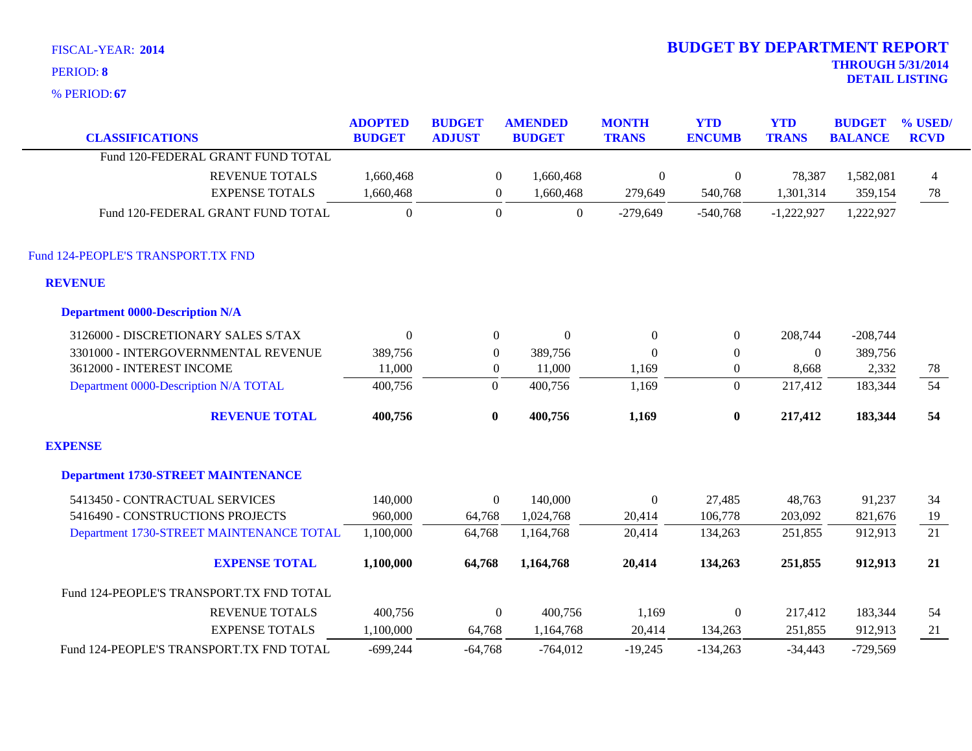| <b>FISCAL-YEAR: 2014</b> |  |  |  |
|--------------------------|--|--|--|
|--------------------------|--|--|--|

| <b>CLASSIFICATIONS</b>                    | <b>ADOPTED</b><br><b>BUDGET</b> | <b>BUDGET</b><br><b>ADJUST</b> | <b>AMENDED</b><br><b>BUDGET</b> | <b>MONTH</b><br><b>TRANS</b> | <b>YTD</b><br><b>ENCUMB</b> | <b>YTD</b><br><b>TRANS</b> | <b>BUDGET</b><br><b>BALANCE</b> | % USED/<br><b>RCVD</b> |
|-------------------------------------------|---------------------------------|--------------------------------|---------------------------------|------------------------------|-----------------------------|----------------------------|---------------------------------|------------------------|
| Fund 120-FEDERAL GRANT FUND TOTAL         |                                 |                                |                                 |                              |                             |                            |                                 |                        |
| <b>REVENUE TOTALS</b>                     | 1,660,468                       | $\boldsymbol{0}$               | 1,660,468                       | $\boldsymbol{0}$             | $\boldsymbol{0}$            | 78,387                     | 1,582,081                       | $\overline{4}$         |
| <b>EXPENSE TOTALS</b>                     | 1,660,468                       | 0                              | 1,660,468                       | 279,649                      | 540,768                     | 1,301,314                  | 359,154                         | 78                     |
| Fund 120-FEDERAL GRANT FUND TOTAL         | $\overline{0}$                  | $\boldsymbol{0}$               | $\boldsymbol{0}$                | $-279,649$                   | $-540,768$                  | $-1,222,927$               | 1,222,927                       |                        |
| Fund 124-PEOPLE'S TRANSPORT.TX FND        |                                 |                                |                                 |                              |                             |                            |                                 |                        |
| <b>REVENUE</b>                            |                                 |                                |                                 |                              |                             |                            |                                 |                        |
| <b>Department 0000-Description N/A</b>    |                                 |                                |                                 |                              |                             |                            |                                 |                        |
| 3126000 - DISCRETIONARY SALES S/TAX       | $\theta$                        | $\boldsymbol{0}$               | $\Omega$                        | $\mathbf{0}$                 | $\boldsymbol{0}$            | 208,744                    | $-208,744$                      |                        |
| 3301000 - INTERGOVERNMENTAL REVENUE       | 389,756                         | $\boldsymbol{0}$               | 389,756                         | $\Omega$                     | $\mathbf{0}$                | $\overline{0}$             | 389,756                         |                        |
| 3612000 - INTEREST INCOME                 | 11,000                          | $\overline{0}$                 | 11,000                          | 1,169                        | $\overline{0}$              | 8,668                      | 2,332                           | 78                     |
| Department 0000-Description N/A TOTAL     | 400,756                         | $\overline{0}$                 | 400,756                         | 1,169                        | $\overline{0}$              | 217,412                    | 183,344                         | 54                     |
| <b>REVENUE TOTAL</b>                      | 400,756                         | $\bf{0}$                       | 400,756                         | 1,169                        | $\bf{0}$                    | 217,412                    | 183,344                         | 54                     |
| <b>EXPENSE</b>                            |                                 |                                |                                 |                              |                             |                            |                                 |                        |
| <b>Department 1730-STREET MAINTENANCE</b> |                                 |                                |                                 |                              |                             |                            |                                 |                        |
| 5413450 - CONTRACTUAL SERVICES            | 140,000                         | $\Omega$                       | 140,000                         | $\mathbf{0}$                 | 27,485                      | 48,763                     | 91,237                          | 34                     |
| 5416490 - CONSTRUCTIONS PROJECTS          | 960,000                         | 64,768                         | 1,024,768                       | 20,414                       | 106,778                     | 203,092                    | 821,676                         | 19                     |
| Department 1730-STREET MAINTENANCE TOTAL  | 1,100,000                       | 64,768                         | 1,164,768                       | 20,414                       | 134,263                     | 251,855                    | 912,913                         | $\overline{21}$        |
| <b>EXPENSE TOTAL</b>                      | 1,100,000                       | 64,768                         | 1,164,768                       | 20,414                       | 134,263                     | 251,855                    | 912,913                         | 21                     |
| Fund 124-PEOPLE'S TRANSPORT.TX FND TOTAL  |                                 |                                |                                 |                              |                             |                            |                                 |                        |
| <b>REVENUE TOTALS</b>                     | 400,756                         | $\boldsymbol{0}$               | 400,756                         | 1,169                        | $\boldsymbol{0}$            | 217,412                    | 183,344                         | 54                     |
| <b>EXPENSE TOTALS</b>                     | 1,100,000                       | 64,768                         | 1,164,768                       | 20,414                       | 134,263                     | 251,855                    | 912,913                         | 21                     |
| Fund 124-PEOPLE'S TRANSPORT.TX FND TOTAL  | $-699,244$                      | $-64,768$                      | $-764,012$                      | $-19,245$                    | $-134,263$                  | $-34,443$                  | $-729,569$                      |                        |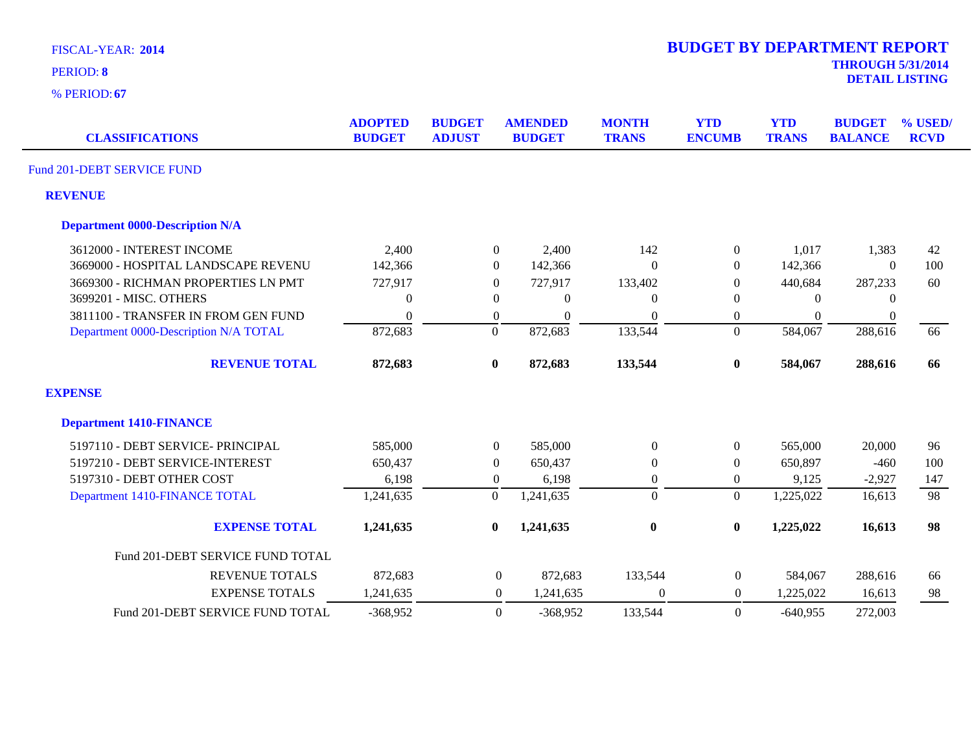| <b>FISCAL-YEAR: 2014</b> |  |  |  |
|--------------------------|--|--|--|
| MDIMAD. 0                |  |  |  |

| <b>CLASSIFICATIONS</b>                 | <b>ADOPTED</b><br><b>BUDGET</b> | <b>BUDGET</b><br><b>ADJUST</b> | <b>AMENDED</b><br><b>BUDGET</b> | <b>MONTH</b><br><b>TRANS</b> | <b>YTD</b><br><b>ENCUMB</b> | <b>YTD</b><br><b>TRANS</b> | <b>BUDGET</b><br><b>BALANCE</b> | % USED/<br><b>RCVD</b> |
|----------------------------------------|---------------------------------|--------------------------------|---------------------------------|------------------------------|-----------------------------|----------------------------|---------------------------------|------------------------|
| Fund 201-DEBT SERVICE FUND             |                                 |                                |                                 |                              |                             |                            |                                 |                        |
| <b>REVENUE</b>                         |                                 |                                |                                 |                              |                             |                            |                                 |                        |
| <b>Department 0000-Description N/A</b> |                                 |                                |                                 |                              |                             |                            |                                 |                        |
| 3612000 - INTEREST INCOME              | 2,400                           |                                | $\overline{0}$<br>2,400         | 142                          | $\boldsymbol{0}$            | 1,017                      | 1,383                           | 42                     |
| 3669000 - HOSPITAL LANDSCAPE REVENU    | 142,366                         |                                | $\overline{0}$<br>142,366       | $\Omega$                     | $\Omega$                    | 142,366                    | $\theta$                        | 100                    |
| 3669300 - RICHMAN PROPERTIES LN PMT    | 727,917                         |                                | $\overline{0}$<br>727,917       | 133,402                      | $\overline{0}$              | 440,684                    | 287,233                         | 60                     |
| 3699201 - MISC. OTHERS                 | $\Omega$                        |                                | $\mathbf{0}$<br>$\Omega$        |                              | $\Omega$                    | $\Omega$                   | $\Omega$                        |                        |
| 3811100 - TRANSFER IN FROM GEN FUND    | $\Omega$                        |                                | $\overline{0}$<br>$\Omega$      | $\Omega$                     | $\overline{0}$              | $\theta$                   | $\boldsymbol{0}$                |                        |
| Department 0000-Description N/A TOTAL  | 872,683                         |                                | $\overline{0}$<br>872,683       | 133,544                      | $\boldsymbol{0}$            | 584,067                    | 288,616                         | 66                     |
| <b>REVENUE TOTAL</b>                   | 872,683                         |                                | $\bf{0}$<br>872,683             | 133,544                      | $\bf{0}$                    | 584,067                    | 288,616                         | 66                     |
| <b>EXPENSE</b>                         |                                 |                                |                                 |                              |                             |                            |                                 |                        |
| <b>Department 1410-FINANCE</b>         |                                 |                                |                                 |                              |                             |                            |                                 |                        |
| 5197110 - DEBT SERVICE- PRINCIPAL      | 585,000                         |                                | $\overline{0}$<br>585,000       | $\Omega$                     | $\mathbf{0}$                | 565,000                    | 20,000                          | 96                     |
| 5197210 - DEBT SERVICE-INTEREST        | 650,437                         |                                | $\overline{0}$<br>650,437       | $\theta$                     | $\overline{0}$              | 650,897                    | $-460$                          | 100                    |
| 5197310 - DEBT OTHER COST              | 6,198                           |                                | $\overline{0}$<br>6,198         | $\mathbf{0}$                 | $\mathbf{0}$                | 9,125                      | $-2,927$                        | 147                    |
| Department 1410-FINANCE TOTAL          | 1,241,635                       |                                | $\overline{0}$<br>1,241,635     | $\Omega$                     | $\overline{0}$              | 1,225,022                  | 16,613                          | 98                     |
| <b>EXPENSE TOTAL</b>                   | 1,241,635                       |                                | 1,241,635<br>$\bf{0}$           | $\bf{0}$                     | $\bf{0}$                    | 1,225,022                  | 16,613                          | 98                     |
| Fund 201-DEBT SERVICE FUND TOTAL       |                                 |                                |                                 |                              |                             |                            |                                 |                        |
| <b>REVENUE TOTALS</b>                  | 872,683                         |                                | $\boldsymbol{0}$<br>872,683     | 133,544                      | $\boldsymbol{0}$            | 584,067                    | 288,616                         | 66                     |
| <b>EXPENSE TOTALS</b>                  | 1,241,635                       |                                | $\boldsymbol{0}$<br>1,241,635   | $\theta$                     | $\overline{0}$              | 1,225,022                  | 16,613                          | 98                     |
| Fund 201-DEBT SERVICE FUND TOTAL       | $-368,952$                      |                                | $\overline{0}$<br>$-368,952$    | 133,544                      | $\theta$                    | $-640,955$                 | 272,003                         |                        |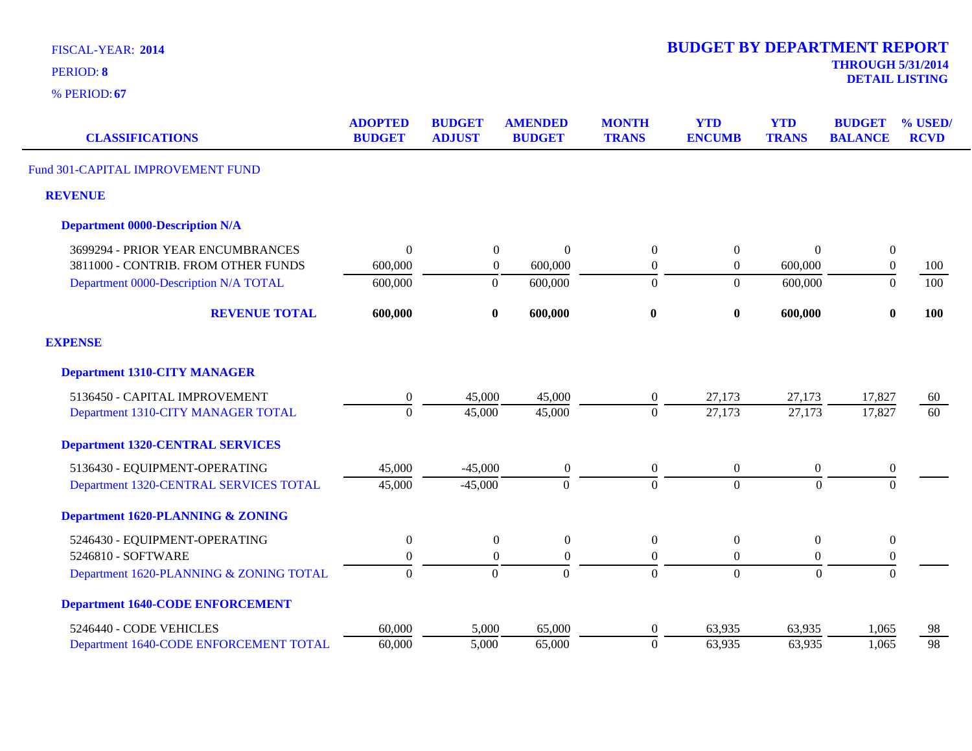| <b>FISCAL-YEAR: 2014</b> |  |  |  |  |
|--------------------------|--|--|--|--|
|--------------------------|--|--|--|--|

**DETAIL LISTING** PERIOD: **<sup>8</sup>**

| <b>CLASSIFICATIONS</b>                  | <b>ADOPTED</b><br><b>BUDGET</b> | <b>BUDGET</b><br><b>ADJUST</b> | <b>AMENDED</b><br><b>BUDGET</b> | <b>MONTH</b><br><b>TRANS</b> | <b>YTD</b><br><b>ENCUMB</b> | <b>YTD</b><br><b>TRANS</b> | <b>BUDGET</b><br><b>BALANCE</b> | % USED/<br><b>RCVD</b> |
|-----------------------------------------|---------------------------------|--------------------------------|---------------------------------|------------------------------|-----------------------------|----------------------------|---------------------------------|------------------------|
| Fund 301-CAPITAL IMPROVEMENT FUND       |                                 |                                |                                 |                              |                             |                            |                                 |                        |
| <b>REVENUE</b>                          |                                 |                                |                                 |                              |                             |                            |                                 |                        |
| <b>Department 0000-Description N/A</b>  |                                 |                                |                                 |                              |                             |                            |                                 |                        |
| 3699294 - PRIOR YEAR ENCUMBRANCES       | $\Omega$                        | $\boldsymbol{0}$               | $\Omega$                        | $\overline{0}$               | $\boldsymbol{0}$            | $\Omega$                   | $\boldsymbol{0}$                |                        |
| 3811000 - CONTRIB. FROM OTHER FUNDS     | 600,000                         | $\boldsymbol{0}$               | 600,000                         | $\boldsymbol{0}$             | $\boldsymbol{0}$            | 600,000                    | $\boldsymbol{0}$                | 100                    |
| Department 0000-Description N/A TOTAL   | 600,000                         | $\boldsymbol{0}$               | 600,000                         | $\theta$                     | $\overline{0}$              | 600,000                    | $\theta$                        | 100                    |
| <b>REVENUE TOTAL</b>                    | 600,000                         | $\bf{0}$                       | 600,000                         | $\bf{0}$                     | $\bf{0}$                    | 600,000                    | $\bf{0}$                        | <b>100</b>             |
| <b>EXPENSE</b>                          |                                 |                                |                                 |                              |                             |                            |                                 |                        |
| <b>Department 1310-CITY MANAGER</b>     |                                 |                                |                                 |                              |                             |                            |                                 |                        |
| 5136450 - CAPITAL IMPROVEMENT           | $\boldsymbol{0}$                | 45,000                         | 45,000                          | $\boldsymbol{0}$             | 27,173                      | 27,173                     | 17,827                          | 60                     |
| Department 1310-CITY MANAGER TOTAL      | $\Omega$                        | 45,000                         | 45,000                          | $\Omega$                     | 27,173                      | 27,173                     | 17,827                          | 60                     |
| <b>Department 1320-CENTRAL SERVICES</b> |                                 |                                |                                 |                              |                             |                            |                                 |                        |
| 5136430 - EQUIPMENT-OPERATING           | 45,000                          | $-45,000$                      | $\boldsymbol{0}$                | $\boldsymbol{0}$             | $\overline{0}$              | $\boldsymbol{0}$           | $\boldsymbol{0}$                |                        |
| Department 1320-CENTRAL SERVICES TOTAL  | 45,000                          | $-45,000$                      | $\overline{0}$                  | $\boldsymbol{0}$             | $\overline{0}$              | $\boldsymbol{0}$           | $\overline{0}$                  |                        |
| Department 1620-PLANNING & ZONING       |                                 |                                |                                 |                              |                             |                            |                                 |                        |
| 5246430 - EQUIPMENT-OPERATING           | $\overline{0}$                  | $\overline{0}$                 | $\overline{0}$                  | $\theta$                     | $\mathbf{0}$                | $\overline{0}$             | $\boldsymbol{0}$                |                        |
| 5246810 - SOFTWARE                      | $\Omega$                        | $\theta$                       | $\Omega$                        | $\theta$                     | $\overline{0}$              | $\overline{0}$             | $\boldsymbol{0}$                |                        |
| Department 1620-PLANNING & ZONING TOTAL | $\Omega$                        | $\Omega$                       | $\overline{0}$                  | $\overline{0}$               | $\overline{0}$              | $\Omega$                   | $\Omega$                        |                        |
| <b>Department 1640-CODE ENFORCEMENT</b> |                                 |                                |                                 |                              |                             |                            |                                 |                        |
| 5246440 - CODE VEHICLES                 | 60,000                          | 5,000                          | 65,000                          | $\boldsymbol{0}$             | 63,935                      | 63,935                     | 1,065                           | 98                     |
| Department 1640-CODE ENFORCEMENT TOTAL  | 60,000                          | 5,000                          | 65,000                          | $\mathbf{0}$                 | 63,935                      | 63,935                     | 1,065                           | 98                     |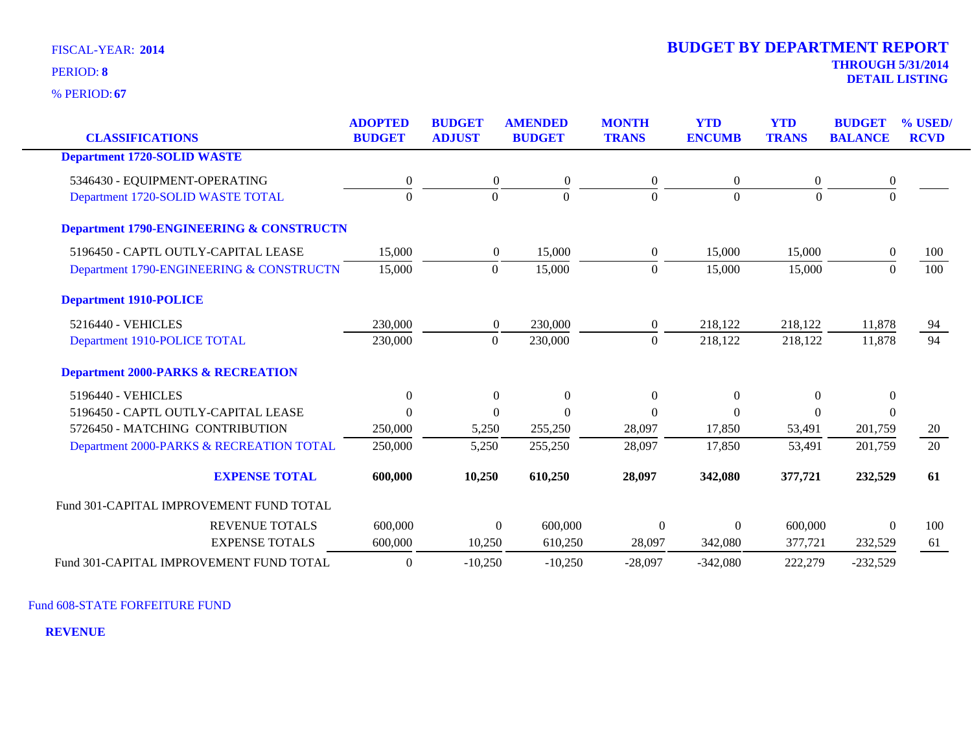**67** % PERIOD:

| <b>CLASSIFICATIONS</b>                              | <b>ADOPTED</b><br><b>BUDGET</b> | <b>BUDGET</b><br><b>ADJUST</b> | <b>AMENDED</b><br><b>BUDGET</b> | <b>MONTH</b><br><b>TRANS</b> | <b>YTD</b><br><b>ENCUMB</b> | <b>YTD</b><br><b>TRANS</b> | <b>BUDGET</b><br><b>BALANCE</b> | % USED/<br><b>RCVD</b> |
|-----------------------------------------------------|---------------------------------|--------------------------------|---------------------------------|------------------------------|-----------------------------|----------------------------|---------------------------------|------------------------|
| <b>Department 1720-SOLID WASTE</b>                  |                                 |                                |                                 |                              |                             |                            |                                 |                        |
|                                                     |                                 |                                |                                 |                              |                             |                            |                                 |                        |
| 5346430 - EQUIPMENT-OPERATING                       | $\boldsymbol{0}$                | $\overline{0}$                 | $\mathbf{0}$                    | $\boldsymbol{0}$             | $\overline{0}$              | $\theta$                   | $\boldsymbol{0}$                |                        |
| Department 1720-SOLID WASTE TOTAL                   | $\Omega$                        | $\Omega$                       | $\Omega$                        | $\Omega$                     | 0                           | $\theta$                   | $\Omega$                        |                        |
| <b>Department 1790-ENGINEERING &amp; CONSTRUCTN</b> |                                 |                                |                                 |                              |                             |                            |                                 |                        |
| 5196450 - CAPTL OUTLY-CAPITAL LEASE                 | 15,000                          | $\overline{0}$                 | 15,000                          | $\overline{0}$               | 15,000                      | 15,000                     | $\theta$                        | 100                    |
| Department 1790-ENGINEERING & CONSTRUCTN            | 15,000                          | $\theta$                       | 15,000                          | $\Omega$                     | 15,000                      | 15,000                     | $\Omega$                        | 100                    |
| <b>Department 1910-POLICE</b>                       |                                 |                                |                                 |                              |                             |                            |                                 |                        |
| 5216440 - VEHICLES                                  | 230,000                         | $\overline{0}$                 | 230,000                         | $\overline{0}$               | 218,122                     | 218,122                    | 11,878                          | 94                     |
| Department 1910-POLICE TOTAL                        | 230,000                         | $\theta$                       | 230,000                         | $\Omega$                     | 218,122                     | 218,122                    | 11,878                          | $\overline{94}$        |
| <b>Department 2000-PARKS &amp; RECREATION</b>       |                                 |                                |                                 |                              |                             |                            |                                 |                        |
| 5196440 - VEHICLES                                  | $\mathbf{0}$                    | $\boldsymbol{0}$               | $\mathbf{0}$                    | $\boldsymbol{0}$             | $\boldsymbol{0}$            | $\overline{0}$             | $\mathbf{0}$                    |                        |
| 5196450 - CAPTL OUTLY-CAPITAL LEASE                 | $\Omega$                        | $\theta$                       | $\Omega$                        | $\Omega$                     | $\Omega$                    | $\Omega$                   | $\Omega$                        |                        |
| 5726450 - MATCHING CONTRIBUTION                     | 250,000                         | 5,250                          | 255,250                         | 28,097                       | 17,850                      | 53,491                     | 201,759                         | 20                     |
| Department 2000-PARKS & RECREATION TOTAL            | 250,000                         | 5,250                          | 255,250                         | 28,097                       | 17,850                      | 53,491                     | 201,759                         | 20                     |
| <b>EXPENSE TOTAL</b>                                | 600,000                         | 10,250                         | 610,250                         | 28,097                       | 342,080                     | 377,721                    | 232,529                         | 61                     |
| Fund 301-CAPITAL IMPROVEMENT FUND TOTAL             |                                 |                                |                                 |                              |                             |                            |                                 |                        |
| <b>REVENUE TOTALS</b>                               | 600,000                         |                                | 600,000<br>$\Omega$             | $\mathbf{0}$                 | $\theta$                    | 600,000                    | $\Omega$                        | 100                    |
| <b>EXPENSE TOTALS</b>                               | 600,000                         | 10,250                         | 610,250                         | 28,097                       | 342,080                     | 377,721                    | 232,529                         | 61                     |
| Fund 301-CAPITAL IMPROVEMENT FUND TOTAL             | $\boldsymbol{0}$                | $-10,250$                      | $-10,250$                       | $-28,097$                    | $-342,080$                  | 222,279                    | $-232,529$                      |                        |

Fund 608-STATE FORFEITURE FUND

**REVENUE**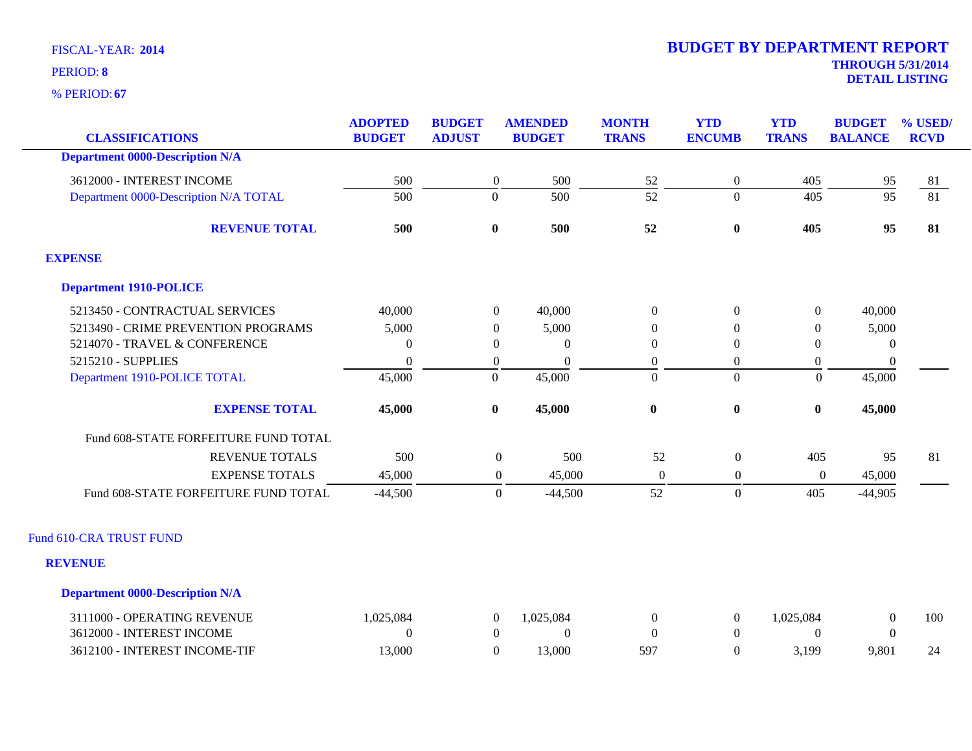**67** % PERIOD:

| <b>CLASSIFICATIONS</b>                 | <b>ADOPTED</b><br><b>BUDGET</b> | <b>BUDGET</b><br><b>ADJUST</b> | <b>AMENDED</b><br><b>BUDGET</b> | <b>MONTH</b><br><b>TRANS</b> | <b>YTD</b><br><b>ENCUMB</b> | <b>YTD</b><br><b>TRANS</b> | <b>BUDGET</b><br><b>BALANCE</b> | % USED/<br><b>RCVD</b> |
|----------------------------------------|---------------------------------|--------------------------------|---------------------------------|------------------------------|-----------------------------|----------------------------|---------------------------------|------------------------|
| <b>Department 0000-Description N/A</b> |                                 |                                |                                 |                              |                             |                            |                                 |                        |
| 3612000 - INTEREST INCOME              | 500                             | $\boldsymbol{0}$               | 500                             |                              | $\boldsymbol{0}$            | 405                        | 95                              | 81                     |
| Department 0000-Description N/A TOTAL  | $\overline{500}$                | $\Omega$                       | $\overline{500}$                | $\frac{52}{52}$              | $\overline{0}$              | 405                        | $\overline{95}$                 | $\overline{81}$        |
| <b>REVENUE TOTAL</b>                   | 500                             | $\bf{0}$                       | 500                             | 52                           | $\boldsymbol{0}$            | 405                        | 95                              | 81                     |
| <b>EXPENSE</b>                         |                                 |                                |                                 |                              |                             |                            |                                 |                        |
| <b>Department 1910-POLICE</b>          |                                 |                                |                                 |                              |                             |                            |                                 |                        |
| 5213450 - CONTRACTUAL SERVICES         | 40,000                          | $\boldsymbol{0}$               | 40,000                          | $\boldsymbol{0}$             | $\boldsymbol{0}$            | $\overline{0}$             | 40,000                          |                        |
| 5213490 - CRIME PREVENTION PROGRAMS    | 5,000                           | $\overline{0}$                 | 5,000                           | $\Omega$                     | $\Omega$                    | $\Omega$                   | 5,000                           |                        |
| 5214070 - TRAVEL & CONFERENCE          | $\Omega$                        | $\boldsymbol{0}$               | $\Omega$                        | $\Omega$                     | $\mathbf{0}$                | $\theta$                   | $\theta$                        |                        |
| 5215210 - SUPPLIES                     | $\overline{0}$                  | $\overline{0}$                 | $\boldsymbol{0}$                | $\boldsymbol{0}$             | $\overline{0}$              | $\theta$                   | $\boldsymbol{0}$                |                        |
| Department 1910-POLICE TOTAL           | 45,000                          | $\overline{0}$                 | 45,000                          | $\mathbf{0}$                 | $\boldsymbol{0}$            | $\boldsymbol{0}$           | 45,000                          |                        |
| <b>EXPENSE TOTAL</b>                   | 45,000                          | $\bf{0}$                       | 45,000                          | $\bf{0}$                     | $\boldsymbol{0}$            | $\bf{0}$                   | 45,000                          |                        |
| Fund 608-STATE FORFEITURE FUND TOTAL   |                                 |                                |                                 |                              |                             |                            |                                 |                        |
| <b>REVENUE TOTALS</b>                  | 500                             |                                | $\boldsymbol{0}$<br>500         | 52                           | $\boldsymbol{0}$            | 405                        | 95                              | 81                     |
| <b>EXPENSE TOTALS</b>                  | 45,000                          |                                | 45,000<br>$\boldsymbol{0}$      | $\boldsymbol{0}$             | $\boldsymbol{0}$            | $\boldsymbol{0}$           | 45,000                          |                        |
| Fund 608-STATE FORFEITURE FUND TOTAL   | $-44,500$                       |                                | $\boldsymbol{0}$<br>$-44,500$   | 52                           | $\boldsymbol{0}$            | 405                        | $-44,905$                       |                        |
| Fund 610-CRA TRUST FUND                |                                 |                                |                                 |                              |                             |                            |                                 |                        |
| <b>REVENUE</b>                         |                                 |                                |                                 |                              |                             |                            |                                 |                        |
| <b>Department 0000-Description N/A</b> |                                 |                                |                                 |                              |                             |                            |                                 |                        |
| 3111000 - OPERATING REVENUE            | 1,025,084                       | $\boldsymbol{0}$               | 1,025,084                       | $\boldsymbol{0}$             | $\boldsymbol{0}$            | 1,025,084                  | $\boldsymbol{0}$                | 100                    |
| 3612000 - INTEREST INCOME              | $\Omega$                        | $\overline{0}$                 | $\Omega$                        | $\theta$                     | $\boldsymbol{0}$            | $\Omega$                   | $\overline{0}$                  |                        |
| 3612100 - INTEREST INCOME-TIF          | 13,000                          | $\overline{0}$                 | 13,000                          | 597                          | $\overline{0}$              | 3,199                      | 9,801                           | 24                     |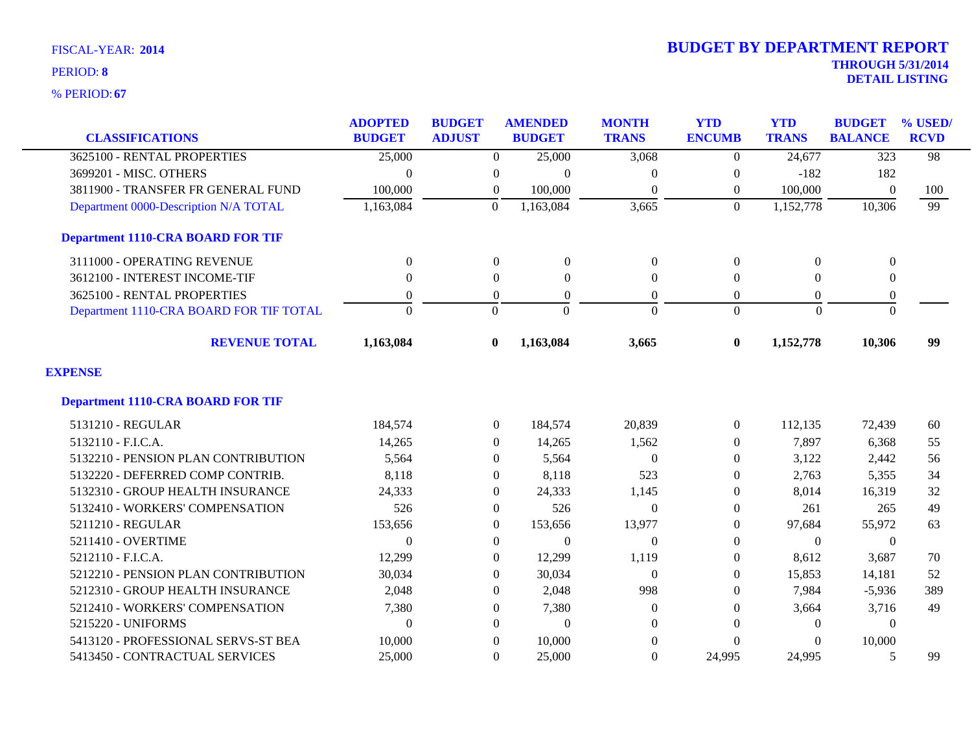**67** % PERIOD:

| <b>CLASSIFICATIONS</b>                   | <b>ADOPTED</b><br><b>BUDGET</b> | <b>BUDGET</b><br><b>ADJUST</b> | <b>AMENDED</b><br><b>BUDGET</b> | <b>MONTH</b><br><b>TRANS</b> | <b>YTD</b><br><b>ENCUMB</b> | <b>YTD</b><br><b>TRANS</b> | <b>BUDGET</b><br><b>BALANCE</b> | % USED/<br><b>RCVD</b> |
|------------------------------------------|---------------------------------|--------------------------------|---------------------------------|------------------------------|-----------------------------|----------------------------|---------------------------------|------------------------|
| 3625100 - RENTAL PROPERTIES              | 25,000                          | $\overline{0}$                 | 25,000                          | 3,068                        | $\overline{0}$              | 24,677                     | $\overline{323}$                | 98                     |
| 3699201 - MISC. OTHERS                   | $\Omega$                        | $\overline{0}$                 | $\theta$                        | $\Omega$                     | $\theta$                    | $-182$                     | 182                             |                        |
| 3811900 - TRANSFER FR GENERAL FUND       | 100,000                         | $\boldsymbol{0}$               | 100,000                         | $\mathbf{0}$                 | $\boldsymbol{0}$            | 100,000                    | $\mathbf{0}$                    | 100                    |
| Department 0000-Description N/A TOTAL    | 1,163,084                       | $\Omega$                       | 1,163,084                       | 3,665                        | $\Omega$                    | 1,152,778                  | 10,306                          | 99                     |
| <b>Department 1110-CRA BOARD FOR TIF</b> |                                 |                                |                                 |                              |                             |                            |                                 |                        |
| 3111000 - OPERATING REVENUE              | $\boldsymbol{0}$                | $\boldsymbol{0}$               | $\overline{0}$                  | $\boldsymbol{0}$             | $\boldsymbol{0}$            | $\overline{0}$             | $\boldsymbol{0}$                |                        |
| 3612100 - INTEREST INCOME-TIF            | $\mathbf{0}$                    | $\overline{0}$                 | $\overline{0}$                  | $\mathbf{0}$                 | $\mathbf{0}$                | $\Omega$                   | $\boldsymbol{0}$                |                        |
| 3625100 - RENTAL PROPERTIES              | $\overline{0}$                  | $\Omega$                       | $\overline{0}$                  | $\overline{0}$               | $\theta$                    | $\Omega$                   | $\boldsymbol{0}$                |                        |
| Department 1110-CRA BOARD FOR TIF TOTAL  | $\Omega$                        | $\Omega$                       | $\Omega$                        | $\Omega$                     | $\Omega$                    | $\Omega$                   | $\Omega$                        |                        |
| <b>REVENUE TOTAL</b>                     | 1,163,084                       | $\bf{0}$                       | 1,163,084                       | 3,665                        | $\bf{0}$                    | 1,152,778                  | 10,306                          | 99                     |
| <b>EXPENSE</b>                           |                                 |                                |                                 |                              |                             |                            |                                 |                        |
| <b>Department 1110-CRA BOARD FOR TIF</b> |                                 |                                |                                 |                              |                             |                            |                                 |                        |
| 5131210 - REGULAR                        | 184,574                         | $\overline{0}$                 | 184,574                         | 20,839                       | $\overline{0}$              | 112,135                    | 72,439                          | 60                     |
| 5132110 - F.I.C.A.                       | 14,265                          | $\overline{0}$                 | 14,265                          | 1,562                        | $\theta$                    | 7,897                      | 6,368                           | 55                     |
| 5132210 - PENSION PLAN CONTRIBUTION      | 5,564                           | $\overline{0}$                 | 5,564                           | $\Omega$                     | $\Omega$                    | 3,122                      | 2,442                           | 56                     |
| 5132220 - DEFERRED COMP CONTRIB.         | 8,118                           | 0                              | 8,118                           | 523                          | $\mathbf{0}$                | 2,763                      | 5,355                           | 34                     |
| 5132310 - GROUP HEALTH INSURANCE         | 24,333                          | $\Omega$                       | 24,333                          | 1,145                        | $\Omega$                    | 8,014                      | 16,319                          | 32                     |
| 5132410 - WORKERS' COMPENSATION          | 526                             | $\overline{0}$                 | 526                             | $\overline{0}$               | $\Omega$                    | 261                        | 265                             | 49                     |
| 5211210 - REGULAR                        | 153,656                         | $\overline{0}$                 | 153,656                         | 13,977                       | $\theta$                    | 97,684                     | 55,972                          | 63                     |
| 5211410 - OVERTIME                       | $\Omega$                        | $\overline{0}$                 | $\theta$                        | $\theta$                     | $\Omega$                    | $\Omega$                   | $\theta$                        |                        |
| 5212110 - F.I.C.A.                       | 12,299                          | $\Omega$                       | 12,299                          | 1,119                        | $\Omega$                    | 8,612                      | 3,687                           | 70                     |
| 5212210 - PENSION PLAN CONTRIBUTION      | 30,034                          | $\overline{0}$                 | 30,034                          | $\Omega$                     | $\mathbf{0}$                | 15,853                     | 14,181                          | 52                     |
| 5212310 - GROUP HEALTH INSURANCE         | 2,048                           | $\theta$                       | 2,048                           | 998                          | $\mathbf{0}$                | 7,984                      | $-5,936$                        | 389                    |
| 5212410 - WORKERS' COMPENSATION          | 7,380                           | $\Omega$                       | 7,380                           | $\Omega$                     | $\Omega$                    | 3,664                      | 3,716                           | 49                     |
| 5215220 - UNIFORMS                       | $\Omega$                        | $\Omega$                       | $\theta$                        | $\Omega$                     | $\Omega$                    | $\theta$                   | $\Omega$                        |                        |
| 5413120 - PROFESSIONAL SERVS-ST BEA      | 10,000                          | $\theta$                       | 10,000                          | $\Omega$                     | $\mathbf{0}$                |                            | 10,000                          |                        |
| 5413450 - CONTRACTUAL SERVICES           | 25,000                          | $\Omega$                       | 25,000                          | $\overline{0}$               | 24,995                      | 24,995                     | 5                               | 99                     |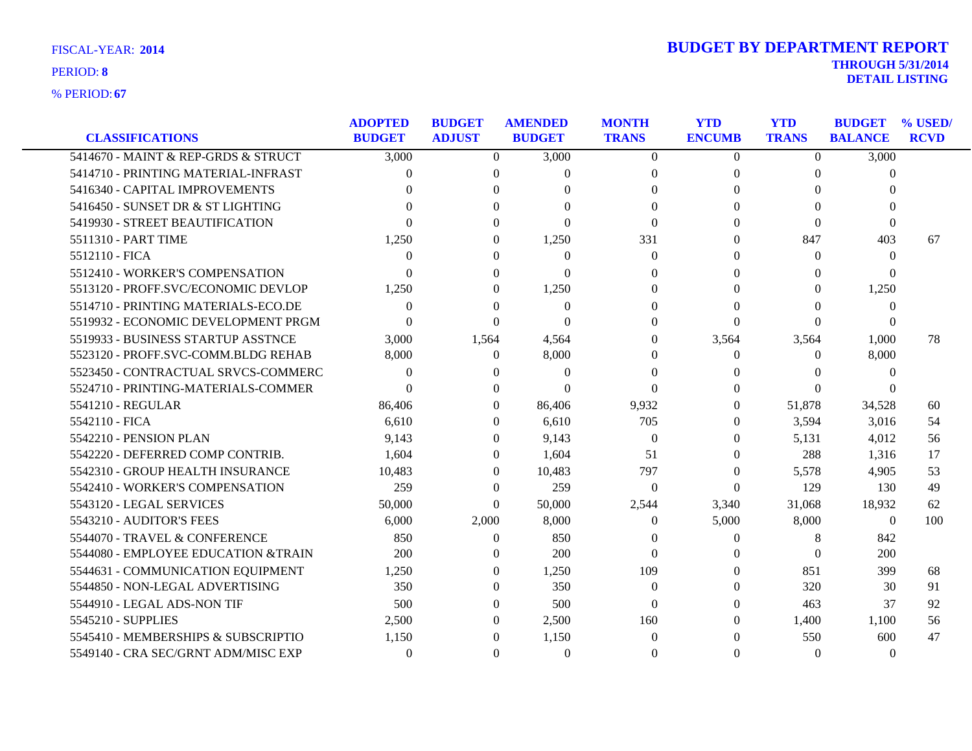|  | <b>FISCAL-YEAR: 2014</b> |  |
|--|--------------------------|--|
|--|--------------------------|--|

| <b>CLASSIFICATIONS</b>              | <b>ADOPTED</b><br><b>BUDGET</b> | <b>BUDGET</b><br><b>ADJUST</b> | <b>AMENDED</b><br><b>BUDGET</b> | <b>MONTH</b><br><b>TRANS</b> | <b>YTD</b><br><b>ENCUMB</b> | <b>YTD</b><br><b>TRANS</b> | <b>BUDGET</b><br><b>BALANCE</b> | % USED/<br><b>RCVD</b> |
|-------------------------------------|---------------------------------|--------------------------------|---------------------------------|------------------------------|-----------------------------|----------------------------|---------------------------------|------------------------|
| 5414670 - MAINT & REP-GRDS & STRUCT | 3,000                           | $\Omega$                       | 3,000                           | $\Omega$                     | $\Omega$                    | $\overline{0}$             | 3,000                           |                        |
| 5414710 - PRINTING MATERIAL-INFRAST | 0                               | $\Omega$                       | 0                               | $\Omega$                     | $\Omega$                    | $\Omega$                   | $\Omega$                        |                        |
| 5416340 - CAPITAL IMPROVEMENTS      | $\Omega$                        | $\Omega$                       | 0                               | $\Omega$                     | 0                           | $\Omega$                   | 0                               |                        |
| 5416450 - SUNSET DR & ST LIGHTING   | 0                               | $\Omega$                       | $\Omega$                        | 0                            |                             | $\Omega$                   | 0                               |                        |
| 5419930 - STREET BEAUTIFICATION     | 0                               | $\Omega$                       | $\Omega$                        | $\Omega$                     | 0                           | $\Omega$                   | $\Omega$                        |                        |
| 5511310 - PART TIME                 | 1,250                           | $\Omega$                       | 1,250                           | 331                          | 0                           | 847                        | 403                             | 67                     |
| 5512110 - FICA                      | $\Omega$                        | 0                              | $\Omega$                        | $\Omega$                     | $\Omega$                    | $\Omega$                   | $\Omega$                        |                        |
| 5512410 - WORKER'S COMPENSATION     | $\Omega$                        | $\Omega$                       | $\Omega$                        | $\Omega$                     | 0                           | $\Omega$                   | 0                               |                        |
| 5513120 - PROFF.SVC/ECONOMIC DEVLOP | 1,250                           | $\theta$                       | 1,250                           | 0                            | 0                           | $\Omega$                   | 1,250                           |                        |
| 5514710 - PRINTING MATERIALS-ECO.DE | $\Omega$                        | $\Omega$                       | $\Omega$                        | $\Omega$                     | 0                           | $\Omega$                   | $\Omega$                        |                        |
| 5519932 - ECONOMIC DEVELOPMENT PRGM | $\Omega$                        | $\Omega$                       | $\Omega$                        | $\Omega$                     | $\Omega$                    | $\Omega$                   | $\Omega$                        |                        |
| 5519933 - BUSINESS STARTUP ASSTNCE  | 3,000                           | 1,564                          | 4,564                           | $\Omega$                     | 3,564                       | 3,564                      | 1,000                           | 78                     |
| 5523120 - PROFF.SVC-COMM.BLDG REHAB | 8,000                           | $\theta$                       | 8,000                           | $\Omega$                     | $\Omega$                    | $\Omega$                   | 8,000                           |                        |
| 5523450 - CONTRACTUAL SRVCS-COMMERC | $\Omega$                        | 0                              | $\Omega$                        | $\Omega$                     | $\Omega$                    | $\Omega$                   | $\Omega$                        |                        |
| 5524710 - PRINTING-MATERIALS-COMMER | $\Omega$                        | $\Omega$                       | $\Omega$                        | $\Omega$                     | 0                           | $\Omega$                   | 0                               |                        |
| 5541210 - REGULAR                   | 86,406                          | $\theta$                       | 86,406                          | 9,932                        | 0                           | 51,878                     | 34,528                          | 60                     |
| 5542110 - FICA                      | 6,610                           | $\Omega$                       | 6,610                           | 705                          | $\Omega$                    | 3,594                      | 3,016                           | 54                     |
| 5542210 - PENSION PLAN              | 9,143                           | 0                              | 9,143                           | $\Omega$                     | 0                           | 5,131                      | 4,012                           | 56                     |
| 5542220 - DEFERRED COMP CONTRIB.    | 1,604                           | $\Omega$                       | 1,604                           | 51                           | 0                           | 288                        | 1,316                           | 17                     |
| 5542310 - GROUP HEALTH INSURANCE    | 10,483                          | $\overline{0}$                 | 10,483                          | 797                          | $\mathbf{0}$                | 5,578                      | 4,905                           | 53                     |
| 5542410 - WORKER'S COMPENSATION     | 259                             | $\Omega$                       | 259                             | $\theta$                     | $\Omega$                    | 129                        | 130                             | 49                     |
| 5543120 - LEGAL SERVICES            | 50,000                          | $\Omega$                       | 50,000                          | 2,544                        | 3,340                       | 31,068                     | 18,932                          | 62                     |
| 5543210 - AUDITOR'S FEES            | 6,000                           | 2,000                          | 8,000                           | 0                            | 5,000                       | 8,000                      | $\overline{0}$                  | 100                    |
| 5544070 - TRAVEL & CONFERENCE       | 850                             | $\theta$                       | 850                             | 0                            | $\theta$                    | 8                          | 842                             |                        |
| 5544080 - EMPLOYEE EDUCATION &TRAIN | 200                             | 0                              | 200                             | $\Omega$                     |                             | $\Omega$                   | 200                             |                        |
| 5544631 - COMMUNICATION EQUIPMENT   | 1,250                           | $\Omega$                       | 1,250                           | 109                          |                             | 851                        | 399                             | 68                     |
| 5544850 - NON-LEGAL ADVERTISING     | 350                             | $\Omega$                       | 350                             | $\Omega$                     |                             | 320                        | 30                              | 91                     |
| 5544910 - LEGAL ADS-NON TIF         | 500                             | $\Omega$                       | 500                             | $\Omega$                     |                             | 463                        | 37                              | 92                     |
| 5545210 - SUPPLIES                  | 2,500                           | $\theta$                       | 2,500                           | 160                          | $\Omega$                    | 1,400                      | 1,100                           | 56                     |
| 5545410 - MEMBERSHIPS & SUBSCRIPTIO | 1,150                           | 0                              | 1,150                           | $\Omega$                     |                             | 550                        | 600                             | 47                     |
| 5549140 - CRA SEC/GRNT ADM/MISC EXP | $\Omega$                        | $\Omega$                       | $\Omega$                        | $\Omega$                     | $\Omega$                    | $\Omega$                   | $\theta$                        |                        |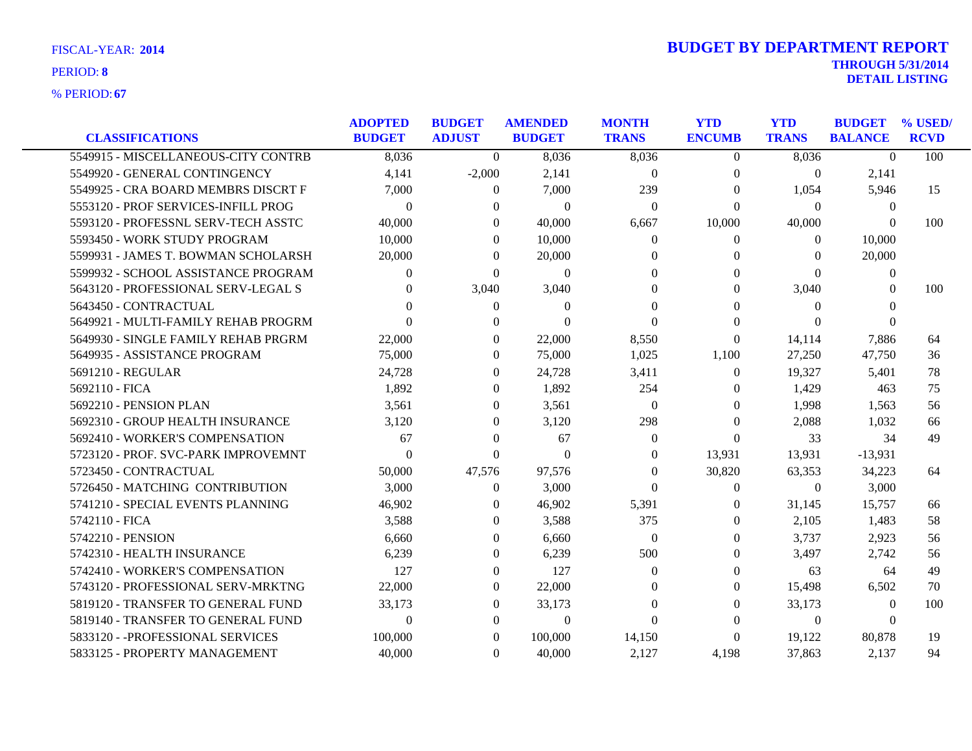| <b>CLASSIFICATIONS</b>              | <b>ADOPTED</b><br><b>BUDGET</b> | <b>BUDGET</b><br><b>ADJUST</b> | <b>AMENDED</b><br><b>BUDGET</b> | <b>MONTH</b><br><b>TRANS</b> | <b>YTD</b><br><b>ENCUMB</b> | <b>YTD</b><br><b>TRANS</b> | <b>BUDGET</b><br><b>BALANCE</b> | % USED/<br><b>RCVD</b> |
|-------------------------------------|---------------------------------|--------------------------------|---------------------------------|------------------------------|-----------------------------|----------------------------|---------------------------------|------------------------|
| 5549915 - MISCELLANEOUS-CITY CONTRB | 8,036                           | $\Omega$                       | 8,036                           | 8,036                        | $\Omega$                    | 8,036                      | $\Omega$                        | 100                    |
| 5549920 - GENERAL CONTINGENCY       | 4,141                           | $-2,000$                       | 2,141                           | $\overline{0}$               | $\overline{0}$              | $\overline{0}$             | 2,141                           |                        |
| 5549925 - CRA BOARD MEMBRS DISCRT F | 7,000                           | $\left($                       | 7,000                           | 239                          | 0                           | 1,054                      | 5,946                           | 15                     |
| 5553120 - PROF SERVICES-INFILL PROG | $\Omega$                        | $\Omega$                       | $\theta$                        | $\Omega$                     | $\theta$                    | $\Omega$                   | $\theta$                        |                        |
| 5593120 - PROFESSNL SERV-TECH ASSTC | 40,000                          | $\Omega$                       | 40,000                          | 6,667                        | 10,000                      | 40,000                     | $\Omega$                        | 100                    |
| 5593450 - WORK STUDY PROGRAM        | 10,000                          | $\Omega$                       | 10,000                          | $\Omega$                     | $\Omega$                    | $\Omega$                   | 10,000                          |                        |
| 5599931 - JAMES T. BOWMAN SCHOLARSH | 20,000                          | $\Omega$                       | 20,000                          | $\Omega$                     | 0                           | $\Omega$                   | 20,000                          |                        |
| 5599932 - SCHOOL ASSISTANCE PROGRAM | $\Omega$                        | $\Omega$                       | $\overline{0}$                  | 0                            | $\Omega$                    | $\Omega$                   | $\mathbf{0}$                    |                        |
| 5643120 - PROFESSIONAL SERV-LEGAL S | $\theta$                        | 3,040                          | 3,040                           | $\Omega$                     | $\Omega$                    | 3,040                      | $\Omega$                        | 100                    |
| 5643450 - CONTRACTUAL               | 0                               | $\theta$                       | $\theta$                        | 0                            | 0                           | $\Omega$                   | $\Omega$                        |                        |
| 5649921 - MULTI-FAMILY REHAB PROGRM |                                 | $\Omega$                       | $\Omega$                        | $\Omega$                     | 0                           | $\Omega$                   | $\Omega$                        |                        |
| 5649930 - SINGLE FAMILY REHAB PRGRM | 22,000                          | $\Omega$                       | 22,000                          | 8,550                        | $\theta$                    | 14,114                     | 7,886                           | 64                     |
| 5649935 - ASSISTANCE PROGRAM        | 75,000                          | $\theta$                       | 75,000                          | 1,025                        | 1,100                       | 27,250                     | 47,750                          | 36                     |
| 5691210 - REGULAR                   | 24,728                          | $\Omega$                       | 24,728                          | 3,411                        | $\Omega$                    | 19,327                     | 5,401                           | 78                     |
| 5692110 - FICA                      | 1,892                           | $\Omega$                       | 1,892                           | 254                          | 0                           | 1,429                      | 463                             | 75                     |
| 5692210 - PENSION PLAN              | 3,561                           | $\theta$                       | 3.561                           | $\Omega$                     | $\Omega$                    | 1,998                      | 1.563                           | 56                     |
| 5692310 - GROUP HEALTH INSURANCE    | 3,120                           | $\theta$                       | 3,120                           | 298                          | $\Omega$                    | 2,088                      | 1,032                           | 66                     |
| 5692410 - WORKER'S COMPENSATION     | 67                              | $\Omega$                       | 67                              | $\Omega$                     | $\Omega$                    | 33                         | 34                              | 49                     |
| 5723120 - PROF. SVC-PARK IMPROVEMNT | $\Omega$                        | $\Omega$                       | $\Omega$                        | $\Omega$                     | 13,931                      | 13,931                     | $-13,931$                       |                        |
| 5723450 - CONTRACTUAL               | 50,000                          | 47,576                         | 97,576                          | $\Omega$                     | 30,820                      | 63,353                     | 34,223                          | 64                     |
| 5726450 - MATCHING CONTRIBUTION     | 3,000                           | $\left($                       | 3,000                           | $\Omega$                     | $\overline{0}$              | $\overline{0}$             | 3,000                           |                        |
| 5741210 - SPECIAL EVENTS PLANNING   | 46,902                          | $\Omega$                       | 46,902                          | 5,391                        | 0                           | 31,145                     | 15,757                          | 66                     |
| 5742110 - FICA                      | 3,588                           | $\Omega$                       | 3,588                           | 375                          | $\Omega$                    | 2,105                      | 1,483                           | 58                     |
| 5742210 - PENSION                   | 6.660                           | $\Omega$                       | 6,660                           | $\Omega$                     | $\Omega$                    | 3,737                      | 2,923                           | 56                     |
| 5742310 - HEALTH INSURANCE          | 6,239                           | $\Omega$                       | 6,239                           | 500                          | 0                           | 3,497                      | 2,742                           | 56                     |
| 5742410 - WORKER'S COMPENSATION     | 127                             | $\Omega$                       | 127                             | $\Omega$                     | $\Omega$                    | 63                         | 64                              | 49                     |
| 5743120 - PROFESSIONAL SERV-MRKTNG  | 22,000                          | $\Omega$                       | 22,000                          | $\Omega$                     | $\Omega$                    | 15,498                     | 6,502                           | 70                     |
| 5819120 - TRANSFER TO GENERAL FUND  | 33,173                          | $\Omega$                       | 33,173                          | 0                            | $\Omega$                    | 33,173                     | $\theta$                        | 100                    |
| 5819140 - TRANSFER TO GENERAL FUND  | $\Omega$                        | $\Omega$                       | $\theta$                        | $\Omega$                     | $\Omega$                    | $\theta$                   | $\Omega$                        |                        |
| 5833120 - - PROFESSIONAL SERVICES   | 100,000                         | $\Omega$                       | 100,000                         | 14,150                       | $\overline{0}$              | 19,122                     | 80,878                          | 19                     |
| 5833125 - PROPERTY MANAGEMENT       | 40,000                          | $\Omega$                       | 40,000                          | 2,127                        | 4,198                       | 37,863                     | 2,137                           | 94                     |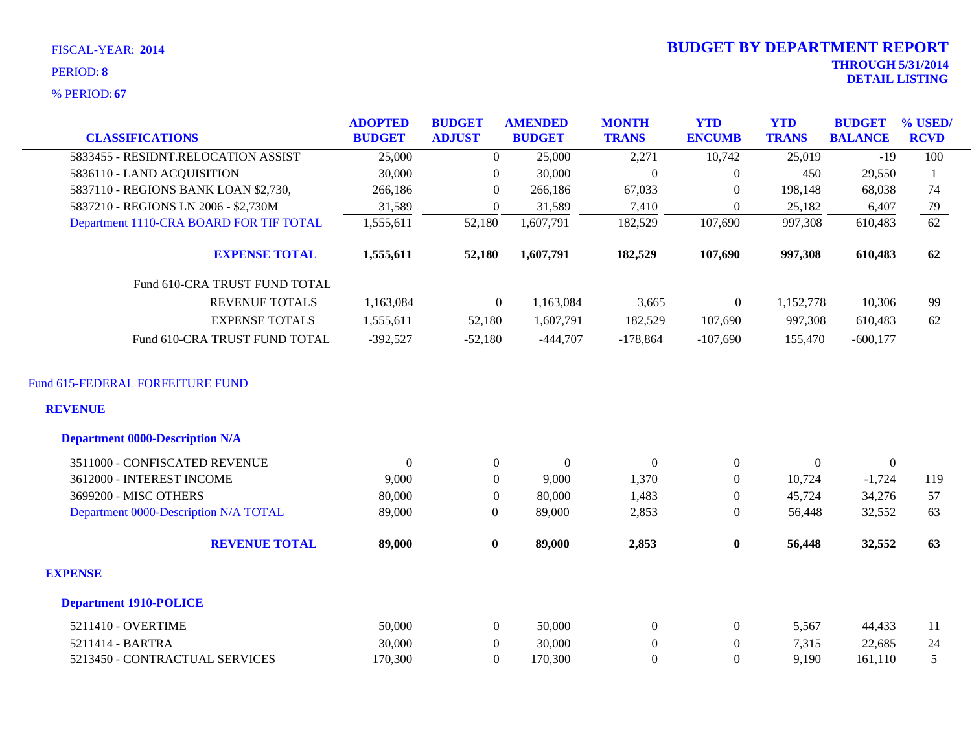**67** % PERIOD:

|                                                          | <b>ADOPTED</b> | <b>BUDGET</b>    | <b>AMENDED</b>   | <b>MONTH</b>     | <b>YTD</b>       | <b>YTD</b>     | <b>BUDGET</b>  | % USED/         |
|----------------------------------------------------------|----------------|------------------|------------------|------------------|------------------|----------------|----------------|-----------------|
| <b>CLASSIFICATIONS</b>                                   | <b>BUDGET</b>  | <b>ADJUST</b>    | <b>BUDGET</b>    | <b>TRANS</b>     | <b>ENCUMB</b>    | <b>TRANS</b>   | <b>BALANCE</b> | <b>RCVD</b>     |
| 5833455 - RESIDNT.RELOCATION ASSIST                      | 25,000         | $\theta$         | 25,000           | 2,271            | 10,742           | 25,019         | $-19$          | 100             |
| 5836110 - LAND ACQUISITION                               | 30,000         | $\overline{0}$   | 30,000           | $\boldsymbol{0}$ | $\mathbf{0}$     | 450            | 29,550         | 1               |
| 5837110 - REGIONS BANK LOAN \$2,730,                     | 266,186        | $\overline{0}$   | 266,186          | 67,033           | $\mathbf{0}$     | 198,148        | 68,038         | 74              |
| 5837210 - REGIONS LN 2006 - \$2,730M                     | 31,589         | $\overline{0}$   | 31,589           | 7,410            | $\Omega$         | 25,182         | 6,407          | 79              |
| Department 1110-CRA BOARD FOR TIF TOTAL                  | 1,555,611      | 52,180           | 1,607,791        | 182,529          | 107,690          | 997,308        | 610,483        | $\overline{62}$ |
| <b>EXPENSE TOTAL</b>                                     | 1,555,611      | 52,180           | 1,607,791        | 182,529          | 107,690          | 997,308        | 610,483        | 62              |
| Fund 610-CRA TRUST FUND TOTAL                            |                |                  |                  |                  |                  |                |                |                 |
| <b>REVENUE TOTALS</b>                                    | 1,163,084      | $\overline{0}$   | 1,163,084        | 3,665            | $\mathbf{0}$     | 1,152,778      | 10,306         | 99              |
| <b>EXPENSE TOTALS</b>                                    | 1,555,611      | 52,180           | 1,607,791        | 182,529          | 107,690          | 997,308        | 610,483        | 62              |
| Fund 610-CRA TRUST FUND TOTAL                            | $-392,527$     | $-52,180$        | $-444,707$       | $-178,864$       | $-107,690$       | 155,470        | $-600,177$     |                 |
| <b>REVENUE</b><br><b>Department 0000-Description N/A</b> |                |                  |                  |                  |                  |                |                |                 |
| 3511000 - CONFISCATED REVENUE                            | $\overline{0}$ | $\boldsymbol{0}$ | $\boldsymbol{0}$ | $\mathbf{0}$     | $\boldsymbol{0}$ | $\overline{0}$ | $\overline{0}$ |                 |
| 3612000 - INTEREST INCOME                                | 9,000          | $\overline{0}$   | 9,000            | 1,370            | $\Omega$         | 10,724         | $-1,724$       | 119             |
| 3699200 - MISC OTHERS                                    | 80,000         | $\boldsymbol{0}$ | 80,000           | 1,483            | $\mathbf{0}$     | 45,724         | 34,276         | 57              |
| Department 0000-Description N/A TOTAL                    | 89,000         | $\mathbf{0}$     | 89,000           | 2,853            | $\overline{0}$   | 56,448         | 32,552         | $\overline{63}$ |
| <b>REVENUE TOTAL</b>                                     | 89,000         | $\bf{0}$         | 89,000           | 2,853            | $\bf{0}$         | 56,448         | 32,552         | 63              |
| <b>EXPENSE</b>                                           |                |                  |                  |                  |                  |                |                |                 |
| <b>Department 1910-POLICE</b>                            |                |                  |                  |                  |                  |                |                |                 |
| 5211410 - OVERTIME                                       | 50,000         | $\mathbf{0}$     | 50,000           | $\boldsymbol{0}$ | $\boldsymbol{0}$ | 5,567          | 44,433         | 11              |
| 5211414 - BARTRA                                         | 30,000         | $\overline{0}$   | 30,000           | $\boldsymbol{0}$ | $\boldsymbol{0}$ | 7,315          | 22,685         | 24              |
| 5213450 - CONTRACTUAL SERVICES                           | 170,300        | $\Omega$         | 170,300          | $\overline{0}$   | $\mathbf{0}$     | 9,190          | 161,110        | 5               |